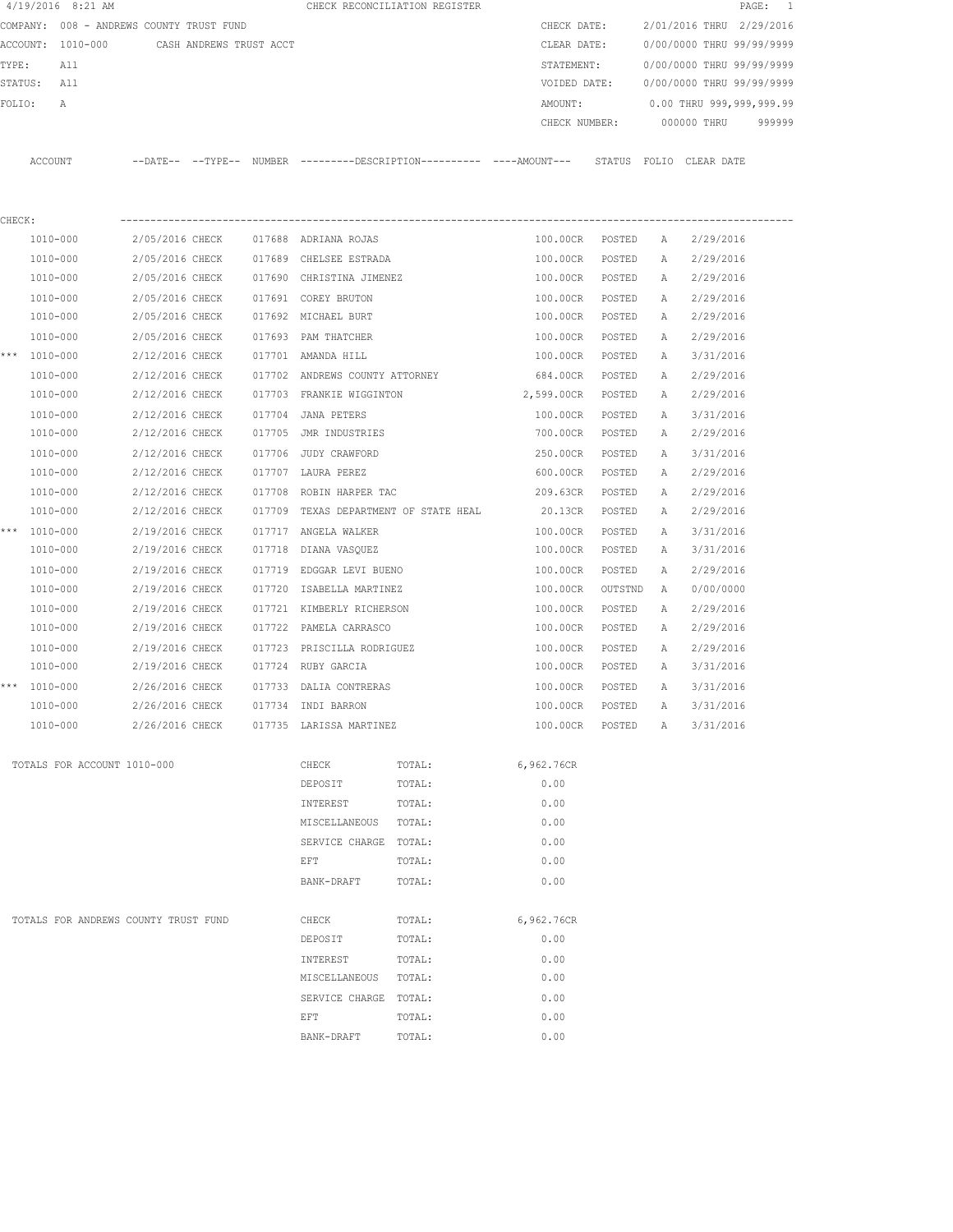|        | $4/19/2016$ 8:21 AM                      |                 |                         |        |                                       | CHECK RECONCILIATION REGISTER                                                                |               |         |              |                           | $\overline{\phantom{1}}$<br>PAGE: |
|--------|------------------------------------------|-----------------|-------------------------|--------|---------------------------------------|----------------------------------------------------------------------------------------------|---------------|---------|--------------|---------------------------|-----------------------------------|
|        | COMPANY: 008 - ANDREWS COUNTY TRUST FUND |                 |                         |        |                                       |                                                                                              | CHECK DATE:   |         |              | 2/01/2016 THRU 2/29/2016  |                                   |
|        | ACCOUNT: 1010-000                        |                 | CASH ANDREWS TRUST ACCT |        |                                       |                                                                                              | CLEAR DATE:   |         |              | 0/00/0000 THRU 99/99/9999 |                                   |
| TYPE:  | All                                      |                 |                         |        |                                       |                                                                                              | STATEMENT:    |         |              | 0/00/0000 THRU 99/99/9999 |                                   |
|        | STATUS: All                              |                 |                         |        |                                       |                                                                                              | VOIDED DATE:  |         |              | 0/00/0000 THRU 99/99/9999 |                                   |
| FOLIO: | A                                        |                 |                         |        |                                       |                                                                                              | AMOUNT:       |         |              | 0.00 THRU 999,999,999.99  |                                   |
|        |                                          |                 |                         |        |                                       |                                                                                              | CHECK NUMBER: |         |              | 000000 THRU               | 999999                            |
|        | ACCOUNT                                  |                 |                         |        |                                       | --DATE-- --TYPE-- NUMBER ---------DESCRIPTION---------- ----AMOUNT--- STATUS FOLIO CLEARDATE |               |         |              |                           |                                   |
| CHECK: |                                          |                 |                         |        |                                       |                                                                                              |               |         |              |                           |                                   |
|        | 1010-000                                 | 2/05/2016 CHECK |                         |        | 017688 ADRIANA ROJAS                  |                                                                                              | 100.00CR      | POSTED  | $\mathbb{A}$ | 2/29/2016                 |                                   |
|        | 1010-000                                 | 2/05/2016 CHECK |                         |        | 017689 CHELSEE ESTRADA                |                                                                                              | 100.00CR      | POSTED  | А            | 2/29/2016                 |                                   |
|        | 1010-000                                 | 2/05/2016 CHECK |                         |        | 017690 CHRISTINA JIMENEZ              |                                                                                              | 100.00CR      | POSTED  | Α            | 2/29/2016                 |                                   |
|        | 1010-000                                 | 2/05/2016 CHECK |                         |        | 017691 COREY BRUTON                   |                                                                                              | 100.00CR      | POSTED  | Α            | 2/29/2016                 |                                   |
|        | 1010-000                                 | 2/05/2016 CHECK |                         |        | 017692 MICHAEL BURT                   |                                                                                              | 100.00CR      | POSTED  | Α            | 2/29/2016                 |                                   |
|        | 1010-000                                 | 2/05/2016 CHECK |                         |        | 017693 PAM THATCHER                   |                                                                                              | 100.00CR      | POSTED  | Α            | 2/29/2016                 |                                   |
|        | *** 1010-000                             | 2/12/2016 CHECK |                         |        | 017701 AMANDA HILL                    |                                                                                              | 100.00CR      | POSTED  | A            | 3/31/2016                 |                                   |
|        | 1010-000                                 | 2/12/2016 CHECK |                         |        | 017702 ANDREWS COUNTY ATTORNEY        |                                                                                              | 684.00CR      | POSTED  | Α            | 2/29/2016                 |                                   |
|        | 1010-000                                 | 2/12/2016 CHECK |                         |        | 017703 FRANKIE WIGGINTON              |                                                                                              | 2,599.00CR    | POSTED  | Α            | 2/29/2016                 |                                   |
|        | 1010-000                                 | 2/12/2016 CHECK |                         | 017704 | JANA PETERS                           |                                                                                              | 100.00CR      | POSTED  | Α            | 3/31/2016                 |                                   |
|        | 1010-000                                 | 2/12/2016 CHECK |                         |        | 017705 JMR INDUSTRIES                 |                                                                                              | 700.00CR      | POSTED  | А            | 2/29/2016                 |                                   |
|        | 1010-000                                 | 2/12/2016 CHECK |                         | 017706 | JUDY CRAWFORD                         |                                                                                              | 250.00CR      | POSTED  | Α            | 3/31/2016                 |                                   |
|        | 1010-000                                 | 2/12/2016 CHECK |                         |        | 017707 LAURA PEREZ                    |                                                                                              | 600.00CR      | POSTED  | Α            | 2/29/2016                 |                                   |
|        | 1010-000                                 | 2/12/2016 CHECK |                         | 017708 | ROBIN HARPER TAC                      |                                                                                              | 209.63CR      | POSTED  | Α            | 2/29/2016                 |                                   |
|        | 1010-000                                 | 2/12/2016 CHECK |                         |        | 017709 TEXAS DEPARTMENT OF STATE HEAL |                                                                                              | 20.13CR       | POSTED  | Α            | 2/29/2016                 |                                   |
|        | *** 1010-000                             | 2/19/2016 CHECK |                         |        | 017717 ANGELA WALKER                  |                                                                                              | 100.00CR      | POSTED  | Α            | 3/31/2016                 |                                   |
|        | 1010-000                                 | 2/19/2016 CHECK |                         | 017718 | DIANA VASQUEZ                         |                                                                                              | 100.00CR      | POSTED  | Α            | 3/31/2016                 |                                   |
|        | 1010-000                                 | 2/19/2016 CHECK |                         | 017719 | EDGGAR LEVI BUENO                     |                                                                                              | 100.00CR      | POSTED  | Α            | 2/29/2016                 |                                   |
|        | 1010-000                                 | 2/19/2016 CHECK |                         | 017720 | ISABELLA MARTINEZ                     |                                                                                              | 100.00CR      | OUTSTND | A            | 0/00/0000                 |                                   |
|        | 1010-000                                 | 2/19/2016 CHECK |                         |        | 017721 KIMBERLY RICHERSON             |                                                                                              | 100.00CR      | POSTED  | Α            | 2/29/2016                 |                                   |
|        | 1010-000                                 | 2/19/2016 CHECK |                         | 017722 | PAMELA CARRASCO                       |                                                                                              | 100.00CR      | POSTED  | Α            | 2/29/2016                 |                                   |
|        | 1010-000                                 | 2/19/2016 CHECK |                         | 017723 | PRISCILLA RODRIGUEZ                   |                                                                                              | 100.00CR      | POSTED  | Α            | 2/29/2016                 |                                   |
|        | 1010-000                                 | 2/19/2016 CHECK |                         |        | 017724 RUBY GARCIA                    |                                                                                              | 100.00CR      | POSTED  | Α            | 3/31/2016                 |                                   |
|        | *** 1010-000                             | 2/26/2016 CHECK |                         |        | 017733 DALIA CONTRERAS                |                                                                                              | 100.00CR      | POSTED  | $\mathbb{A}$ | 3/31/2016                 |                                   |
|        | 1010-000                                 | 2/26/2016 CHECK |                         |        | 017734 INDI BARRON                    |                                                                                              | 100.00CR      | POSTED  | A            | 3/31/2016                 |                                   |
|        | 1010-000                                 |                 | 2/26/2016 CHECK         |        | 017735 LARISSA MARTINEZ               |                                                                                              | 100.00CR      | POSTED  | Α            | 3/31/2016                 |                                   |
|        | TOTALS FOR ACCOUNT 1010-000              |                 |                         |        | CHECK                                 | TOTAL:                                                                                       | 6,962.76CR    |         |              |                           |                                   |
|        |                                          |                 |                         |        | DEPOSIT                               | TOTAL:                                                                                       | 0.00          |         |              |                           |                                   |
|        |                                          |                 |                         |        | INTEREST                              | TOTAL:                                                                                       | 0.00          |         |              |                           |                                   |
|        |                                          |                 |                         |        | MISCELLANEOUS                         | TOTAL:                                                                                       | 0.00          |         |              |                           |                                   |
|        |                                          |                 |                         |        | SERVICE CHARGE TOTAL:                 |                                                                                              | 0.00          |         |              |                           |                                   |
|        |                                          |                 |                         |        | EFT                                   | TOTAL:                                                                                       | 0.00          |         |              |                           |                                   |
|        |                                          |                 |                         |        | BANK-DRAFT                            | TOTAL:                                                                                       | 0.00          |         |              |                           |                                   |
|        | TOTALS FOR ANDREWS COUNTY TRUST FUND     |                 |                         |        | CHECK                                 | TOTAL:                                                                                       | 6,962.76CR    |         |              |                           |                                   |
|        |                                          |                 |                         |        | DEPOSIT                               | TOTAL:                                                                                       | 0.00          |         |              |                           |                                   |
|        |                                          |                 |                         |        | INTEREST                              | TOTAL:                                                                                       | 0.00          |         |              |                           |                                   |
|        |                                          |                 |                         |        | MISCELLANEOUS                         | TOTAL:                                                                                       | 0.00          |         |              |                           |                                   |
|        |                                          |                 |                         |        | SERVICE CHARGE TOTAL:                 |                                                                                              | 0.00          |         |              |                           |                                   |
|        |                                          |                 |                         |        | EFT                                   | TOTAL:                                                                                       | 0.00          |         |              |                           |                                   |
|        |                                          |                 |                         |        | BANK-DRAFT                            | TOTAL:                                                                                       | 0.00          |         |              |                           |                                   |
|        |                                          |                 |                         |        |                                       |                                                                                              |               |         |              |                           |                                   |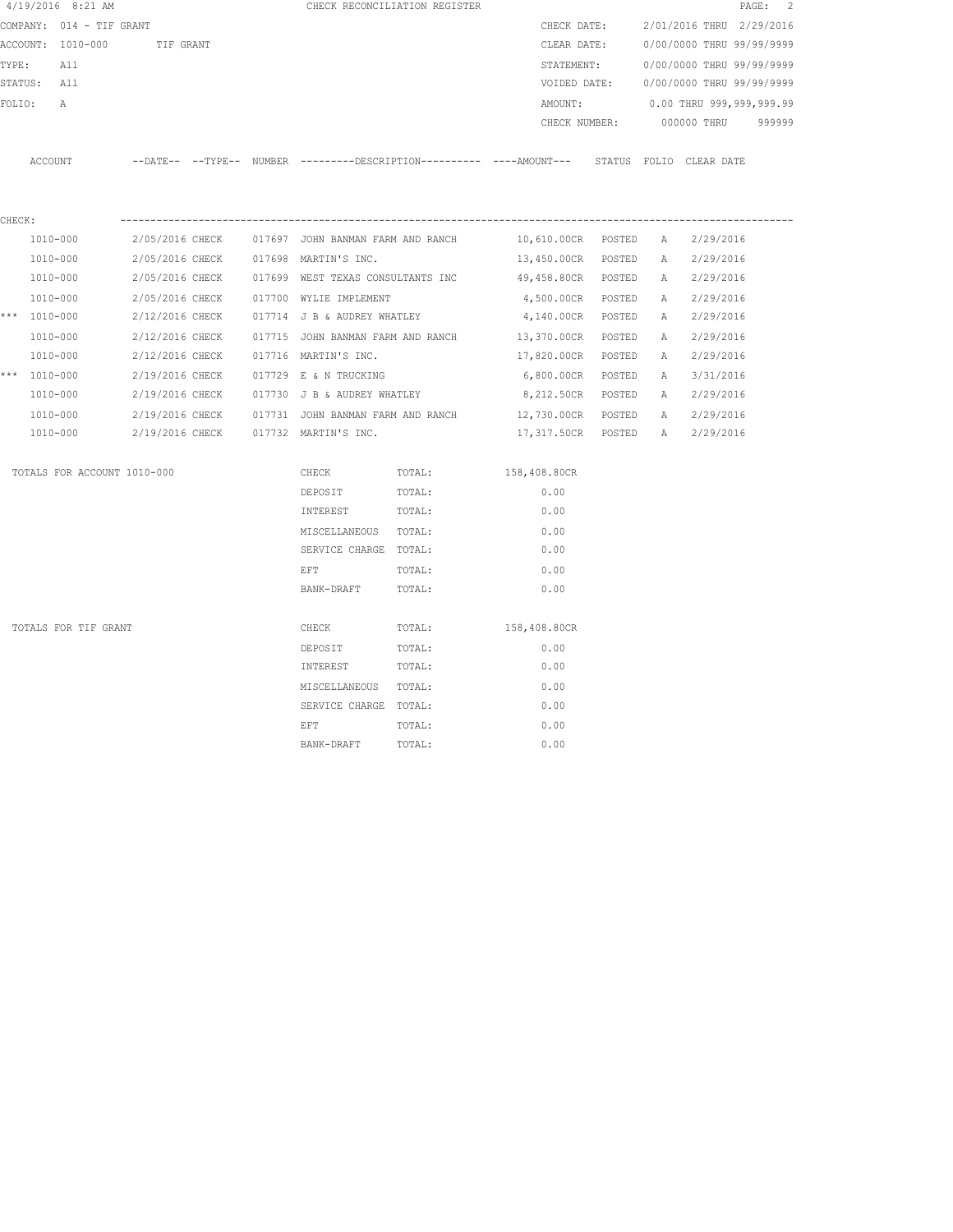|        | 4/19/2016 8:21 AM           |                 |  |                                                   | CHECK RECONCILIATION REGISTER                                                                |                                |  |                                        | PAGE: 2 |
|--------|-----------------------------|-----------------|--|---------------------------------------------------|----------------------------------------------------------------------------------------------|--------------------------------|--|----------------------------------------|---------|
|        | COMPANY: 014 - TIF GRANT    |                 |  |                                                   |                                                                                              | CHECK DATE:                    |  | 2/01/2016 THRU 2/29/2016               |         |
|        | ACCOUNT: 1010-000           | TIF GRANT       |  |                                                   |                                                                                              | CLEAR DATE:                    |  | 0/00/0000 THRU 99/99/9999              |         |
|        | TYPE:<br>All                |                 |  |                                                   |                                                                                              | STATEMENT:                     |  | 0/00/0000 THRU 99/99/9999              |         |
|        | STATUS: All                 |                 |  |                                                   |                                                                                              |                                |  | VOIDED DATE: 0/00/0000 THRU 99/99/9999 |         |
|        | FOLIO:<br>$\mathbb{A}$      |                 |  |                                                   |                                                                                              | AMOUNT:                        |  | 0.00 THRU 999,999,999.99               |         |
|        |                             |                 |  |                                                   |                                                                                              |                                |  | CHECK NUMBER: 000000 THRU              | 999999  |
|        |                             |                 |  |                                                   |                                                                                              |                                |  |                                        |         |
|        | ACCOUNT                     |                 |  |                                                   | --DATE-- --TYPE-- NUMBER ---------DESCRIPTION---------- ----AMOUNT--- STATUS FOLIO CLEARDATE |                                |  |                                        |         |
|        |                             |                 |  |                                                   |                                                                                              |                                |  |                                        |         |
|        |                             |                 |  |                                                   |                                                                                              |                                |  |                                        |         |
| CHECK: |                             |                 |  |                                                   |                                                                                              |                                |  |                                        |         |
|        | 1010-000                    |                 |  | 2/05/2016 CHECK 017697 JOHN BANMAN FARM AND RANCH |                                                                                              | 10,610.00CR POSTED A 2/29/2016 |  |                                        |         |
|        | 1010-000                    |                 |  | 2/05/2016 CHECK 017698 MARTIN'S INC.              |                                                                                              | 13,450.00CR POSTED             |  | A 2/29/2016                            |         |
|        | 1010-000                    |                 |  | 2/05/2016 CHECK 017699 WEST TEXAS CONSULTANTS INC |                                                                                              | 49,458.80CR POSTED             |  | A 2/29/2016                            |         |
|        | 1010-000                    | 2/05/2016 CHECK |  | 017700 WYLIE IMPLEMENT                            |                                                                                              | 4,500.00CR POSTED              |  | A 2/29/2016                            |         |
|        | *** 1010-000                | 2/12/2016 CHECK |  | 017714 J B & AUDREY WHATLEY                       |                                                                                              | 4,140.00CR POSTED              |  | A 2/29/2016                            |         |
|        | 1010-000                    | 2/12/2016 CHECK |  | 017715 JOHN BANMAN FARM AND RANCH                 |                                                                                              | 13,370.00CR POSTED             |  | A 2/29/2016                            |         |
|        | 1010-000                    |                 |  | 2/12/2016 CHECK 017716 MARTIN'S INC.              |                                                                                              | 17,820.00CR POSTED             |  | A 2/29/2016                            |         |
|        | *** 1010-000                |                 |  | 2/19/2016 CHECK 017729 E & N TRUCKING             |                                                                                              | 6,800.00CR POSTED              |  | A 3/31/2016                            |         |
|        | 1010-000                    |                 |  | 2/19/2016 CHECK 017730 J B & AUDREY WHATLEY       |                                                                                              | 8,212.50CR POSTED              |  | A 2/29/2016                            |         |
|        | 1010-000                    |                 |  |                                                   | 2/19/2016 CHECK 017731 JOHN BANMAN FARM AND RANCH 12,730.00CR POSTED                         |                                |  | A 2/29/2016                            |         |
|        | 1010-000                    |                 |  | 2/19/2016 CHECK 017732 MARTIN'S INC.              |                                                                                              | 17,317.50CR POSTED A 2/29/2016 |  |                                        |         |
|        | TOTALS FOR ACCOUNT 1010-000 |                 |  | CHECK                                             | TOTAL:                                                                                       | 158,408.80CR                   |  |                                        |         |
|        |                             |                 |  | DEPOSIT                                           | TOTAL:                                                                                       | 0.00                           |  |                                        |         |
|        |                             |                 |  | INTEREST                                          | TOTAL:                                                                                       | 0.00                           |  |                                        |         |
|        |                             |                 |  | MISCELLANEOUS TOTAL:                              |                                                                                              | 0.00                           |  |                                        |         |
|        |                             |                 |  | SERVICE CHARGE TOTAL:                             |                                                                                              | 0.00                           |  |                                        |         |
|        |                             |                 |  | EFT                                               | TOTAL:                                                                                       | 0.00                           |  |                                        |         |
|        |                             |                 |  | BANK-DRAFT                                        | TOTAL:                                                                                       | 0.00                           |  |                                        |         |
|        |                             |                 |  |                                                   |                                                                                              |                                |  |                                        |         |
|        | TOTALS FOR TIF GRANT        |                 |  | CHECK                                             | TOTAL:                                                                                       | 158,408.80CR                   |  |                                        |         |
|        |                             |                 |  | DEPOSIT                                           | TOTAL:                                                                                       | 0.00                           |  |                                        |         |
|        |                             |                 |  | INTEREST                                          | TOTAL:                                                                                       | 0.00                           |  |                                        |         |
|        |                             |                 |  | MISCELLANEOUS TOTAL:                              |                                                                                              | 0.00                           |  |                                        |         |
|        |                             |                 |  | SERVICE CHARGE TOTAL:                             |                                                                                              | 0.00                           |  |                                        |         |
|        |                             |                 |  | EFT                                               | TOTAL:                                                                                       | 0.00                           |  |                                        |         |
|        |                             |                 |  | BANK-DRAFT                                        | TOTAL:                                                                                       | 0.00                           |  |                                        |         |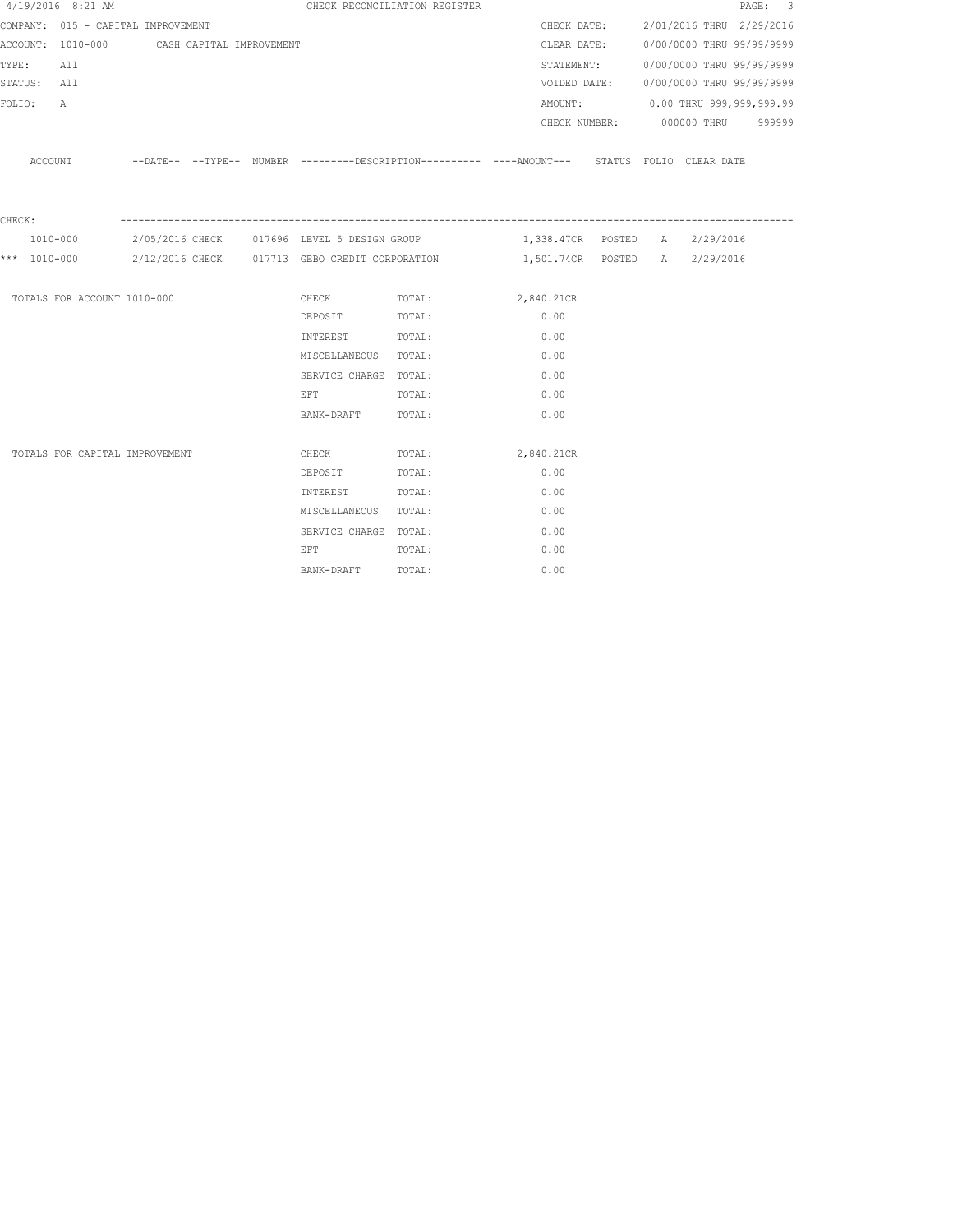|             | $4/19/2016$ 8:21 AM                        |  |                                                                                                                | CHECK RECONCILIATION REGISTER                                                                 |                               |  |                                       | PAGE: 3 |
|-------------|--------------------------------------------|--|----------------------------------------------------------------------------------------------------------------|-----------------------------------------------------------------------------------------------|-------------------------------|--|---------------------------------------|---------|
|             | COMPANY: 015 - CAPITAL IMPROVEMENT         |  |                                                                                                                |                                                                                               |                               |  | CHECK DATE: 2/01/2016 THRU 2/29/2016  |         |
|             | ACCOUNT: 1010-000 CASH CAPITAL IMPROVEMENT |  |                                                                                                                |                                                                                               |                               |  | CLEAR DATE: 0/00/0000 THRU 99/99/9999 |         |
| TYPE: All   |                                            |  |                                                                                                                |                                                                                               |                               |  | STATEMENT: 0/00/0000 THRU 99/99/9999  |         |
| STATUS: All |                                            |  |                                                                                                                |                                                                                               | VOIDED DATE:                  |  | 0/00/0000 THRU 99/99/9999             |         |
| FOLIO:      | A                                          |  |                                                                                                                |                                                                                               |                               |  | AMOUNT: 0.00 THRU 999,999,999.99      |         |
|             |                                            |  |                                                                                                                |                                                                                               |                               |  | CHECK NUMBER: 000000 THRU 999999      |         |
|             | ACCOUNT                                    |  |                                                                                                                | --DATE-- --TYPE-- NUMBER ---------DESCRIPTION---------- ----AMOUNT--- STATUS FOLIO CLEAR DATE |                               |  |                                       |         |
| CHECK:      |                                            |  |                                                                                                                |                                                                                               |                               |  |                                       |         |
|             | 1010-000                                   |  | 2/05/2016 CHECK 017696 LEVEL 5 DESIGN GROUP                                                                    |                                                                                               | 1,338.47CR POSTED A 2/29/2016 |  |                                       |         |
|             |                                            |  |                                                                                                                | *** $1010-000$ 2/12/2016 CHECK 017713 GEBO CREDIT CORPORATION 1,501.74CR POSTED A 2/29/2016   |                               |  |                                       |         |
|             | TOTALS FOR ACCOUNT 1010-000                |  |                                                                                                                | CHECK TOTAL: 2,840.21CR                                                                       |                               |  |                                       |         |
|             |                                            |  | DEPOSIT                                                                                                        | TOTAL:                                                                                        | 0.00                          |  |                                       |         |
|             |                                            |  | INTEREST TOTAL:                                                                                                |                                                                                               | 0.00                          |  |                                       |         |
|             |                                            |  | MISCELLANEOUS TOTAL:                                                                                           |                                                                                               | 0.00                          |  |                                       |         |
|             |                                            |  | SERVICE CHARGE TOTAL:                                                                                          |                                                                                               | 0.00                          |  |                                       |         |
|             |                                            |  | EFT TOTAL:                                                                                                     |                                                                                               | 0.00                          |  |                                       |         |
|             |                                            |  | BANK-DRAFT TOTAL:                                                                                              |                                                                                               | 0.00                          |  |                                       |         |
|             | TOTALS FOR CAPITAL IMPROVEMENT             |  | CHECK                                                                                                          | TOTAL :                                                                                       | 2,840.21CR                    |  |                                       |         |
|             |                                            |  | DEPOSIT                                                                                                        | TOTAL:                                                                                        | 0.00                          |  |                                       |         |
|             |                                            |  | INTEREST TOTAL:                                                                                                |                                                                                               | 0.00                          |  |                                       |         |
|             |                                            |  | MISCELLANEOUS TOTAL:                                                                                           |                                                                                               | 0.00                          |  |                                       |         |
|             |                                            |  | SERVICE CHARGE TOTAL:                                                                                          |                                                                                               | 0.00                          |  |                                       |         |
|             |                                            |  | EFT FOR THE STATE OF THE STATE OF THE STATE OF THE STATE OF THE STATE OF THE STATE OF THE STATE OF THE STATE O | TOTAL:                                                                                        | 0.00                          |  |                                       |         |
|             |                                            |  | BANK-DRAFT                                                                                                     | TOTAL:                                                                                        | 0.00                          |  |                                       |         |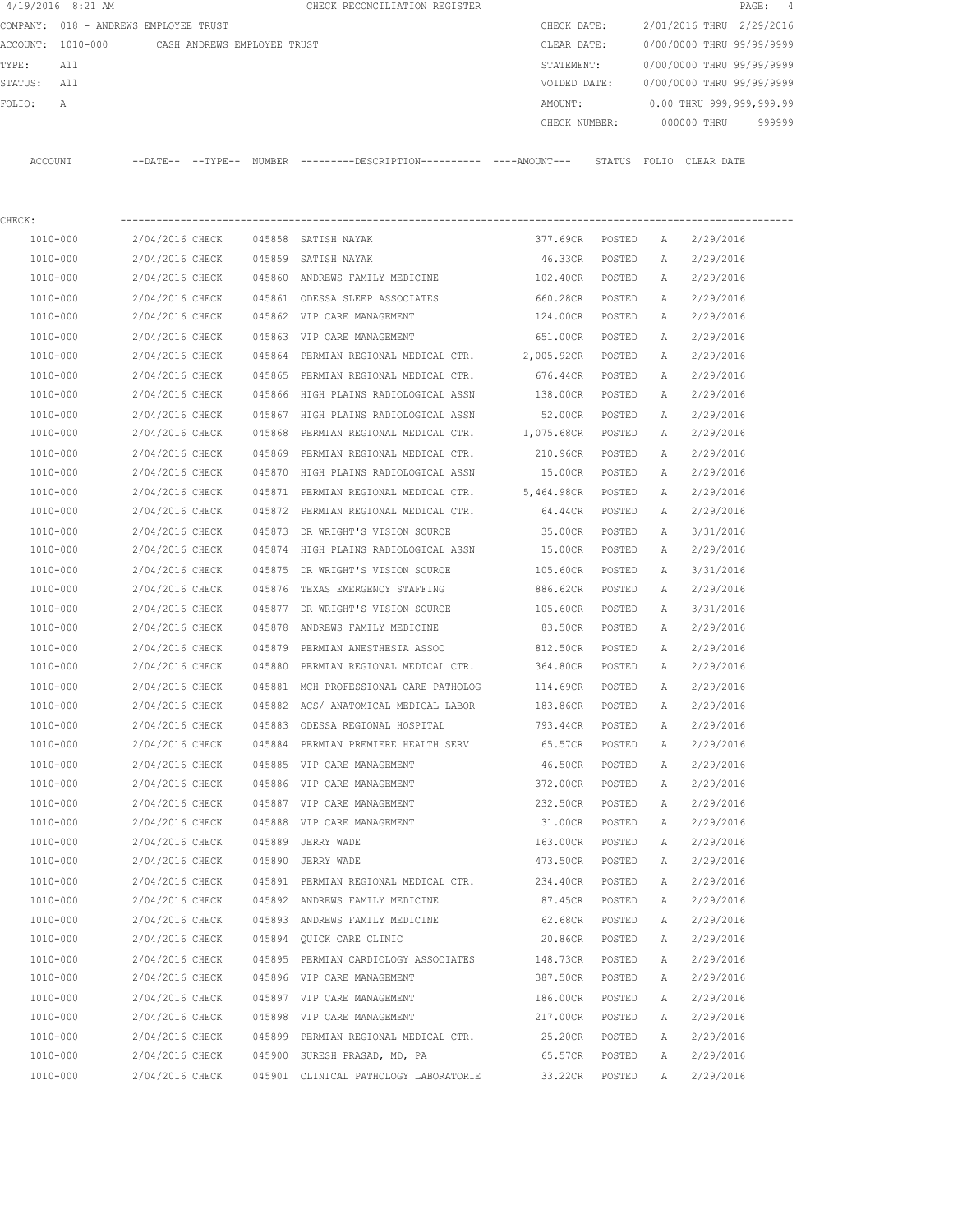|         | 4/19/2016 8:21 AM |                                       |               | CHECK RECONCILIATION REGISTER |               |        |       |             | PAGE: 4                   |  |
|---------|-------------------|---------------------------------------|---------------|-------------------------------|---------------|--------|-------|-------------|---------------------------|--|
|         |                   | COMPANY: 018 - ANDREWS EMPLOYEE TRUST |               |                               | CHECK DATE:   |        |       |             | 2/01/2016 THRU 2/29/2016  |  |
|         | ACCOUNT: 1010-000 | CASH ANDREWS EMPLOYEE TRUST           |               |                               | CLEAR DATE:   |        |       |             | 0/00/0000 THRU 99/99/9999 |  |
| TYPE:   | All               |                                       |               |                               | STATEMENT:    |        |       |             | 0/00/0000 THRU 99/99/9999 |  |
| STATUS: | All               |                                       |               |                               | VOIDED DATE:  |        |       |             | 0/00/0000 THRU 99/99/9999 |  |
| FOLTO:  | A                 |                                       |               |                               | AMOUNT:       |        |       |             | 0.00 THRU 999,999,999.99  |  |
|         |                   |                                       |               |                               | CHECK NUMBER: |        |       | 000000 THRU | 999999                    |  |
|         |                   |                                       |               |                               |               |        |       |             |                           |  |
| ACCOUNT |                   | $--$ TYPE $--$<br>$--$ DATE $--$      | <b>NUMBER</b> |                               |               | STATUS | FOLIO | CLEAR DATE  |                           |  |

| CHECK:       |                 |        |                                                 |                   |        |   |           |
|--------------|-----------------|--------|-------------------------------------------------|-------------------|--------|---|-----------|
| 1010-000     | 2/04/2016 CHECK |        | 045858 SATISH NAYAK                             | 377.69CR          | POSTED | A | 2/29/2016 |
| 1010-000     | 2/04/2016 CHECK |        | 045859 SATISH NAYAK                             | 46.33CR           | POSTED | Α | 2/29/2016 |
| 1010-000     | 2/04/2016 CHECK |        | 045860 ANDREWS FAMILY MEDICINE                  | 102.40CR          | POSTED | Α | 2/29/2016 |
| 1010-000     | 2/04/2016 CHECK |        | 045861 ODESSA SLEEP ASSOCIATES                  | 660.28CR          | POSTED | Α | 2/29/2016 |
| $1010 - 000$ | 2/04/2016 CHECK |        | 045862 VIP CARE MANAGEMENT                      | 124.00CR          | POSTED | Α | 2/29/2016 |
| 1010-000     | 2/04/2016 CHECK |        | 045863 VIP CARE MANAGEMENT                      | 651.00CR POSTED   |        | Α | 2/29/2016 |
| 1010-000     | 2/04/2016 CHECK |        | 045864 PERMIAN REGIONAL MEDICAL CTR.            | 2,005.92CR POSTED |        | Α | 2/29/2016 |
| 1010-000     | 2/04/2016 CHECK |        | 045865 PERMIAN REGIONAL MEDICAL CTR.            | 676.44CR POSTED   |        | A | 2/29/2016 |
| 1010-000     | 2/04/2016 CHECK |        | 045866 HIGH PLAINS RADIOLOGICAL ASSN            | 138.00CR POSTED   |        | A | 2/29/2016 |
| 1010-000     | 2/04/2016 CHECK |        | 045867 HIGH PLAINS RADIOLOGICAL ASSN            | 52.00CR           | POSTED | Α | 2/29/2016 |
| 1010-000     | 2/04/2016 CHECK | 045868 | PERMIAN REGIONAL MEDICAL CTR. 1,075.68CR        |                   | POSTED | A | 2/29/2016 |
| 1010-000     | 2/04/2016 CHECK |        | 045869 PERMIAN REGIONAL MEDICAL CTR.            | 210.96CR          | POSTED | A | 2/29/2016 |
| 1010-000     | 2/04/2016 CHECK |        | 045870 HIGH PLAINS RADIOLOGICAL ASSN            | 15.00CR           | POSTED | A | 2/29/2016 |
| 1010-000     | 2/04/2016 CHECK |        | 045871 PERMIAN REGIONAL MEDICAL CTR. 5,464.98CR |                   | POSTED | Α | 2/29/2016 |
| 1010-000     | 2/04/2016 CHECK |        | 045872 PERMIAN REGIONAL MEDICAL CTR.            | 64.44CR           | POSTED | Α | 2/29/2016 |
| 1010-000     | 2/04/2016 CHECK |        | 045873 DR WRIGHT'S VISION SOURCE                | 35.00CR           | POSTED | Α | 3/31/2016 |
| 1010-000     | 2/04/2016 CHECK |        | 045874 HIGH PLAINS RADIOLOGICAL ASSN            | 15.00CR           | POSTED | Α | 2/29/2016 |
| 1010-000     | 2/04/2016 CHECK |        | 045875 DR WRIGHT'S VISION SOURCE                | 105.60CR          | POSTED | Α | 3/31/2016 |
| 1010-000     | 2/04/2016 CHECK |        | 045876 TEXAS EMERGENCY STAFFING                 | 886.62CR          | POSTED | Α | 2/29/2016 |
| 1010-000     | 2/04/2016 CHECK |        | 045877 DR WRIGHT'S VISION SOURCE                | 105.60CR          | POSTED | Α | 3/31/2016 |
| 1010-000     | 2/04/2016 CHECK | 045878 | ANDREWS FAMILY MEDICINE                         | 83.50CR           | POSTED | Α | 2/29/2016 |
| 1010-000     | 2/04/2016 CHECK | 045879 | PERMIAN ANESTHESIA ASSOC                        | 812.50CR          | POSTED | Α | 2/29/2016 |
| 1010-000     | 2/04/2016 CHECK | 045880 | PERMIAN REGIONAL MEDICAL CTR.                   | 364.80CR          | POSTED | Α | 2/29/2016 |
| 1010-000     | 2/04/2016 CHECK |        | 045881 MCH PROFESSIONAL CARE PATHOLOG           | 114.69CR          | POSTED | Α | 2/29/2016 |
| 1010-000     | 2/04/2016 CHECK |        | 045882 ACS/ANATOMICAL MEDICAL LABOR             | 183.86CR          | POSTED | А | 2/29/2016 |
| 1010-000     | 2/04/2016 CHECK | 045883 | ODESSA REGIONAL HOSPITAL                        | 793.44CR          | POSTED | Α | 2/29/2016 |
| 1010-000     | 2/04/2016 CHECK |        | 045884 PERMIAN PREMIERE HEALTH SERV             | 65.57CR           | POSTED | Α | 2/29/2016 |
| 1010-000     | 2/04/2016 CHECK |        | 045885 VIP CARE MANAGEMENT                      | 46.50CR           | POSTED | А | 2/29/2016 |
| 1010-000     | 2/04/2016 CHECK |        | 045886 VIP CARE MANAGEMENT                      | 372.00CR          | POSTED | A | 2/29/2016 |
| 1010-000     | 2/04/2016 CHECK |        | 045887 VIP CARE MANAGEMENT                      | 232.50CR          | POSTED | Α | 2/29/2016 |
| 1010-000     | 2/04/2016 CHECK |        | 045888 VIP CARE MANAGEMENT                      | 31.00CR           | POSTED | А | 2/29/2016 |
| 1010-000     | 2/04/2016 CHECK |        | 045889 JERRY WADE                               | 163.00CR          | POSTED | A | 2/29/2016 |
| 1010-000     | 2/04/2016 CHECK |        | 045890 JERRY WADE                               | 473.50CR POSTED   |        | A | 2/29/2016 |
| 1010-000     | 2/04/2016 CHECK |        | 045891 PERMIAN REGIONAL MEDICAL CTR.            | 234.40CR          | POSTED | Α | 2/29/2016 |
| 1010-000     | 2/04/2016 CHECK |        | 045892 ANDREWS FAMILY MEDICINE                  | 87.45CR           | POSTED | Α | 2/29/2016 |
| 1010-000     | 2/04/2016 CHECK |        | 045893 ANDREWS FAMILY MEDICINE                  | 62.68CR           | POSTED | A | 2/29/2016 |
| 1010-000     | 2/04/2016 CHECK |        | 045894 QUICK CARE CLINIC                        | 20.86CR           | POSTED | Α | 2/29/2016 |
| 1010-000     | 2/04/2016 CHECK |        | 045895 PERMIAN CARDIOLOGY ASSOCIATES            | 148.73CR          | POSTED | A | 2/29/2016 |
| 1010-000     | 2/04/2016 CHECK |        | 045896 VIP CARE MANAGEMENT                      | 387.50CR          | POSTED | Α | 2/29/2016 |
| 1010-000     | 2/04/2016 CHECK |        | 045897 VIP CARE MANAGEMENT                      | 186.00CR          | POSTED | Α | 2/29/2016 |
| 1010-000     | 2/04/2016 CHECK |        | 045898 VIP CARE MANAGEMENT                      | 217.00CR          | POSTED | Α | 2/29/2016 |
| 1010-000     | 2/04/2016 CHECK |        | 045899 PERMIAN REGIONAL MEDICAL CTR.            | 25.20CR           | POSTED | Α | 2/29/2016 |
| 1010-000     | 2/04/2016 CHECK |        | 045900 SURESH PRASAD, MD, PA                    | 65.57CR           | POSTED | Α | 2/29/2016 |
| 1010-000     | 2/04/2016 CHECK |        | 045901 CLINICAL PATHOLOGY LABORATORIE           | 33.22CR           | POSTED | Α | 2/29/2016 |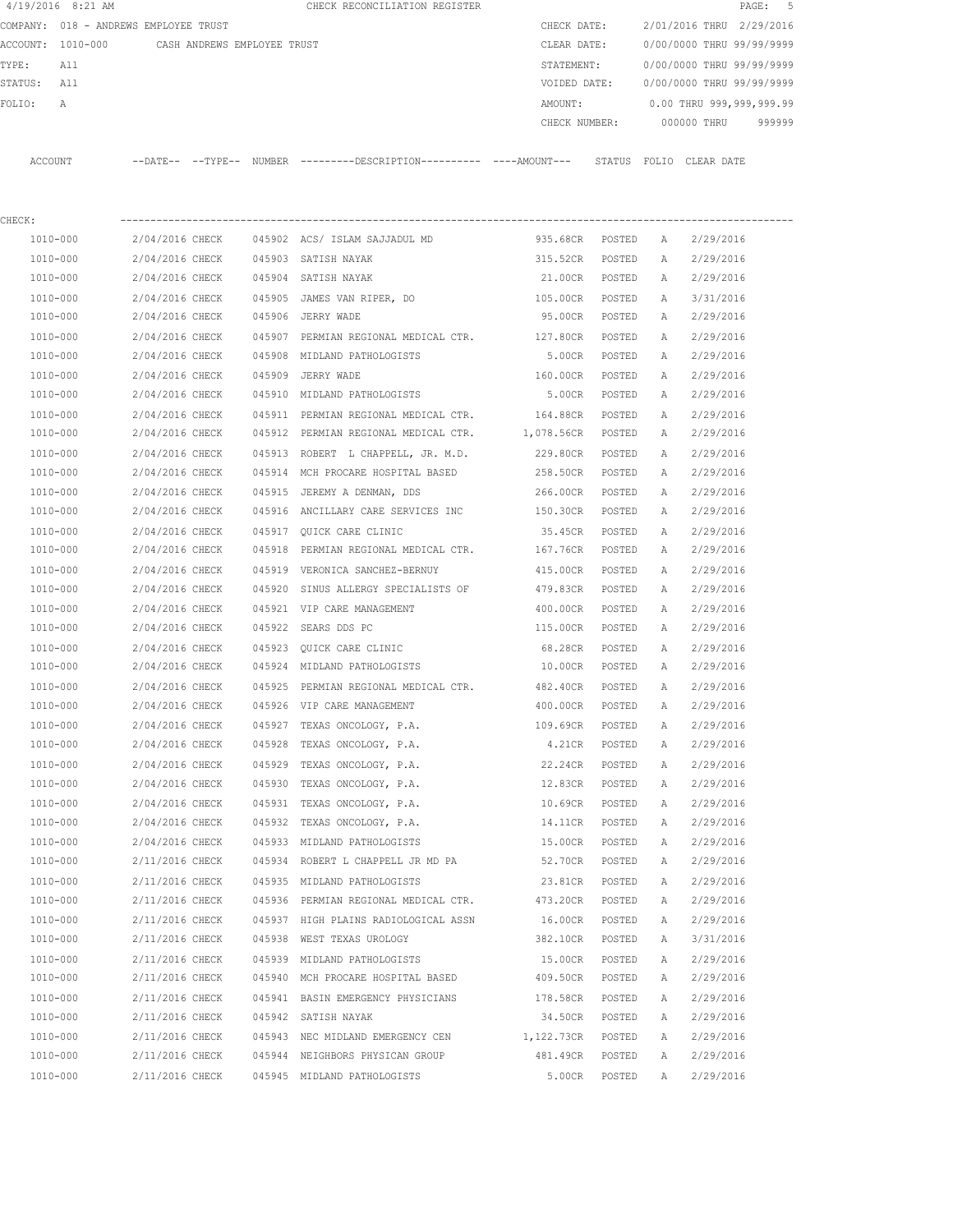|         | 4/19/2016 8:21 AM |                                       |        | CHECK RECONCILIATION REGISTER                |               |                           |            | PAGE: 5                  |  |
|---------|-------------------|---------------------------------------|--------|----------------------------------------------|---------------|---------------------------|------------|--------------------------|--|
|         |                   | COMPANY: 018 - ANDREWS EMPLOYEE TRUST |        |                                              | CHECK DATE:   | 2/01/2016 THRU 2/29/2016  |            |                          |  |
|         | ACCOUNT: 1010-000 | CASH ANDREWS EMPLOYEE TRUST           |        |                                              | CLEAR DATE:   | 0/00/0000 THRU 99/99/9999 |            |                          |  |
| TYPE:   | All               |                                       |        |                                              | STATEMENT:    | 0/00/0000 THRU 99/99/9999 |            |                          |  |
| STATUS: | All               |                                       |        |                                              | VOIDED DATE:  | 0/00/0000 THRU 99/99/9999 |            |                          |  |
| FOLTO:  | A                 |                                       |        |                                              | AMOUNT:       |                           |            | 0.00 THRU 999,999,999.99 |  |
|         |                   |                                       |        |                                              | CHECK NUMBER: | 000000 THRU               |            | 999999                   |  |
|         |                   |                                       |        |                                              |               |                           |            |                          |  |
| ACCOUNT |                   | $--$ DATE $- --$ TYPE $--$            | NUMBER | ---------DESCRIPTION---------- ----AMOUNT--- | STATUS        | FOLTO                     | CLEAR DATE |                          |  |
|         |                   |                                       |        |                                              |               |                           |            |                          |  |

| CHECK:       |                                   |                                                                        |                   |        |              |           |
|--------------|-----------------------------------|------------------------------------------------------------------------|-------------------|--------|--------------|-----------|
| 1010-000     |                                   | 2/04/2016 CHECK    045902   ACS/ ISLAM SAJJADUL MD                     | 935.68CR POSTED A |        |              | 2/29/2016 |
| 1010-000     | 2/04/2016 CHECK                   | 045903 SATISH NAYAK                                                    | 315.52CR POSTED   |        | A            | 2/29/2016 |
| 1010-000     | 2/04/2016 CHECK                   | 045904 SATISH NAYAK                                                    | 21.00CR POSTED    |        | A            | 2/29/2016 |
| 1010-000     |                                   | 2/04/2016 CHECK 045905 JAMES VAN RIPER, DO                             | 105.00CR POSTED   |        | A            | 3/31/2016 |
| 1010-000     | 2/04/2016 CHECK 045906 JERRY WADE |                                                                        | 95.00CR POSTED    |        | A            | 2/29/2016 |
| 1010-000     |                                   | 2/04/2016 CHECK 045907 PERMIAN REGIONAL MEDICAL CTR.                   | 127.80CR POSTED   |        | A            | 2/29/2016 |
| 1010-000     |                                   | 2/04/2016 CHECK 045908 MIDLAND PATHOLOGISTS                            | 5.00CR POSTED     |        | A            | 2/29/2016 |
| 1010-000     | 2/04/2016 CHECK 045909 JERRY WADE |                                                                        | 160.00CR POSTED   |        | A            | 2/29/2016 |
| 1010-000     |                                   | 2/04/2016 CHECK 045910 MIDLAND PATHOLOGISTS                            | 5.00CR POSTED     |        | A            | 2/29/2016 |
| 1010-000     |                                   | 2/04/2016 CHECK 045911 PERMIAN REGIONAL MEDICAL CTR. 164.88CR POSTED   |                   |        | A            | 2/29/2016 |
| 1010-000     |                                   | 2/04/2016 CHECK 045912 PERMIAN REGIONAL MEDICAL CTR. 1,078.56CR POSTED |                   |        | A            | 2/29/2016 |
| 1010-000     |                                   | 2/04/2016 CHECK 045913 ROBERT L CHAPPELL, JR. M.D. 229.80CR POSTED     |                   |        | A            | 2/29/2016 |
| 1010-000     | 2/04/2016 CHECK                   | 045914 MCH PROCARE HOSPITAL BASED 258.50CR POSTED                      |                   |        | A            | 2/29/2016 |
| 1010-000     | 2/04/2016 CHECK                   | 045915 JEREMY A DENMAN, DDS                                            | 266.00CR POSTED   |        | A            | 2/29/2016 |
| 1010-000     | 2/04/2016 CHECK                   | 045916 ANCILLARY CARE SERVICES INC 150.30CR POSTED                     |                   |        | A            | 2/29/2016 |
| 1010-000     |                                   | 2/04/2016 CHECK 045917 QUICK CARE CLINIC                               | 35.45CR POSTED    |        | A            | 2/29/2016 |
| 1010-000     |                                   | 2/04/2016 CHECK 045918 PERMIAN REGIONAL MEDICAL CTR.                   | 167.76CR POSTED   |        | A            | 2/29/2016 |
| 1010-000     |                                   | 2/04/2016 CHECK 045919 VERONICA SANCHEZ-BERNUY                         | 415.00CR POSTED   |        | A            | 2/29/2016 |
| 1010-000     | 2/04/2016 CHECK                   | 045920 SINUS ALLERGY SPECIALISTS OF                                    | 479.83CR POSTED   |        | A            | 2/29/2016 |
| 1010-000     | 2/04/2016 CHECK                   | 045921 VIP CARE MANAGEMENT                                             | 400.00CR POSTED   |        | A            | 2/29/2016 |
| 1010-000     | 2/04/2016 CHECK                   | 045922 SEARS DDS PC                                                    | 115.00CR POSTED   |        | A            | 2/29/2016 |
| 1010-000     |                                   | 2/04/2016 CHECK 045923 QUICK CARE CLINIC                               | 68.28CR POSTED    |        | A            | 2/29/2016 |
| 1010-000     |                                   | 2/04/2016 CHECK 045924 MIDLAND PATHOLOGISTS                            | 10.00CR POSTED    |        | A            | 2/29/2016 |
| 1010-000     |                                   | 2/04/2016 CHECK 045925 PERMIAN REGIONAL MEDICAL CTR. 482.40CR POSTED   |                   |        | A            | 2/29/2016 |
| 1010-000     |                                   | 2/04/2016 CHECK 045926 VIP CARE MANAGEMENT                             | 400.00CR POSTED   |        | A            | 2/29/2016 |
| 1010-000     | 2/04/2016 CHECK                   | 045927 TEXAS ONCOLOGY, P.A.                                            | 109.69CR          | POSTED | A            | 2/29/2016 |
| 1010-000     | 2/04/2016 CHECK                   | 045928 TEXAS ONCOLOGY, P.A.                                            | 4.21CR POSTED     |        | A            | 2/29/2016 |
| 1010-000     | 2/04/2016 CHECK                   | 045929 TEXAS ONCOLOGY, P.A.                                            | 22.24CR POSTED    |        | A            | 2/29/2016 |
| 1010-000     | 2/04/2016 CHECK                   | 045930 TEXAS ONCOLOGY, P.A.                                            | 12.83CR POSTED    |        | A            | 2/29/2016 |
| 1010-000     | 2/04/2016 CHECK                   | 045931 TEXAS ONCOLOGY, P.A.                                            | 10.69CR POSTED    |        | A            | 2/29/2016 |
| 1010-000     |                                   | 2/04/2016 CHECK 045932 TEXAS ONCOLOGY, P.A.                            | 14.11CR POSTED    |        | A            | 2/29/2016 |
| 1010-000     | 2/04/2016 CHECK                   | 045933 MIDLAND PATHOLOGISTS                                            | 15.00CR POSTED    |        | A            | 2/29/2016 |
| 1010-000     |                                   | 2/11/2016 CHECK 045934 ROBERT L CHAPPELL JR MD PA                      | 52.70CR POSTED    |        | A            | 2/29/2016 |
| 1010-000     | 2/11/2016 CHECK                   | 045935 MIDLAND PATHOLOGISTS                                            | 23.81CR POSTED    |        | <b>A</b>     | 2/29/2016 |
| 1010-000     | 2/11/2016 CHECK                   | 045936 PERMIAN REGIONAL MEDICAL CTR.                                   | 473.20CR          | POSTED | $\mathbb{A}$ | 2/29/2016 |
| 1010-000     | 2/11/2016 CHECK                   | 045937 HIGH PLAINS RADIOLOGICAL ASSN                                   | 16.00CR           | POSTED | Α            | 2/29/2016 |
| 1010-000     | 2/11/2016 CHECK                   | 045938 WEST TEXAS UROLOGY                                              | 382.10CR          | POSTED | Α            | 3/31/2016 |
| 1010-000     | 2/11/2016 CHECK                   | 045939 MIDLAND PATHOLOGISTS                                            | 15.00CR           | POSTED | Α            | 2/29/2016 |
| 1010-000     | 2/11/2016 CHECK                   | 045940 MCH PROCARE HOSPITAL BASED                                      | 409.50CR          | POSTED | А            | 2/29/2016 |
| $1010 - 000$ | 2/11/2016 CHECK                   | 045941 BASIN EMERGENCY PHYSICIANS                                      | 178.58CR          | POSTED | Α            | 2/29/2016 |
| 1010-000     | 2/11/2016 CHECK                   | 045942 SATISH NAYAK                                                    | 34.50CR           | POSTED | Α            | 2/29/2016 |
| 1010-000     | 2/11/2016 CHECK                   | 045943 NEC MIDLAND EMERGENCY CEN                                       | 1,122.73CR POSTED |        | Α            | 2/29/2016 |
| 1010-000     | 2/11/2016 CHECK                   | 045944 NEIGHBORS PHYSICAN GROUP                                        | 481.49CR          | POSTED | A            | 2/29/2016 |
| $1010 - 000$ | 2/11/2016 CHECK                   | 045945 MIDLAND PATHOLOGISTS                                            | 5.00CR            | POSTED | Α            | 2/29/2016 |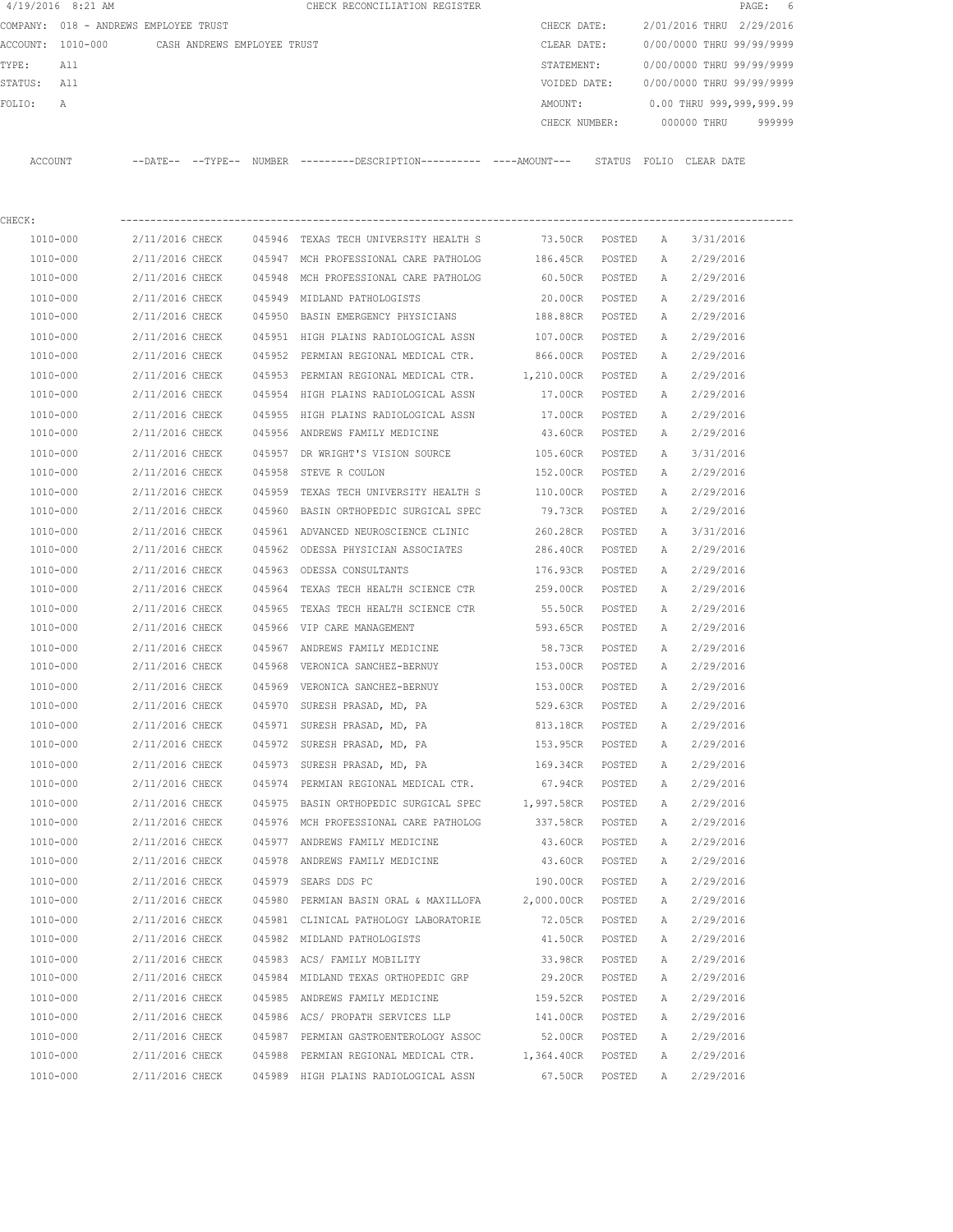|             | 4/19/2016 8:21 AM                             |                                    |                 |        | CHECK RECONCILIATION REGISTER                                                               |                                    |                  |          |                                  | PAGE: 6 |
|-------------|-----------------------------------------------|------------------------------------|-----------------|--------|---------------------------------------------------------------------------------------------|------------------------------------|------------------|----------|----------------------------------|---------|
|             | COMPANY: 018 - ANDREWS EMPLOYEE TRUST         |                                    |                 |        |                                                                                             | CHECK DATE:                        |                  |          | 2/01/2016 THRU 2/29/2016         |         |
|             | ACCOUNT: 1010-000 CASH ANDREWS EMPLOYEE TRUST |                                    |                 |        |                                                                                             | CLEAR DATE:                        |                  |          | 0/00/0000 THRU 99/99/9999        |         |
| TYPE:       | All                                           |                                    |                 |        |                                                                                             | STATEMENT:                         |                  |          | 0/00/0000 THRU 99/99/9999        |         |
| STATUS: All |                                               |                                    |                 |        |                                                                                             | VOIDED DATE:                       |                  |          | 0/00/0000 THRU 99/99/9999        |         |
| FOLIO:      | А                                             |                                    |                 |        |                                                                                             | AMOUNT:                            |                  |          | 0.00 THRU 999,999,999.99         |         |
|             |                                               |                                    |                 |        |                                                                                             |                                    |                  |          | CHECK NUMBER: 000000 THRU 999999 |         |
|             | ACCOUNT                                       |                                    |                 |        | --DATE-- --TYPE-- NUMBER --------DESCRIPTION---------- ---AMOUNT--- STATUS FOLIO CLEAR-DATE |                                    |                  |          |                                  |         |
| CHECK:      |                                               |                                    |                 |        |                                                                                             |                                    |                  |          |                                  |         |
|             | 1010-000                                      | 2/11/2016 CHECK                    |                 |        | 045946 TEXAS TECH UNIVERSITY HEALTH S                                                       | 73.50CR POSTED A                   |                  |          | 3/31/2016                        |         |
|             | 1010-000                                      | 2/11/2016 CHECK                    |                 |        | 045947 MCH PROFESSIONAL CARE PATHOLOG                                                       | 186.45CR POSTED                    |                  | A        | 2/29/2016                        |         |
|             | 1010-000                                      | 2/11/2016 CHECK                    |                 |        | 045948 MCH PROFESSIONAL CARE PATHOLOG                                                       | 60.50CR POSTED                     |                  | <b>A</b> | 2/29/2016                        |         |
|             | 1010-000                                      | 2/11/2016 CHECK                    |                 |        | 045949 MIDLAND PATHOLOGISTS                                                                 | 20.00CR POSTED                     |                  | A        | 2/29/2016                        |         |
|             | 1010-000                                      | 2/11/2016 CHECK                    |                 |        | 045950 BASIN EMERGENCY PHYSICIANS                                                           | 188.88CR POSTED                    |                  | A        | 2/29/2016                        |         |
|             | 1010-000                                      | 2/11/2016 CHECK                    |                 |        | 045951 HIGH PLAINS RADIOLOGICAL ASSN 107.00CR                                               |                                    | POSTED           | A        | 2/29/2016                        |         |
|             | 1010-000                                      | 2/11/2016 CHECK                    |                 |        | 045952 PERMIAN REGIONAL MEDICAL CTR. 666.00CR POSTED                                        |                                    |                  | A        | 2/29/2016                        |         |
|             | 1010-000                                      | 2/11/2016 CHECK                    |                 |        | 045953 PERMIAN REGIONAL MEDICAL CTR. 1,210.00CR POSTED                                      |                                    |                  | A        | 2/29/2016                        |         |
|             | 1010-000                                      |                                    | 2/11/2016 CHECK |        | 045954 HIGH PLAINS RADIOLOGICAL ASSN 17.00CR POSTED                                         |                                    |                  | A        | 2/29/2016                        |         |
|             | 1010-000                                      | 2/11/2016 CHECK                    |                 |        | 045955 HIGH PLAINS RADIOLOGICAL ASSN 17.00CR                                                |                                    | POSTED           | A        | 2/29/2016                        |         |
|             | 1010-000                                      |                                    | 2/11/2016 CHECK |        | 045956 ANDREWS FAMILY MEDICINE                                                              | 43.60CR                            | POSTED           | A        | 2/29/2016                        |         |
|             | 1010-000                                      | 2/11/2016 CHECK                    |                 |        | 045957 DR WRIGHT'S VISION SOURCE                                                            |                                    |                  |          |                                  |         |
|             | 1010-000                                      | 2/11/2016 CHECK                    |                 |        | 045958 STEVE R COULON                                                                       | 105.60CR POSTED<br>152.00CR POSTED |                  | A<br>A   | 3/31/2016<br>2/29/2016           |         |
|             | 1010-000                                      | 2/11/2016 CHECK                    |                 |        | 045959 TEXAS TECH UNIVERSITY HEALTH S                                                       | 110.00CR POSTED                    |                  | A        | 2/29/2016                        |         |
|             | 1010-000                                      | 2/11/2016 CHECK                    |                 |        | 045960 BASIN ORTHOPEDIC SURGICAL SPEC                                                       | 79.73CR                            | POSTED           | A        | 2/29/2016                        |         |
|             |                                               |                                    |                 |        |                                                                                             |                                    |                  |          |                                  |         |
|             | 1010-000                                      | 2/11/2016 CHECK                    |                 |        | 045961 ADVANCED NEUROSCIENCE CLINIC<br>045962 ODESSA PHYSICIAN ASSOCIATES                   | 260.28CR                           | POSTED           | A        | 3/31/2016                        |         |
|             | 1010-000                                      | 2/11/2016 CHECK                    |                 |        |                                                                                             | 286.40CR                           | POSTED           | A        | 2/29/2016                        |         |
|             | 1010-000                                      | 2/11/2016 CHECK                    |                 |        | 045963 ODESSA CONSULTANTS                                                                   | 176.93CR                           | POSTED           | A        | 2/29/2016                        |         |
|             | 1010-000                                      | 2/11/2016 CHECK<br>2/11/2016 CHECK |                 |        | 045964 TEXAS TECH HEALTH SCIENCE CTR                                                        | 259.00CR                           | POSTED<br>POSTED | A        | 2/29/2016                        |         |
|             | 1010-000<br>1010-000                          | 2/11/2016 CHECK                    |                 | 045965 | TEXAS TECH HEALTH SCIENCE CTR<br>045966 VIP CARE MANAGEMENT                                 | 55.50CR<br>593.65CR                | POSTED           | A<br>A   | 2/29/2016<br>2/29/2016           |         |
|             |                                               |                                    |                 |        | 045967 ANDREWS FAMILY MEDICINE                                                              |                                    |                  |          |                                  |         |
|             | 1010-000                                      | 2/11/2016 CHECK                    |                 |        | 2/11/2016 CHECK 045968 VERONICA SANCHEZ-BERNUY                                              | 58.73CR                            | POSTED           | A        | 2/29/2016                        |         |
|             | 1010-000                                      |                                    |                 |        |                                                                                             | 153.00CR                           | POSTED           | A        | 2/29/2016                        |         |
|             | 1010-000                                      |                                    |                 |        | 2/11/2016 CHECK 045969 VERONICA SANCHEZ-BERNUY                                              | 153.00CR                           | POSTED           | A        | 2/29/2016                        |         |
|             | 1010-000                                      | 2/11/2016 CHECK                    |                 |        | 045970 SURESH PRASAD, MD, PA                                                                | 529.63CR                           | POSTED           | А        | 2/29/2016                        |         |
|             | $1010 - 000$                                  | 2/11/2016 CHECK                    |                 |        | 045971 SURESH PRASAD, MD, PA                                                                | 813.18CR                           | POSTED           | Α        | 2/29/2016                        |         |
|             | 1010-000                                      | 2/11/2016 CHECK                    |                 |        | 045972 SURESH PRASAD, MD, PA                                                                | 153.95CR                           | POSTED           | Α        | 2/29/2016                        |         |
|             | $1010 - 000$                                  | 2/11/2016 CHECK                    |                 |        | 045973 SURESH PRASAD, MD, PA                                                                | 169.34CR                           | POSTED           | Α        | 2/29/2016                        |         |
|             | 1010-000                                      | 2/11/2016 CHECK                    |                 |        | 045974 PERMIAN REGIONAL MEDICAL CTR.                                                        | 67.94CR                            | POSTED           | Α        | 2/29/2016                        |         |
|             | $1010 - 000$                                  | 2/11/2016 CHECK                    |                 |        | 045975 BASIN ORTHOPEDIC SURGICAL SPEC 1,997.58CR POSTED                                     |                                    |                  | Α        | 2/29/2016                        |         |
|             | $1010 - 000$                                  | 2/11/2016 CHECK                    |                 |        | 045976 MCH PROFESSIONAL CARE PATHOLOG                                                       | 337.58CR                           | POSTED           | Α        | 2/29/2016                        |         |
|             | $1010 - 000$                                  | 2/11/2016 CHECK                    |                 |        | 045977 ANDREWS FAMILY MEDICINE                                                              | 43.60CR                            | POSTED           | Α        | 2/29/2016                        |         |
|             | 1010-000                                      | 2/11/2016 CHECK                    |                 |        | 045978 ANDREWS FAMILY MEDICINE                                                              | 43.60CR                            | POSTED           | Α        | 2/29/2016                        |         |
|             | 1010-000                                      | 2/11/2016 CHECK                    |                 |        | 045979 SEARS DDS PC                                                                         | 190.00CR                           | POSTED           | Α        | 2/29/2016                        |         |
|             | 1010-000                                      | 2/11/2016 CHECK                    |                 |        | 045980 PERMIAN BASIN ORAL & MAXILLOFA                                                       | 2,000.00CR                         | POSTED           | Α        | 2/29/2016                        |         |
|             | 1010-000                                      | 2/11/2016 CHECK                    |                 |        | 045981 CLINICAL PATHOLOGY LABORATORIE                                                       | 72.05CR                            | POSTED           | Α        | 2/29/2016                        |         |
|             | 1010-000                                      | 2/11/2016 CHECK                    |                 |        | 045982 MIDLAND PATHOLOGISTS                                                                 | 41.50CR                            | POSTED           | Α        | 2/29/2016                        |         |
|             | 1010-000                                      | 2/11/2016 CHECK                    |                 |        | 045983 ACS/ FAMILY MOBILITY                                                                 | 33.98CR                            | POSTED           | Α        | 2/29/2016                        |         |
|             | 1010-000                                      | 2/11/2016 CHECK                    |                 |        | 045984 MIDLAND TEXAS ORTHOPEDIC GRP                                                         | 29.20CR                            | POSTED           | Α        | 2/29/2016                        |         |
|             | 1010-000                                      | 2/11/2016 CHECK                    |                 |        | 045985 ANDREWS FAMILY MEDICINE                                                              | 159.52CR                           | POSTED           | Α        | 2/29/2016                        |         |
|             | 1010-000                                      | 2/11/2016 CHECK                    |                 |        | 045986 ACS/ PROPATH SERVICES LLP                                                            | 141.00CR                           | POSTED           | Α        | 2/29/2016                        |         |
|             | 1010-000                                      | 2/11/2016 CHECK                    |                 |        | 045987 PERMIAN GASTROENTEROLOGY ASSOC                                                       | 52.00CR                            | POSTED           | Α        | 2/29/2016                        |         |
|             | 1010-000                                      |                                    | 2/11/2016 CHECK |        | 045988 PERMIAN REGIONAL MEDICAL CTR. 1,364.40CR POSTED                                      |                                    |                  | Α        | 2/29/2016                        |         |
|             | 1010-000                                      | 2/11/2016 CHECK                    |                 |        | 045989 HIGH PLAINS RADIOLOGICAL ASSN                                                        | 67.50CR                            | POSTED           | Α        | 2/29/2016                        |         |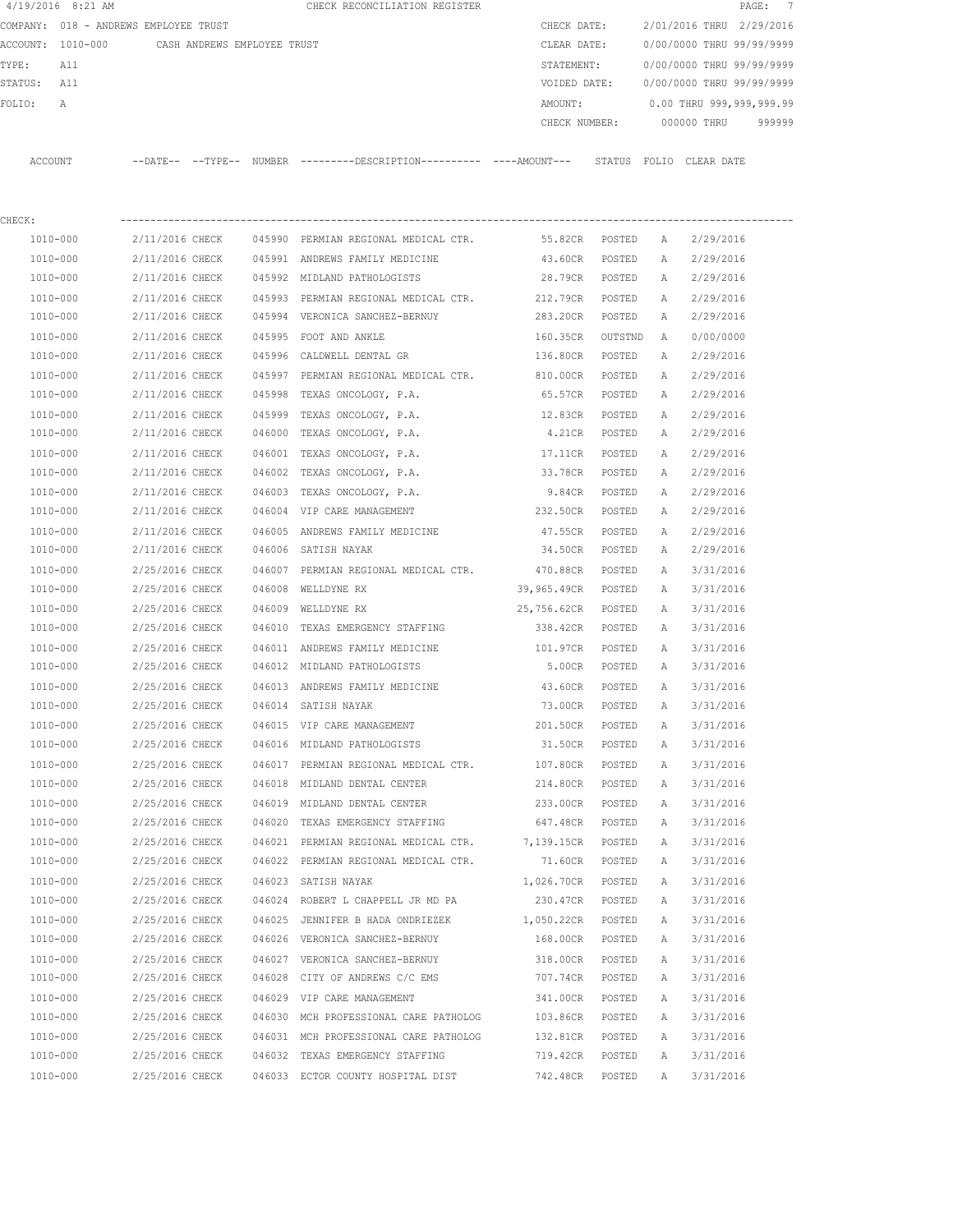|             | $4/19/2016$ 8:21 AM                           |                 |        | CHECK RECONCILIATION REGISTER                                                                 |                    |                |              |                           | 7<br>PAGE: |
|-------------|-----------------------------------------------|-----------------|--------|-----------------------------------------------------------------------------------------------|--------------------|----------------|--------------|---------------------------|------------|
|             | COMPANY: 018 - ANDREWS EMPLOYEE TRUST         |                 |        |                                                                                               | CHECK DATE:        |                |              | 2/01/2016 THRU 2/29/2016  |            |
|             | ACCOUNT: 1010-000 CASH ANDREWS EMPLOYEE TRUST |                 |        |                                                                                               | CLEAR DATE:        |                |              | 0/00/0000 THRU 99/99/9999 |            |
| TYPE:       | All                                           |                 |        |                                                                                               | STATEMENT:         |                |              | 0/00/0000 THRU 99/99/9999 |            |
| STATUS: All |                                               |                 |        |                                                                                               | VOIDED DATE:       |                |              | 0/00/0000 THRU 99/99/9999 |            |
| FOLIO:      | Α                                             |                 |        |                                                                                               | AMOUNT:            |                |              | 0.00 THRU 999,999,999.99  |            |
|             |                                               |                 |        |                                                                                               | CHECK NUMBER:      |                |              | 000000 THRU               | 999999     |
|             | ACCOUNT                                       |                 |        | --DATE-- --TYPE-- NUMBER ---------DESCRIPTION---------- ----AMOUNT--- STATUS FOLIO CLEAR DATE |                    |                |              |                           |            |
| CHECK:      |                                               |                 |        |                                                                                               |                    |                |              |                           |            |
|             | 1010-000                                      | 2/11/2016 CHECK |        | 045990 PERMIAN REGIONAL MEDICAL CTR.                                                          |                    | 55.82CR POSTED | A            | 2/29/2016                 |            |
|             | 1010-000                                      | 2/11/2016 CHECK |        | 045991 ANDREWS FAMILY MEDICINE                                                                | 43.60CR            | POSTED         | А            | 2/29/2016                 |            |
|             | 1010-000                                      |                 |        | 2/11/2016 CHECK 045992 MIDLAND PATHOLOGISTS                                                   | 28.79CR POSTED     |                | A            | 2/29/2016                 |            |
|             | 1010-000                                      | 2/11/2016 CHECK |        | 045993 PERMIAN REGIONAL MEDICAL CTR.                                                          | 212.79CR           | POSTED         | A            | 2/29/2016                 |            |
|             | 1010-000                                      | 2/11/2016 CHECK |        | 045994 VERONICA SANCHEZ-BERNUY                                                                | 283.20CR POSTED    |                | A            | 2/29/2016                 |            |
|             | 1010-000                                      | 2/11/2016 CHECK |        | 045995 FOOT AND ANKLE                                                                         | 160.35CR OUTSTND   |                | A            | 0/00/0000                 |            |
|             | 1010-000                                      | 2/11/2016 CHECK |        | 045996 CALDWELL DENTAL GR                                                                     | 136.80CR POSTED    |                | Α            | 2/29/2016                 |            |
|             | 1010-000                                      | 2/11/2016 CHECK |        | 045997 PERMIAN REGIONAL MEDICAL CTR.                                                          | 810.00CR           | POSTED         | A            | 2/29/2016                 |            |
|             | 1010-000                                      | 2/11/2016 CHECK |        | 045998 TEXAS ONCOLOGY, P.A.                                                                   | 65.57CR POSTED     |                | A            | 2/29/2016                 |            |
|             | 1010-000                                      | 2/11/2016 CHECK | 045999 | TEXAS ONCOLOGY, P.A.                                                                          | 12.83CR            | POSTED         | A            | 2/29/2016                 |            |
|             | 1010-000                                      | 2/11/2016 CHECK |        | 046000 TEXAS ONCOLOGY, P.A.                                                                   | 4.21CR             | POSTED         | A            | 2/29/2016                 |            |
|             | 1010-000                                      | 2/11/2016 CHECK |        | 046001 TEXAS ONCOLOGY, P.A.                                                                   | 17.11CR            | POSTED         | A            | 2/29/2016                 |            |
|             | 1010-000                                      | 2/11/2016 CHECK |        | 046002 TEXAS ONCOLOGY, P.A.                                                                   | 33.78CR            | POSTED         | $\mathbb{A}$ | 2/29/2016                 |            |
|             | 1010-000                                      | 2/11/2016 CHECK |        | 046003 TEXAS ONCOLOGY, P.A.                                                                   | 9.84CR             | POSTED         | Α            | 2/29/2016                 |            |
|             | 1010-000                                      | 2/11/2016 CHECK |        | 046004 VIP CARE MANAGEMENT                                                                    | 232.50CR           | POSTED         | A            | 2/29/2016                 |            |
|             | 1010-000                                      | 2/11/2016 CHECK |        | 046005 ANDREWS FAMILY MEDICINE                                                                | 47.55CR POSTED     |                | Α            | 2/29/2016                 |            |
|             | 1010-000                                      | 2/11/2016 CHECK |        | 046006 SATISH NAYAK                                                                           | 34.50CR POSTED     |                | Α            | 2/29/2016                 |            |
|             | 1010-000                                      | 2/25/2016 CHECK |        | 046007 PERMIAN REGIONAL MEDICAL CTR.                                                          | 470.88CR POSTED    |                | $\mathbb{A}$ | 3/31/2016                 |            |
|             | 1010-000                                      | 2/25/2016 CHECK |        | 046008 WELLDYNE RX                                                                            | 39,965.49CR POSTED |                | A            | 3/31/2016                 |            |
|             | 1010-000                                      | 2/25/2016 CHECK |        | 046009 WELLDYNE RX                                                                            | 25,756.62CR POSTED |                | Α            | 3/31/2016                 |            |
|             | 1010-000                                      | 2/25/2016 CHECK | 046010 | TEXAS EMERGENCY STAFFING                                                                      | 338.42CR           | POSTED         | A            | 3/31/2016                 |            |
|             | 1010-000                                      | 2/25/2016 CHECK |        | 046011 ANDREWS FAMILY MEDICINE                                                                | 101.97CR           | POSTED         | A            | 3/31/2016                 |            |
|             | 1010-000                                      | 2/25/2016 CHECK |        | 046012 MIDLAND PATHOLOGISTS                                                                   | 5.00CR             | POSTED         | A            | 3/31/2016                 |            |
|             | 1010-000                                      | 2/25/2016 CHECK |        | 046013 ANDREWS FAMILY MEDICINE 43.60CR                                                        |                    | <b>POSTED</b>  | $\mathbb{A}$ | 3/31/2016                 |            |
|             | 1010-000                                      | 2/25/2016 CHECK |        | 046014 SATISH NAYAK                                                                           | 73.00CR            | POSTED         | Α            | 3/31/2016                 |            |
|             | 1010-000                                      | 2/25/2016 CHECK |        | 046015 VIP CARE MANAGEMENT                                                                    | 201.50CR           | POSTED         | Α            | 3/31/2016                 |            |
|             | 1010-000                                      | 2/25/2016 CHECK |        | 046016 MIDLAND PATHOLOGISTS                                                                   | 31.50CR            | POSTED         | Α            | 3/31/2016                 |            |
|             | 1010-000                                      | 2/25/2016 CHECK |        | 046017 PERMIAN REGIONAL MEDICAL CTR.                                                          | 107.80CR           | POSTED         | Α            | 3/31/2016                 |            |
|             | 1010-000                                      | 2/25/2016 CHECK |        | 046018 MIDLAND DENTAL CENTER                                                                  | 214.80CR           | POSTED         | Α            | 3/31/2016                 |            |
|             | 1010-000                                      | 2/25/2016 CHECK |        | 046019 MIDLAND DENTAL CENTER                                                                  | 233.00CR           | POSTED         | Α            | 3/31/2016                 |            |
|             | 1010-000                                      | 2/25/2016 CHECK |        | 046020 TEXAS EMERGENCY STAFFING                                                               | 647.48CR           | POSTED         | Α            | 3/31/2016                 |            |
|             | 1010-000                                      | 2/25/2016 CHECK |        | 046021 PERMIAN REGIONAL MEDICAL CTR.                                                          | 7,139.15CR         | POSTED         | Α            | 3/31/2016                 |            |
|             | 1010-000                                      | 2/25/2016 CHECK |        | 046022 PERMIAN REGIONAL MEDICAL CTR.                                                          | 71.60CR            | POSTED         | Α            | 3/31/2016                 |            |
|             | 1010-000                                      | 2/25/2016 CHECK |        | 046023 SATISH NAYAK                                                                           | 1,026.70CR         | POSTED         | Α            | 3/31/2016                 |            |
|             | 1010-000                                      | 2/25/2016 CHECK |        | 046024 ROBERT L CHAPPELL JR MD PA                                                             | 230.47CR           | POSTED         | Α            | 3/31/2016                 |            |
|             | 1010-000                                      | 2/25/2016 CHECK |        | 046025 JENNIFER B HADA ONDRIEZEK                                                              | 1,050.22CR         | POSTED         | Α            | 3/31/2016                 |            |
|             | 1010-000                                      | 2/25/2016 CHECK |        | 046026 VERONICA SANCHEZ-BERNUY                                                                | 168.00CR           | POSTED         | Α            | 3/31/2016                 |            |
|             | 1010-000                                      | 2/25/2016 CHECK |        | 046027 VERONICA SANCHEZ-BERNUY                                                                | 318.00CR           | POSTED         | Α            | 3/31/2016                 |            |
|             | 1010-000                                      | 2/25/2016 CHECK |        | 046028 CITY OF ANDREWS C/C EMS                                                                | 707.74CR           | POSTED         | Α            | 3/31/2016                 |            |
|             | 1010-000                                      | 2/25/2016 CHECK |        | 046029 VIP CARE MANAGEMENT                                                                    | 341.00CR           | POSTED         | Α            | 3/31/2016                 |            |
|             | 1010-000                                      | 2/25/2016 CHECK |        | 046030 MCH PROFESSIONAL CARE PATHOLOG                                                         | 103.86CR           | POSTED         | Α            | 3/31/2016                 |            |
|             | 1010-000                                      | 2/25/2016 CHECK |        | 046031 MCH PROFESSIONAL CARE PATHOLOG                                                         | 132.81CR           | POSTED         | Α            | 3/31/2016                 |            |
|             | 1010-000                                      | 2/25/2016 CHECK |        | 046032 TEXAS EMERGENCY STAFFING                                                               | 719.42CR           | POSTED         | Α            | 3/31/2016                 |            |
|             | 1010-000                                      | 2/25/2016 CHECK |        | 046033 ECTOR COUNTY HOSPITAL DIST                                                             | 742.48CR           | POSTED         | Α            | 3/31/2016                 |            |
|             |                                               |                 |        |                                                                                               |                    |                |              |                           |            |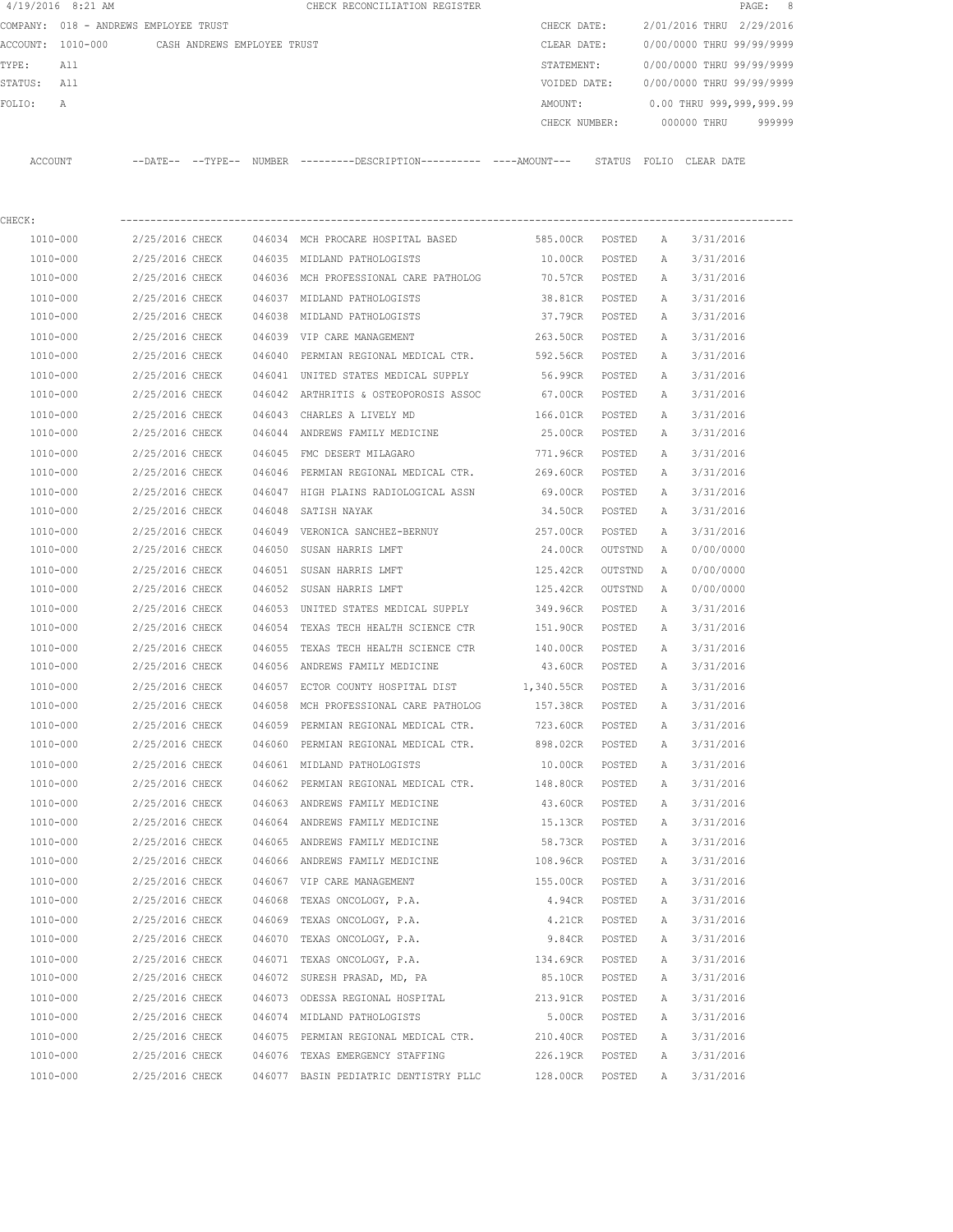| $4/19/2016$ 8:21 AM                   |                             |        | CHECK RECONCILIATION REGISTER                                                                    |                 |         |              | PAGE: 8                   |        |
|---------------------------------------|-----------------------------|--------|--------------------------------------------------------------------------------------------------|-----------------|---------|--------------|---------------------------|--------|
| COMPANY: 018 - ANDREWS EMPLOYEE TRUST |                             |        |                                                                                                  | CHECK DATE:     |         |              | 2/01/2016 THRU 2/29/2016  |        |
| ACCOUNT: 1010-000                     | CASH ANDREWS EMPLOYEE TRUST |        |                                                                                                  | CLEAR DATE:     |         |              | 0/00/0000 THRU 99/99/9999 |        |
| All<br>TYPE:                          |                             |        |                                                                                                  | STATEMENT:      |         |              | 0/00/0000 THRU 99/99/9999 |        |
| STATUS: All                           |                             |        |                                                                                                  | VOIDED DATE:    |         |              | 0/00/0000 THRU 99/99/9999 |        |
| FOLIO:<br>Α                           |                             |        |                                                                                                  | AMOUNT:         |         |              | 0.00 THRU 999,999,999.99  |        |
|                                       |                             |        |                                                                                                  | CHECK NUMBER:   |         |              | 000000 THRU               | 999999 |
| ACCOUNT                               |                             |        | --DATE-- --TYPE-- NUMBER --------DESCRIPTION--------- ---AMOUNT--- STATUS FOLIO CLEAR DATE       |                 |         |              |                           |        |
|                                       |                             |        |                                                                                                  |                 |         |              |                           |        |
| CHECK:                                |                             |        |                                                                                                  |                 |         |              |                           |        |
| 1010-000                              | 2/25/2016 CHECK             |        | 046034 MCH PROCARE HOSPITAL BASED                                                                | 585.00CR        | POSTED  | Α            | 3/31/2016                 |        |
| 1010-000                              | 2/25/2016 CHECK             |        | 046035 MIDLAND PATHOLOGISTS                                                                      | 10.00CR         | POSTED  | Α            | 3/31/2016                 |        |
| 1010-000                              | 2/25/2016 CHECK             |        | 046036 MCH PROFESSIONAL CARE PATHOLOG                                                            | 70.57CR         | POSTED  | Α            | 3/31/2016                 |        |
| 1010-000                              | 2/25/2016 CHECK             |        | 046037 MIDLAND PATHOLOGISTS                                                                      | 38.81CR         | POSTED  | Α            | 3/31/2016                 |        |
| 1010-000                              | 2/25/2016 CHECK             |        | 046038 MIDLAND PATHOLOGISTS                                                                      | 37.79CR         | POSTED  | A            | 3/31/2016                 |        |
| 1010-000                              | 2/25/2016 CHECK             |        | 046039 VIP CARE MANAGEMENT                                                                       | 263.50CR        | POSTED  | A            | 3/31/2016                 |        |
| 1010-000                              | 2/25/2016 CHECK             | 046040 | PERMIAN REGIONAL MEDICAL CTR.                                                                    | 592.56CR        | POSTED  | A            | 3/31/2016                 |        |
| 1010-000                              | 2/25/2016 CHECK             |        | 046041 UNITED STATES MEDICAL SUPPLY                                                              | 56.99CR         | POSTED  | А            | 3/31/2016                 |        |
| 1010-000                              | 2/25/2016 CHECK             |        | 046042 ARTHRITIS & OSTEOPOROSIS ASSOC                                                            | 67.00CR         | POSTED  | Α            | 3/31/2016                 |        |
| 1010-000                              | 2/25/2016 CHECK             |        | 046043 CHARLES A LIVELY MD                                                                       | 166.01CR        | POSTED  | A            | 3/31/2016                 |        |
| 1010-000                              | 2/25/2016 CHECK             |        | 046044 ANDREWS FAMILY MEDICINE                                                                   | 25.00CR         | POSTED  | A            | 3/31/2016                 |        |
| 1010-000                              | 2/25/2016 CHECK             |        | 046045 FMC DESERT MILAGARO                                                                       | 771.96CR        | POSTED  | A            | 3/31/2016                 |        |
| 1010-000                              | 2/25/2016 CHECK             |        | 046046 PERMIAN REGIONAL MEDICAL CTR.                                                             | 269.60CR        | POSTED  | A            | 3/31/2016                 |        |
| 1010-000                              | 2/25/2016 CHECK             |        | 046047 HIGH PLAINS RADIOLOGICAL ASSN                                                             | 69.00CR         | POSTED  | А            | 3/31/2016                 |        |
| 1010-000                              | 2/25/2016 CHECK             |        | 046048 SATISH NAYAK                                                                              | 34.50CR         | POSTED  | A            | 3/31/2016                 |        |
| 1010-000                              | 2/25/2016 CHECK             |        | 046049 VERONICA SANCHEZ-BERNUY                                                                   | 257.00CR        | POSTED  | A            | 3/31/2016                 |        |
| 1010-000                              | 2/25/2016 CHECK             |        | 046050 SUSAN HARRIS LMFT                                                                         | 24.00CR         | OUTSTND | A            | 0/00/0000                 |        |
| 1010-000                              | 2/25/2016 CHECK             |        | 046051 SUSAN HARRIS LMFT                                                                         | 125.42CR        | OUTSTND | A            | 0/00/0000                 |        |
| 1010-000                              | 2/25/2016 CHECK             |        | 046052 SUSAN HARRIS LMFT                                                                         | 125.42CR        | OUTSTND | $\mathbb{A}$ | 0/00/0000                 |        |
| 1010-000                              | 2/25/2016 CHECK             |        | 046053 UNITED STATES MEDICAL SUPPLY                                                              | 349.96CR        | POSTED  | Α            | 3/31/2016                 |        |
| 1010-000                              | 2/25/2016 CHECK             |        | 046054 TEXAS TECH HEALTH SCIENCE CTR                                                             | 151.90CR        | POSTED  | Α            | 3/31/2016                 |        |
| 1010-000                              | 2/25/2016 CHECK             | 046055 | TEXAS TECH HEALTH SCIENCE CTR                                                                    | 140.00CR        | POSTED  | Α            | 3/31/2016                 |        |
| 1010-000                              | 2/25/2016 CHECK             |        | 046056 ANDREWS FAMILY MEDICINE                                                                   | 43.60CR         | POSTED  | $\mathbb A$  | 3/31/2016                 |        |
| 1010-000                              |                             |        | 2/25/2016 CHECK 046057 ECTOR COUNTY HOSPITAL DIST 1,340.55CR POSTED A 3/31/2016                  |                 |         |              |                           |        |
| 1010-000                              |                             |        | 2/25/2016 CHECK 046058 MCH PROFESSIONAL CARE PATHOLOG                                            | 157.38CR POSTED |         | A            | 3/31/2016                 |        |
| $1010 - 000$                          |                             |        | 2/25/2016 CHECK 046059 PERMIAN REGIONAL MEDICAL CTR.                                             | 723.60CR        | POSTED  | A            | 3/31/2016                 |        |
| 1010-000                              | 2/25/2016 CHECK             |        | 046060 PERMIAN REGIONAL MEDICAL CTR.                                                             | 898.02CR POSTED |         | $\mathbb A$  | 3/31/2016                 |        |
| 1010-000                              | 2/25/2016 CHECK             |        | 046061 MIDLAND PATHOLOGISTS                                                                      | 10.00CR         | POSTED  | A            | 3/31/2016                 |        |
| 1010-000                              | 2/25/2016 CHECK             |        | 046062 PERMIAN REGIONAL MEDICAL CTR. 148.80CR POSTED                                             |                 |         | A            | 3/31/2016                 |        |
| 1010-000                              | 2/25/2016 CHECK             |        | 046063 ANDREWS FAMILY MEDICINE                                                                   |                 | POSTED  |              |                           |        |
|                                       |                             |        |                                                                                                  | 43.60CR         |         | A            | 3/31/2016                 |        |
| 1010-000<br>1010-000                  | 2/25/2016 CHECK             |        | 2/25/2016 CHECK 046064 ANDREWS FAMILY MEDICINE 15.13CR<br>046065 ANDREWS FAMILY MEDICINE 68.73CR |                 | POSTED  | A            | 3/31/2016                 |        |
|                                       |                             |        | 2/25/2016 CHECK 046066 ANDREWS FAMILY MEDICINE                                                   |                 | POSTED  | A            | 3/31/2016                 |        |
| 1010-000                              |                             |        |                                                                                                  | 108.96CR POSTED |         | A            | 3/31/2016                 |        |
| 1010-000                              | 2/25/2016 CHECK             |        | 046067 VIP CARE MANAGEMENT                                                                       | 155.00CR        | POSTED  | A            | 3/31/2016                 |        |
| 1010-000                              | 2/25/2016 CHECK             |        | 046068 TEXAS ONCOLOGY, P.A.                                                                      | 4.94CR POSTED   |         | A            | 3/31/2016                 |        |
| 1010-000                              |                             |        | 2/25/2016 CHECK 046069 TEXAS ONCOLOGY, P.A.                                                      | 4.21CR          | POSTED  | Α            | 3/31/2016                 |        |
| 1010-000                              |                             |        | 2/25/2016 CHECK 046070 TEXAS ONCOLOGY, P.A.                                                      | 9.84CR          | POSTED  | A            | 3/31/2016                 |        |
| 1010-000                              | 2/25/2016 CHECK             |        | 046071 TEXAS ONCOLOGY, P.A.                                                                      | 134.69CR        | POSTED  | A            | 3/31/2016                 |        |

 1010-000 2/25/2016 CHECK 046072 SURESH PRASAD, MD, PA 85.10CR POSTED A 3/31/2016 1010-000 2/25/2016 CHECK 046073 ODESSA REGIONAL HOSPITAL 213.91CR POSTED A 3/31/2016 1010-000 2/25/2016 CHECK 046074 MIDLAND PATHOLOGISTS 5.00CR POSTED A 3/31/2016 1010-000 2/25/2016 CHECK 046075 PERMIAN REGIONAL MEDICAL CTR. 210.40CR POSTED A 3/31/2016 1010-000 2/25/2016 CHECK 046076 TEXAS EMERGENCY STAFFING 226.19CR POSTED A 3/31/2016 1010-000 2/25/2016 CHECK 046077 BASIN PEDIATRIC DENTISTRY PLLC 128.00CR POSTED A 3/31/2016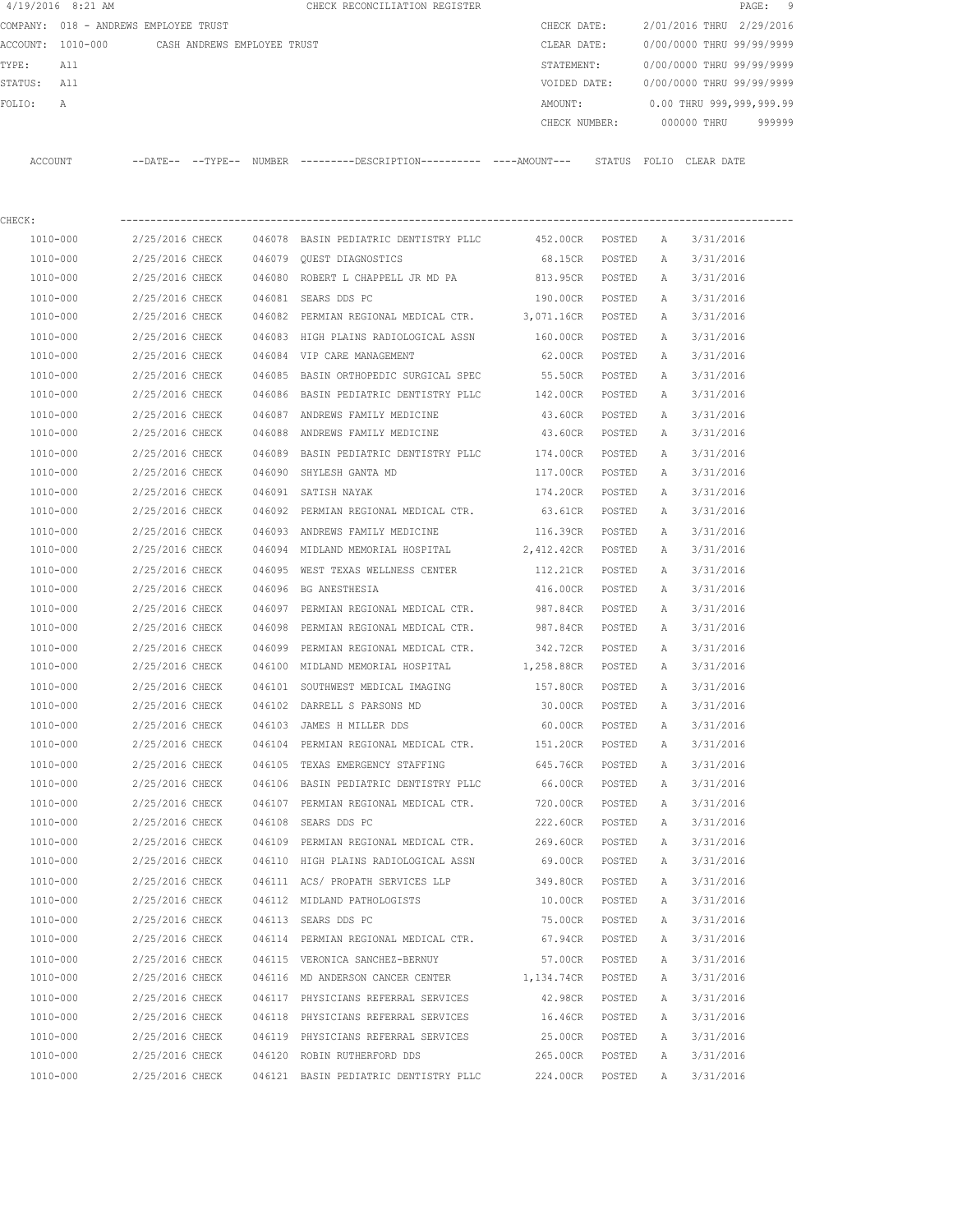|         | $4/19/2016$ 8:21 AM                   |                 |                             |        | CHECK RECONCILIATION REGISTER                                                                 |                   |        |              |                           | 9<br>PAGE: |
|---------|---------------------------------------|-----------------|-----------------------------|--------|-----------------------------------------------------------------------------------------------|-------------------|--------|--------------|---------------------------|------------|
|         | COMPANY: 018 - ANDREWS EMPLOYEE TRUST |                 |                             |        |                                                                                               | CHECK DATE:       |        |              | 2/01/2016 THRU 2/29/2016  |            |
|         | ACCOUNT: 1010-000                     |                 | CASH ANDREWS EMPLOYEE TRUST |        |                                                                                               | CLEAR DATE:       |        |              | 0/00/0000 THRU 99/99/9999 |            |
| TYPE:   | All                                   |                 |                             |        |                                                                                               | STATEMENT:        |        |              | 0/00/0000 THRU 99/99/9999 |            |
| STATUS: | All                                   |                 |                             |        |                                                                                               | VOIDED DATE:      |        |              | 0/00/0000 THRU 99/99/9999 |            |
| FOLIO:  | A                                     |                 |                             |        |                                                                                               | AMOUNT:           |        |              | 0.00 THRU 999,999,999.99  |            |
|         |                                       |                 |                             |        |                                                                                               | CHECK NUMBER:     |        |              | 000000 THRU               | 999999     |
|         | ACCOUNT                               |                 |                             |        | --DATE-- --TYPE-- NUMBER ---------DESCRIPTION---------- ----AMOUNT--- STATUS FOLIO CLEAR DATE |                   |        |              |                           |            |
| CHECK:  |                                       |                 |                             |        |                                                                                               |                   |        |              |                           |            |
|         | 1010-000                              | 2/25/2016 CHECK |                             |        | 046078 BASIN PEDIATRIC DENTISTRY PLLC                                                         | 452.00CR POSTED   |        | A            | 3/31/2016                 |            |
|         | 1010-000                              | 2/25/2016 CHECK |                             |        | 046079 QUEST DIAGNOSTICS                                                                      | 68.15CR           | POSTED | A            | 3/31/2016                 |            |
|         | 1010-000                              | 2/25/2016 CHECK |                             |        | 046080 ROBERT L CHAPPELL JR MD PA                                                             | 813.95CR POSTED   |        | A            | 3/31/2016                 |            |
|         | 1010-000                              | 2/25/2016 CHECK |                             |        | 046081 SEARS DDS PC                                                                           | 190.00CR POSTED   |        | Α            | 3/31/2016                 |            |
|         | 1010-000                              | 2/25/2016 CHECK |                             |        | 046082 PERMIAN REGIONAL MEDICAL CTR.                                                          | 3,071.16CR POSTED |        | A            | 3/31/2016                 |            |
|         | 1010-000                              | 2/25/2016 CHECK |                             |        | 046083 HIGH PLAINS RADIOLOGICAL ASSN                                                          | 160.00CR          | POSTED | A            | 3/31/2016                 |            |
|         | 1010-000                              | 2/25/2016 CHECK |                             |        | 046084 VIP CARE MANAGEMENT                                                                    | 62.00CR POSTED    |        | A            | 3/31/2016                 |            |
|         | 1010-000                              | 2/25/2016 CHECK |                             |        | 046085 BASIN ORTHOPEDIC SURGICAL SPEC                                                         | 55.50CR           | POSTED | A            | 3/31/2016                 |            |
|         | 1010-000                              | 2/25/2016 CHECK |                             |        | 046086 BASIN PEDIATRIC DENTISTRY PLLC 142.00CR                                                |                   | POSTED | A            | 3/31/2016                 |            |
|         | 1010-000                              | 2/25/2016 CHECK |                             |        | 046087 ANDREWS FAMILY MEDICINE                                                                | 43.60CR           | POSTED | Α            | 3/31/2016                 |            |
|         | 1010-000                              | 2/25/2016 CHECK |                             |        | 046088 ANDREWS FAMILY MEDICINE                                                                | 43.60CR           | POSTED | A            | 3/31/2016                 |            |
|         | 1010-000                              | 2/25/2016 CHECK |                             |        | 046089 BASIN PEDIATRIC DENTISTRY PLLC                                                         | 174.00CR          | POSTED | А            | 3/31/2016                 |            |
|         | 1010-000                              | 2/25/2016 CHECK |                             |        | 046090 SHYLESH GANTA MD                                                                       | 117.00CR          | POSTED | A            | 3/31/2016                 |            |
|         | 1010-000                              | 2/25/2016 CHECK |                             |        | 046091 SATISH NAYAK                                                                           | 174.20CR          | POSTED | Α            | 3/31/2016                 |            |
|         | 1010-000                              | 2/25/2016 CHECK |                             |        | 046092 PERMIAN REGIONAL MEDICAL CTR.                                                          | 63.61CR           | POSTED | Α            | 3/31/2016                 |            |
|         | 1010-000                              | 2/25/2016 CHECK |                             |        | 046093 ANDREWS FAMILY MEDICINE                                                                | 116.39CR          | POSTED | Α            | 3/31/2016                 |            |
|         | 1010-000                              | 2/25/2016 CHECK |                             |        | 046094 MIDLAND MEMORIAL HOSPITAL                                                              | 2,412.42CR        | POSTED | A            | 3/31/2016                 |            |
|         | 1010-000                              | 2/25/2016 CHECK |                             |        | 046095 WEST TEXAS WELLNESS CENTER                                                             | 112.21CR          | POSTED | А            | 3/31/2016                 |            |
|         | 1010-000                              | 2/25/2016 CHECK |                             |        | 046096 BG ANESTHESIA                                                                          | 416.00CR          | POSTED | Α            | 3/31/2016                 |            |
|         | 1010-000                              | 2/25/2016 CHECK |                             |        | 046097 PERMIAN REGIONAL MEDICAL CTR.                                                          | 987.84CR          | POSTED | Α            | 3/31/2016                 |            |
|         | 1010-000                              | 2/25/2016 CHECK |                             | 046098 | PERMIAN REGIONAL MEDICAL CTR.                                                                 | 987.84CR          | POSTED | Α            | 3/31/2016                 |            |
|         | 1010-000                              | 2/25/2016 CHECK |                             | 046099 | PERMIAN REGIONAL MEDICAL CTR.                                                                 | 342.72CR          | POSTED | Α            | 3/31/2016                 |            |
|         | 1010-000                              | 2/25/2016 CHECK |                             |        | 046100 MIDLAND MEMORIAL HOSPITAL                                                              | 1,258.88CR        | POSTED | A            | 3/31/2016                 |            |
|         | $1010 - 000$                          | 2/25/2016 CHECK |                             |        | 046101 SOUTHWEST MEDICAL IMAGING                                                              | 157.80CR          | POSTED | $\mathbb{A}$ | 3/31/2016                 |            |
|         | 1010-000                              | 2/25/2016 CHECK |                             |        | 046102 DARRELL S PARSONS MD                                                                   | 30.00CR           | POSTED | А            | 3/31/2016                 |            |
|         | 1010-000                              | 2/25/2016 CHECK |                             |        | 046103 JAMES H MILLER DDS                                                                     | 60.00CR           | POSTED | Α            | 3/31/2016                 |            |
|         | 1010-000                              | 2/25/2016 CHECK |                             |        | 046104 PERMIAN REGIONAL MEDICAL CTR.                                                          | 151.20CR          | POSTED | Α            | 3/31/2016                 |            |
|         | 1010-000                              | 2/25/2016 CHECK |                             |        | 046105 TEXAS EMERGENCY STAFFING                                                               | 645.76CR          | POSTED | Α            | 3/31/2016                 |            |
|         | 1010-000                              | 2/25/2016 CHECK |                             |        | 046106 BASIN PEDIATRIC DENTISTRY PLLC                                                         | 66.00CR           | POSTED | Α            | 3/31/2016                 |            |
|         | $1010 - 000$                          | 2/25/2016 CHECK |                             |        | 046107 PERMIAN REGIONAL MEDICAL CTR.                                                          | 720.00CR          | POSTED | Α            | 3/31/2016                 |            |
|         | 1010-000                              | 2/25/2016 CHECK |                             |        | 046108 SEARS DDS PC                                                                           | 222.60CR          | POSTED | Α            | 3/31/2016                 |            |
|         | 1010-000                              | 2/25/2016 CHECK |                             |        | 046109 PERMIAN REGIONAL MEDICAL CTR.                                                          | 269.60CR          | POSTED | Α            | 3/31/2016                 |            |
|         | 1010-000                              | 2/25/2016 CHECK |                             |        | 046110 HIGH PLAINS RADIOLOGICAL ASSN                                                          | 69.00CR           | POSTED | Α            | 3/31/2016                 |            |
|         | 1010-000                              | 2/25/2016 CHECK |                             |        | 046111 ACS/ PROPATH SERVICES LLP                                                              | 349.80CR          | POSTED | Α            | 3/31/2016                 |            |
|         | 1010-000                              | 2/25/2016 CHECK |                             |        | 046112 MIDLAND PATHOLOGISTS                                                                   | 10.00CR           | POSTED | Α            | 3/31/2016                 |            |
|         | 1010-000                              | 2/25/2016 CHECK |                             |        | 046113 SEARS DDS PC                                                                           | 75.00CR           | POSTED | Α            | 3/31/2016                 |            |
|         | 1010-000                              | 2/25/2016 CHECK |                             |        | 046114 PERMIAN REGIONAL MEDICAL CTR.                                                          | 67.94CR           | POSTED | Α            | 3/31/2016                 |            |
|         | 1010-000                              | 2/25/2016 CHECK |                             |        | 046115 VERONICA SANCHEZ-BERNUY                                                                | 57.00CR           | POSTED | Α            | 3/31/2016                 |            |
|         | 1010-000                              | 2/25/2016 CHECK |                             |        | 046116 MD ANDERSON CANCER CENTER                                                              | 1,134.74CR        | POSTED | Α            | 3/31/2016                 |            |
|         | 1010-000                              | 2/25/2016 CHECK |                             |        | 046117 PHYSICIANS REFERRAL SERVICES                                                           | 42.98CR           | POSTED | Α            | 3/31/2016                 |            |
|         | 1010-000                              | 2/25/2016 CHECK |                             |        | 046118 PHYSICIANS REFERRAL SERVICES                                                           | 16.46CR           | POSTED | Α            | 3/31/2016                 |            |
|         | 1010-000                              | 2/25/2016 CHECK |                             |        | 046119 PHYSICIANS REFERRAL SERVICES                                                           | 25.00CR           | POSTED | Α            | 3/31/2016                 |            |
|         | 1010-000                              | 2/25/2016 CHECK |                             |        | 046120 ROBIN RUTHERFORD DDS                                                                   | 265.00CR          | POSTED | Α            | 3/31/2016                 |            |
|         | 1010-000                              | 2/25/2016 CHECK |                             |        | 046121 BASIN PEDIATRIC DENTISTRY PLLC                                                         | 224.00CR          | POSTED | Α            | 3/31/2016                 |            |
|         |                                       |                 |                             |        |                                                                                               |                   |        |              |                           |            |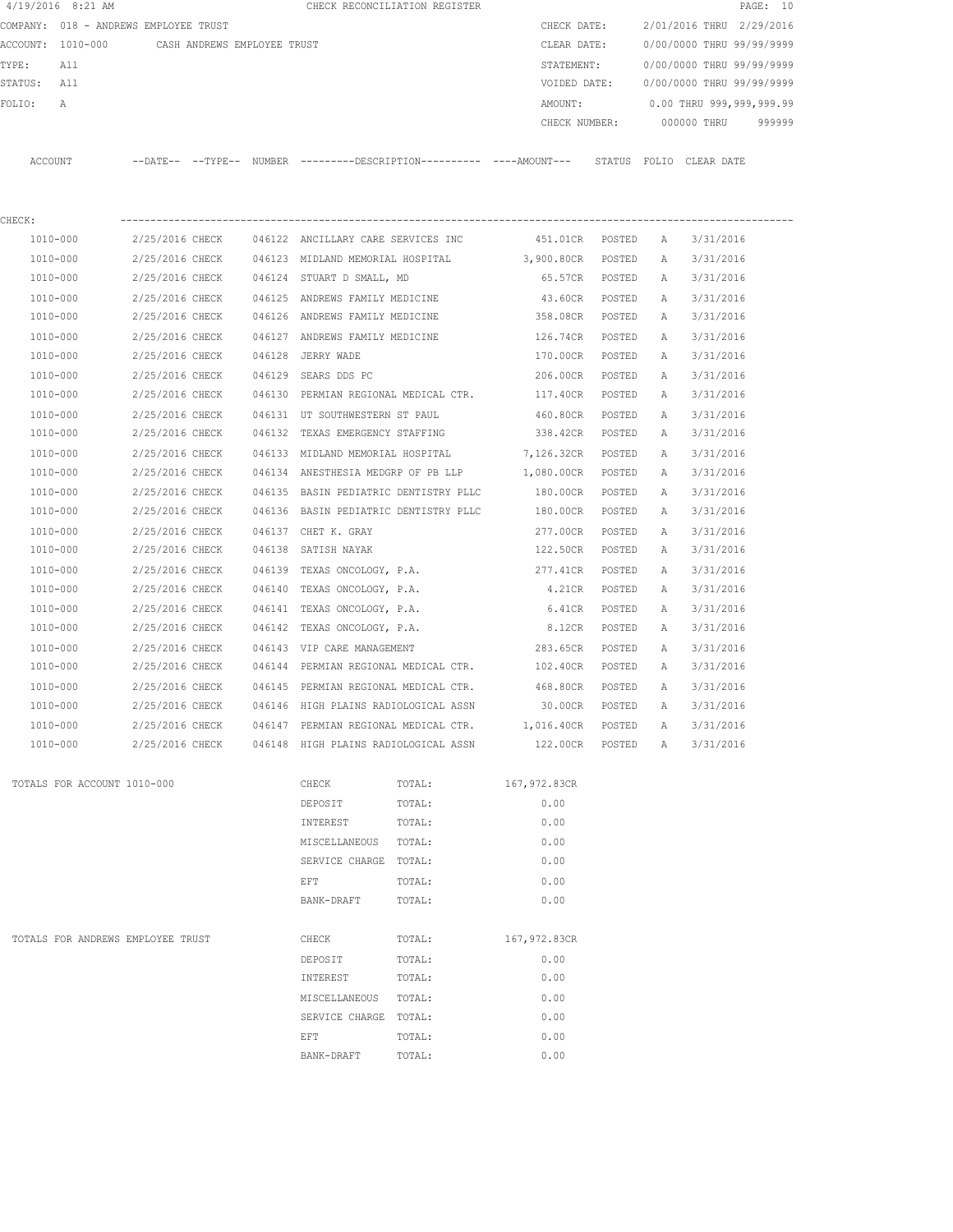|             | $4/19/2016$ 8:21 AM                           |                 |  |                                           | CHECK RECONCILIATION REGISTER                                                                |                 |        |              |                           | PAGE: 10 |
|-------------|-----------------------------------------------|-----------------|--|-------------------------------------------|----------------------------------------------------------------------------------------------|-----------------|--------|--------------|---------------------------|----------|
|             | COMPANY: 018 - ANDREWS EMPLOYEE TRUST         |                 |  |                                           |                                                                                              | CHECK DATE:     |        |              | 2/01/2016 THRU 2/29/2016  |          |
|             | ACCOUNT: 1010-000 CASH ANDREWS EMPLOYEE TRUST |                 |  |                                           |                                                                                              | CLEAR DATE:     |        |              | 0/00/0000 THRU 99/99/9999 |          |
| TYPE:       | All                                           |                 |  |                                           |                                                                                              | STATEMENT:      |        |              | 0/00/0000 THRU 99/99/9999 |          |
| STATUS: All |                                               |                 |  |                                           |                                                                                              | VOIDED DATE:    |        |              | 0/00/0000 THRU 99/99/9999 |          |
| FOLIO:      | Α                                             |                 |  |                                           |                                                                                              | AMOUNT:         |        |              | 0.00 THRU 999,999,999.99  |          |
|             |                                               |                 |  |                                           |                                                                                              | CHECK NUMBER:   |        |              | 000000 THRU               | 999999   |
| ACCOUNT     |                                               |                 |  |                                           | --DATE-- --TYPE-- NUMBER ---------DESCRIPTION---------- ----AMOUNT--- STATUS FOLIO CLEARDATE |                 |        |              |                           |          |
| CHECK:      |                                               |                 |  |                                           |                                                                                              |                 |        |              |                           |          |
|             | 1010-000                                      |                 |  |                                           | 2/25/2016 CHECK 046122 ANCILLARY CARE SERVICES INC                                           | 451.01CR POSTED |        | A            | 3/31/2016                 |          |
|             | 1010-000                                      |                 |  |                                           | 2/25/2016 CHECK 046123 MIDLAND MEMORIAL HOSPITAL 3,900.80CR POSTED                           |                 |        | A            | 3/31/2016                 |          |
|             | 1010-000                                      |                 |  | 2/25/2016 CHECK 046124 STUART D SMALL, MD |                                                                                              | 65.57CR POSTED  |        | A            | 3/31/2016                 |          |
|             | 1010-000                                      | 2/25/2016 CHECK |  | 046125 ANDREWS FAMILY MEDICINE            |                                                                                              | 43.60CR         | POSTED | A            | 3/31/2016                 |          |
|             | 1010-000                                      | 2/25/2016 CHECK |  | 046126 ANDREWS FAMILY MEDICINE            |                                                                                              | 358.08CR        | POSTED | Α            | 3/31/2016                 |          |
|             | 1010-000                                      | 2/25/2016 CHECK |  | 046127 ANDREWS FAMILY MEDICINE            |                                                                                              | 126.74CR        | POSTED | A            | 3/31/2016                 |          |
|             | 1010-000                                      | 2/25/2016 CHECK |  | 046128 JERRY WADE                         |                                                                                              | 170.00CR        | POSTED | A            | 3/31/2016                 |          |
|             | 1010-000                                      | 2/25/2016 CHECK |  | 046129 SEARS DDS PC                       |                                                                                              | 206.00CR        | POSTED | A            | 3/31/2016                 |          |
|             | 1010-000                                      | 2/25/2016 CHECK |  |                                           | 046130 PERMIAN REGIONAL MEDICAL CTR.                                                         | 117.40CR        | POSTED | A            | 3/31/2016                 |          |
|             | 1010-000                                      | 2/25/2016 CHECK |  |                                           | 046131 UT SOUTHWESTERN ST PAUL                                                               | 460.80CR        | POSTED | A            | 3/31/2016                 |          |
|             | 1010-000                                      | 2/25/2016 CHECK |  |                                           | 046132 TEXAS EMERGENCY STAFFING                                                              | 338.42CR        | POSTED | A            | 3/31/2016                 |          |
|             | 1010-000                                      | 2/25/2016 CHECK |  |                                           | 046133 MIDLAND MEMORIAL HOSPITAL 7,126.32CR                                                  |                 | POSTED | $\mathbb{A}$ | 3/31/2016                 |          |
|             | 1010-000                                      | 2/25/2016 CHECK |  |                                           | 046134 ANESTHESIA MEDGRP OF PB LLP 1,080.00CR POSTED                                         |                 |        | A            | 3/31/2016                 |          |
|             | 1010-000                                      |                 |  |                                           | 2/25/2016 CHECK 046135 BASIN PEDIATRIC DENTISTRY PLLC                                        | 180.00CR        | POSTED | Α            | 3/31/2016                 |          |
|             | 1010-000                                      | 2/25/2016 CHECK |  |                                           | 046136 BASIN PEDIATRIC DENTISTRY PLLC                                                        | 180.00CR        | POSTED | Α            | 3/31/2016                 |          |
|             | 1010-000                                      | 2/25/2016 CHECK |  | 046137 CHET K. GRAY                       |                                                                                              | 277.00CR        | POSTED | A            | 3/31/2016                 |          |
|             | 1010-000                                      | 2/25/2016 CHECK |  | 046138 SATISH NAYAK                       |                                                                                              | 122.50CR        | POSTED | A            | 3/31/2016                 |          |
|             | 1010-000                                      | 2/25/2016 CHECK |  | 046139 TEXAS ONCOLOGY, P.A.               |                                                                                              | 277.41CR        | POSTED | A            | 3/31/2016                 |          |
|             | 1010-000                                      | 2/25/2016 CHECK |  | 046140 TEXAS ONCOLOGY, P.A.               |                                                                                              | 4.21CR          | POSTED | A            | 3/31/2016                 |          |
|             | 1010-000                                      | 2/25/2016 CHECK |  | 046141 TEXAS ONCOLOGY, P.A.               |                                                                                              | 6.41CR          | POSTED | А            | 3/31/2016                 |          |
|             | 1010-000                                      | 2/25/2016 CHECK |  | 046142 TEXAS ONCOLOGY, P.A.               |                                                                                              | 8.12CR          | POSTED | A            | 3/31/2016                 |          |
|             | 1010-000                                      | 2/25/2016 CHECK |  | 046143 VIP CARE MANAGEMENT                |                                                                                              | 283.65CR        | POSTED | A            | 3/31/2016                 |          |
|             | 1010-000                                      |                 |  |                                           | 2/25/2016 CHECK 046144 PERMIAN REGIONAL MEDICAL CTR. 102.40CR                                |                 | POSTED | A            | 3/31/2016                 |          |
|             | 1010-000                                      | 2/25/2016 CHECK |  |                                           | 046145 PERMIAN REGIONAL MEDICAL CTR.                                                         | 468.80CR        | POSTED | $\mathbb{A}$ | 3/31/2016                 |          |
|             | 1010-000                                      | 2/25/2016 CHECK |  | 046146 HIGH PLAINS RADIOLOGICAL ASSN      |                                                                                              | 30.00CR         | POSTED | A            | 3/31/2016                 |          |
|             | 1010-000                                      | 2/25/2016 CHECK |  | 046147 PERMIAN REGIONAL MEDICAL CTR.      |                                                                                              | 1,016.40CR      | POSTED | Α            | 3/31/2016                 |          |
|             | 1010-000                                      | 2/25/2016 CHECK |  | 046148 HIGH PLAINS RADIOLOGICAL ASSN      |                                                                                              | 122.00CR        | POSTED | A            | 3/31/2016                 |          |
|             | TOTALS FOR ACCOUNT 1010-000                   |                 |  | CHECK                                     | TOTAL:                                                                                       | 167,972.83CR    |        |              |                           |          |
|             |                                               |                 |  | DEPOSIT                                   | TOTAL:                                                                                       | 0.00            |        |              |                           |          |
|             |                                               |                 |  | INTEREST                                  | TOTAL:                                                                                       | 0.00            |        |              |                           |          |
|             |                                               |                 |  | MISCELLANEOUS                             | TOTAL:                                                                                       | 0.00            |        |              |                           |          |
|             |                                               |                 |  | SERVICE CHARGE TOTAL:                     |                                                                                              | 0.00            |        |              |                           |          |
|             |                                               |                 |  | EFT                                       | TOTAL:                                                                                       | 0.00            |        |              |                           |          |
|             |                                               |                 |  | BANK-DRAFT                                | TOTAL:                                                                                       | 0.00            |        |              |                           |          |
|             | TOTALS FOR ANDREWS EMPLOYEE TRUST             |                 |  | CHECK                                     | TOTAL:                                                                                       | 167,972.83CR    |        |              |                           |          |
|             |                                               |                 |  | DEPOSIT                                   | TOTAL:                                                                                       | 0.00            |        |              |                           |          |
|             |                                               |                 |  | INTEREST                                  | TOTAL:                                                                                       | 0.00            |        |              |                           |          |
|             |                                               |                 |  | MISCELLANEOUS                             | TOTAL:                                                                                       | 0.00            |        |              |                           |          |
|             |                                               |                 |  | SERVICE CHARGE                            | TOTAL:                                                                                       | 0.00            |        |              |                           |          |
|             |                                               |                 |  | EFT                                       | TOTAL:                                                                                       | 0.00            |        |              |                           |          |
|             |                                               |                 |  | BANK-DRAFT                                | TOTAL:                                                                                       | 0.00            |        |              |                           |          |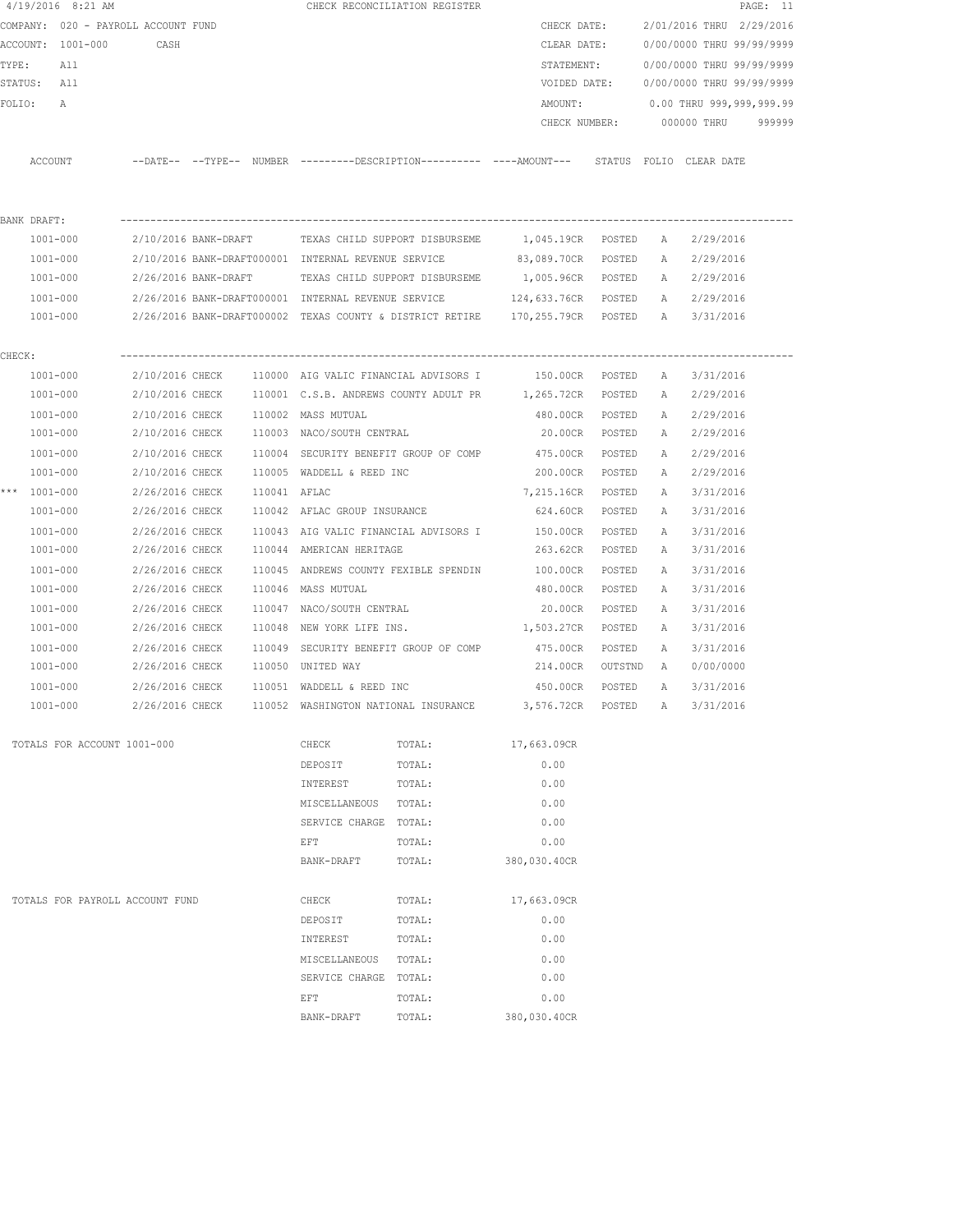|        | 4/19/2016 8:21 AM                   |                              |  |                                                     | CHECK RECONCILIATION REGISTER                                                              |                    |        |   | PAGE: 11                               |  |
|--------|-------------------------------------|------------------------------|--|-----------------------------------------------------|--------------------------------------------------------------------------------------------|--------------------|--------|---|----------------------------------------|--|
|        | COMPANY: 020 - PAYROLL ACCOUNT FUND |                              |  |                                                     |                                                                                            | CHECK DATE:        |        |   | 2/01/2016 THRU 2/29/2016               |  |
|        | ACCOUNT: 1001-000                   | CASH                         |  |                                                     |                                                                                            | CLEAR DATE:        |        |   | 0/00/0000 THRU 99/99/9999              |  |
|        | TYPE:<br>All                        |                              |  |                                                     |                                                                                            | STATEMENT:         |        |   | 0/00/0000 THRU 99/99/9999              |  |
|        | STATUS: All                         |                              |  |                                                     |                                                                                            |                    |        |   | VOIDED DATE: 0/00/0000 THRU 99/99/9999 |  |
|        | FOLIO:<br>A                         |                              |  |                                                     |                                                                                            | AMOUNT:            |        |   | 0.00 THRU 999,999,999.99               |  |
|        |                                     |                              |  |                                                     |                                                                                            | CHECK NUMBER:      |        |   | 000000 THRU 999999                     |  |
|        |                                     |                              |  |                                                     |                                                                                            |                    |        |   |                                        |  |
|        | ACCOUNT                             |                              |  |                                                     | --DATE-- --TYPE-- NUMBER --------DESCRIPTION---------- ---AMOUNT--- STATUS FOLIO CLEARDATE |                    |        |   |                                        |  |
|        |                                     |                              |  |                                                     |                                                                                            |                    |        |   |                                        |  |
|        | BANK DRAFT:                         |                              |  |                                                     |                                                                                            |                    |        |   |                                        |  |
|        | 1001-000                            |                              |  |                                                     | 2/10/2016 BANK-DRAFT TEXAS CHILD SUPPORT DISBURSEME 1,045.19CR POSTED                      |                    |        | A | 2/29/2016                              |  |
|        | 1001-000                            |                              |  | 2/10/2016 BANK-DRAFT000001 INTERNAL REVENUE SERVICE |                                                                                            | 83,089.70CR POSTED |        |   | A 2/29/2016                            |  |
|        | 1001-000                            |                              |  |                                                     | 2/26/2016 BANK-DRAFT TEXAS CHILD SUPPORT DISBURSEME                                        | 1,005.96CR POSTED  |        |   | A 2/29/2016                            |  |
|        | 1001-000                            |                              |  |                                                     | 2/26/2016 BANK-DRAFT000001 INTERNAL REVENUE SERVICE 124,633.76CR POSTED                    |                    |        |   | A 2/29/2016                            |  |
|        | 1001-000                            |                              |  |                                                     | 2/26/2016 BANK-DRAFT000002 TEXAS COUNTY & DISTRICT RETIRE 170,255.79CR POSTED              |                    |        |   | A 3/31/2016                            |  |
| CHECK: |                                     |                              |  |                                                     |                                                                                            |                    |        |   |                                        |  |
|        | 1001-000                            |                              |  |                                                     | 2/10/2016 CHECK 110000 AIG VALIC FINANCIAL ADVISORS I 150.00CR POSTED                      |                    |        | A | 3/31/2016                              |  |
|        | 1001-000                            |                              |  |                                                     | 2/10/2016 CHECK 110001 C.S.B. ANDREWS COUNTY ADULT PR 1,265.72CR POSTED                    |                    |        |   | A 2/29/2016                            |  |
|        | 1001-000                            |                              |  | 2/10/2016 CHECK 110002 MASS MUTUAL                  |                                                                                            | 480.00CR POSTED    |        | А | 2/29/2016                              |  |
|        | 1001-000                            |                              |  | 2/10/2016 CHECK 110003 NACO/SOUTH CENTRAL           |                                                                                            | 20.00CR POSTED     |        | A | 2/29/2016                              |  |
|        | 1001-000                            |                              |  |                                                     | 2/10/2016 CHECK 110004 SECURITY BENEFIT GROUP OF COMP 475.00CR                             |                    | POSTED | A | 2/29/2016                              |  |
|        | 1001-000                            |                              |  |                                                     | $2/10/2016$ CHECK $110005$ WADDELL & REED INC                                              | 200.00CR POSTED    |        | A | 2/29/2016                              |  |
|        | *** 1001-000                        | 2/26/2016 CHECK 110041 AFLAC |  |                                                     |                                                                                            | 7,215.16CR         | POSTED | A | 3/31/2016                              |  |
|        | 1001-000                            |                              |  | 2/26/2016 CHECK 110042 AFLAC GROUP INSURANCE        |                                                                                            | 624.60CR           | POSTED | A | 3/31/2016                              |  |
|        | 1001-000                            |                              |  |                                                     | 2/26/2016 CHECK 110043 AIG VALIC FINANCIAL ADVISORS I                                      | 150.00CR           | POSTED | A | 3/31/2016                              |  |
|        | 1001-000                            | 2/26/2016 CHECK              |  | 110044 AMERICAN HERITAGE                            |                                                                                            | 263.62CR           | POSTED | A | 3/31/2016                              |  |
|        | 1001-000                            | 2/26/2016 CHECK              |  |                                                     | 110045 ANDREWS COUNTY FEXIBLE SPENDIN                                                      | 100.00CR           | POSTED | A | 3/31/2016                              |  |
|        | 1001-000                            | 2/26/2016 CHECK              |  | 110046 MASS MUTUAL                                  |                                                                                            | 480.00CR           | POSTED | A | 3/31/2016                              |  |
|        | 1001-000                            | 2/26/2016 CHECK              |  | 110047 NACO/SOUTH CENTRAL                           |                                                                                            | 20.00CR            | POSTED | A | 3/31/2016                              |  |
|        | 1001-000                            | 2/26/2016 CHECK              |  | 110048 NEW YORK LIFE INS.                           |                                                                                            | 1,503.27CR         | POSTED | A | 3/31/2016                              |  |
|        | 1001-000                            | 2/26/2016 CHECK              |  |                                                     | 110049 SECURITY BENEFIT GROUP OF COMP                                                      | 475.00CR           | POSTED | A | 3/31/2016                              |  |
|        | 1001-000                            |                              |  | 2/26/2016 CHECK 110050 UNITED WAY                   |                                                                                            | 214.00CR OUTSTND   |        | A | 0/00/0000                              |  |
|        | 1001-000                            |                              |  | 2/26/2016 CHECK 110051 WADDELL & REED INC           |                                                                                            | 450.00CR           | POSTED | A | 3/31/2016                              |  |
|        | $1001 - 000$                        | 2/26/2016 CHECK              |  | 110052 WASHINGTON NATIONAL INSURANCE                |                                                                                            | 3,576.72CR         | POSTED | A | 3/31/2016                              |  |
|        | TOTALS FOR ACCOUNT 1001-000         |                              |  | CHECK                                               | TOTAL:                                                                                     | 17,663.09CR        |        |   |                                        |  |
|        |                                     |                              |  | DEPOSIT                                             | TOTAL:                                                                                     | 0.00               |        |   |                                        |  |
|        |                                     |                              |  | INTEREST                                            | TOTAL:                                                                                     | 0.00               |        |   |                                        |  |
|        |                                     |                              |  | MISCELLANEOUS                                       | TOTAL:                                                                                     | 0.00               |        |   |                                        |  |
|        |                                     |                              |  | SERVICE CHARGE TOTAL:                               |                                                                                            | 0.00               |        |   |                                        |  |
|        |                                     |                              |  | EFT                                                 | TOTAL:                                                                                     | 0.00               |        |   |                                        |  |
|        |                                     |                              |  | BANK-DRAFT                                          | TOTAL:                                                                                     | 380,030.40CR       |        |   |                                        |  |
|        | TOTALS FOR PAYROLL ACCOUNT FUND     |                              |  | CHECK                                               | TOTAL:                                                                                     | 17,663.09CR        |        |   |                                        |  |
|        |                                     |                              |  | DEPOSIT                                             | TOTAL:                                                                                     | 0.00               |        |   |                                        |  |
|        |                                     |                              |  | INTEREST                                            | TOTAL:                                                                                     | 0.00               |        |   |                                        |  |
|        |                                     |                              |  | MISCELLANEOUS                                       | TOTAL:                                                                                     | 0.00               |        |   |                                        |  |
|        |                                     |                              |  | SERVICE CHARGE                                      | TOTAL:                                                                                     | 0.00               |        |   |                                        |  |
|        |                                     |                              |  | EFT                                                 | TOTAL:                                                                                     | 0.00               |        |   |                                        |  |
|        |                                     |                              |  | BANK-DRAFT                                          | TOTAL:                                                                                     | 380,030.40CR       |        |   |                                        |  |
|        |                                     |                              |  |                                                     |                                                                                            |                    |        |   |                                        |  |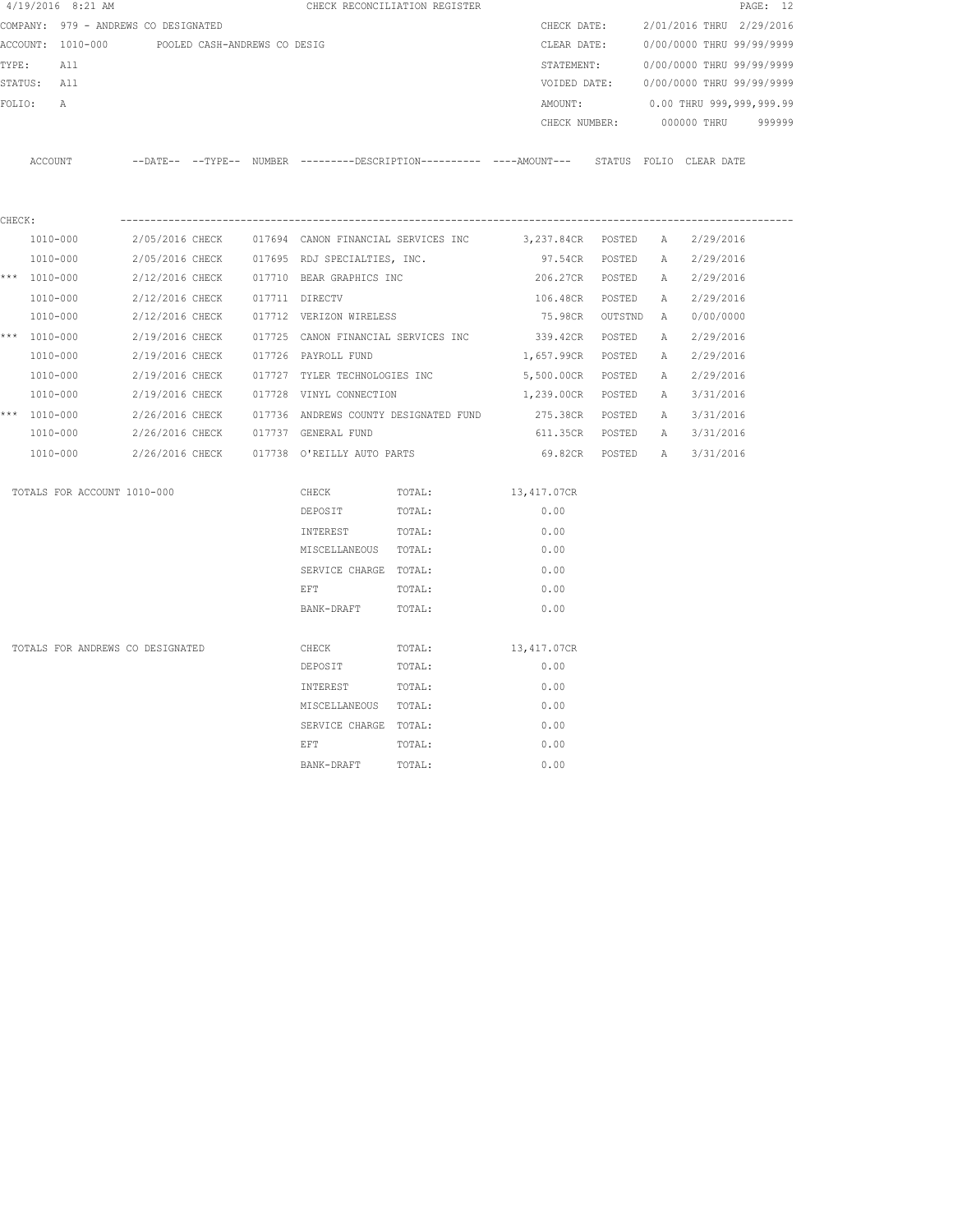| $4/19/2016$ 8:21 AM                  |                                                                                            |                               | CHECK RECONCILIATION REGISTER         |                   |             |              |                             | PAGE: 12 |
|--------------------------------------|--------------------------------------------------------------------------------------------|-------------------------------|---------------------------------------|-------------------|-------------|--------------|-----------------------------|----------|
| COMPANY: 979 - ANDREWS CO DESIGNATED |                                                                                            |                               |                                       |                   | CHECK DATE: |              | 2/01/2016 THRU 2/29/2016    |          |
|                                      | ACCOUNT: 1010-000 POOLED CASH-ANDREWS CO DESIG                                             |                               |                                       | CLEAR DATE:       |             |              | 0/00/0000 THRU 99/99/9999   |          |
| TYPE:<br>All                         |                                                                                            |                               |                                       | STATEMENT:        |             |              | 0/00/0000 THRU 99/99/9999   |          |
| STATUS: All                          |                                                                                            |                               |                                       | VOIDED DATE:      |             |              | 0/00/0000 THRU 99/99/9999   |          |
| FOLIO:<br>А                          |                                                                                            |                               |                                       | AMOUNT:           |             |              | 0.00 THRU 999,999,999.99    |          |
|                                      |                                                                                            |                               |                                       | CHECK NUMBER:     |             |              | 000000 THRU                 | 999999   |
| ACCOUNT                              | --DATE-- --TYPE-- NUMBER --------DESCRIPTION--------- ----AMOUNT--- STATUS FOLIO CLEARDATE |                               |                                       |                   |             |              |                             |          |
|                                      |                                                                                            |                               |                                       |                   |             |              |                             |          |
| CHECK:<br>1010-000                   | 2/05/2016 CHECK 017694 CANON FINANCIAL SERVICES INC 3,237.84CR POSTED A                    |                               |                                       |                   |             |              | 2/29/2016                   |          |
| 1010-000                             | 2/05/2016 CHECK 017695 RDJ SPECIALTIES, INC.                                               |                               |                                       |                   |             |              | 97.54CR POSTED A 2/29/2016  |          |
| *** $1010 - 000$                     | 2/12/2016 CHECK 017710 BEAR GRAPHICS INC                                                   |                               |                                       |                   |             |              | 206.27CR POSTED A 2/29/2016 |          |
| 1010-000                             | 2/12/2016 CHECK                                                                            | 017711 DIRECTV                |                                       | 106.48CR POSTED   |             |              | A 2/29/2016                 |          |
| 1010-000                             | 2/12/2016 CHECK                                                                            | 017712 VERIZON WIRELESS       |                                       | 75.98CR OUTSTND   |             | <b>A</b>     | 0/00/0000                   |          |
| *** 1010-000                         | 2/19/2016 CHECK                                                                            |                               | 017725 CANON FINANCIAL SERVICES INC   | 339.42CR POSTED   |             | $\mathbb{A}$ | 2/29/2016                   |          |
| 1010-000                             | 2/19/2016 CHECK                                                                            | 017726 PAYROLL FUND           |                                       | 1,657.99CR POSTED |             | A            | 2/29/2016                   |          |
| 1010-000                             | 2/19/2016 CHECK                                                                            | 017727 TYLER TECHNOLOGIES INC |                                       | 5,500.00CR POSTED |             | A            | 2/29/2016                   |          |
| 1010-000                             | 2/19/2016 CHECK                                                                            | 017728 VINYL CONNECTION       |                                       | 1,239.00CR POSTED |             | A            | 3/31/2016                   |          |
| *** $1010 - 000$                     | 2/26/2016 CHECK                                                                            |                               | 017736 ANDREWS COUNTY DESIGNATED FUND | 275.38CR POSTED   |             | A            | 3/31/2016                   |          |
| 1010-000                             | 2/26/2016 CHECK 017737 GENERAL FUND                                                        |                               |                                       | 611.35CR POSTED   |             |              | A 3/31/2016                 |          |
| 1010-000                             | 2/26/2016 CHECK 017738 O'REILLY AUTO PARTS                                                 |                               |                                       | 69.82cr posted a  |             |              | 3/31/2016                   |          |
| TOTALS FOR ACCOUNT 1010-000          |                                                                                            | CHECK                         | TOTAL:                                | 13,417.07CR       |             |              |                             |          |
|                                      |                                                                                            | DEPOSIT                       | TOTAL:                                | 0.00              |             |              |                             |          |
|                                      |                                                                                            | INTEREST                      | TOTAL:                                | 0.00              |             |              |                             |          |
|                                      |                                                                                            | MISCELLANEOUS TOTAL:          |                                       | 0.00              |             |              |                             |          |
|                                      |                                                                                            | SERVICE CHARGE TOTAL:         |                                       | 0.00              |             |              |                             |          |
|                                      |                                                                                            | EFT                           | TOTAL:                                | 0.00              |             |              |                             |          |
|                                      |                                                                                            | BANK-DRAFT                    | TOTAL:                                | 0.00              |             |              |                             |          |
| TOTALS FOR ANDREWS CO DESIGNATED     |                                                                                            | CHECK                         | TOTAL:                                | 13,417.07CR       |             |              |                             |          |
|                                      |                                                                                            | DEPOSIT                       | TOTAL:                                | 0.00              |             |              |                             |          |
|                                      |                                                                                            | INTEREST                      | TOTAL:                                | 0.00              |             |              |                             |          |
|                                      |                                                                                            | MISCELLANEOUS TOTAL:          |                                       | 0.00              |             |              |                             |          |
|                                      |                                                                                            | SERVICE CHARGE TOTAL:         |                                       | 0.00              |             |              |                             |          |
|                                      |                                                                                            | EFT                           | TOTAL:                                | 0.00              |             |              |                             |          |
|                                      |                                                                                            | BANK-DRAFT                    | TOTAL:                                | 0.00              |             |              |                             |          |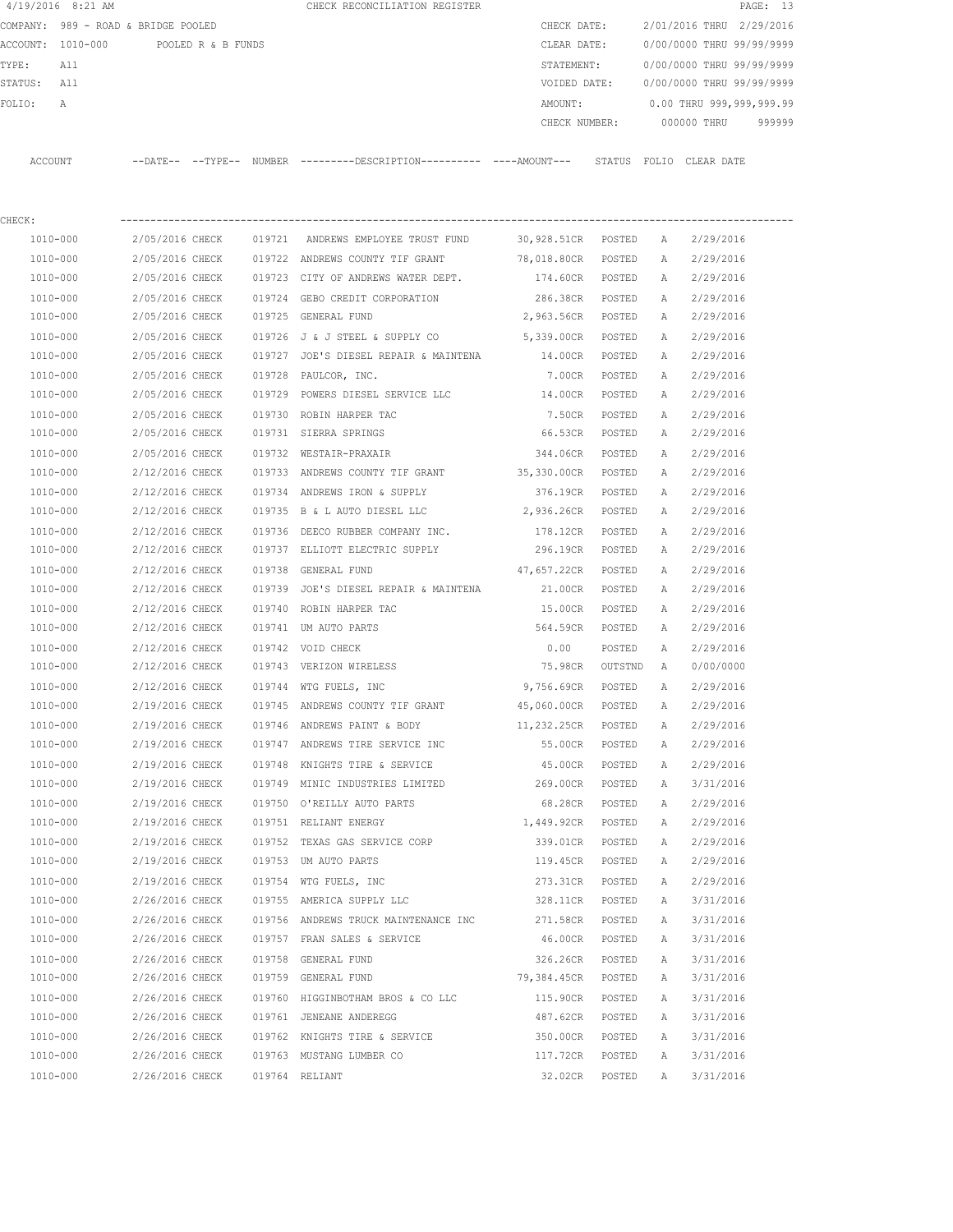|                      | $4/19/2016$ 8:21 AM                  |                                    |  | CHECK RECONCILIATION REGISTER                                                               |                              |         |        |                                        | PAGE: 13 |
|----------------------|--------------------------------------|------------------------------------|--|---------------------------------------------------------------------------------------------|------------------------------|---------|--------|----------------------------------------|----------|
|                      | COMPANY: 989 - ROAD & BRIDGE POOLED  |                                    |  |                                                                                             | CHECK DATE:                  |         |        | 2/01/2016 THRU 2/29/2016               |          |
|                      | ACCOUNT: 1010-000 POOLED R & B FUNDS |                                    |  |                                                                                             |                              |         |        | CLEAR DATE: 0/00/0000 THRU 99/99/9999  |          |
| TYPE:                | All                                  |                                    |  |                                                                                             | STATEMENT:                   |         |        | 0/00/0000 THRU 99/99/9999              |          |
| STATUS: All          |                                      |                                    |  |                                                                                             |                              |         |        | VOIDED DATE: 0/00/0000 THRU 99/99/9999 |          |
| FOLIO:               | A                                    |                                    |  |                                                                                             | AMOUNT:                      |         |        | 0.00 THRU 999,999,999.99               |          |
|                      |                                      |                                    |  |                                                                                             | CHECK NUMBER:                |         |        | 000000 THRU                            | 999999   |
| ACCOUNT              |                                      |                                    |  | --DATE-- --TYPE-- NUMBER ---------DESCRIPTION--------- ----AMOUNT--- STATUS FOLIO CLEARDATE |                              |         |        |                                        |          |
| CHECK:               |                                      |                                    |  |                                                                                             |                              |         |        |                                        |          |
| 1010-000             |                                      |                                    |  | 2/05/2016 CHECK   019721  ANDREWS EMPLOYEE TRUST FUND     30,928.51CR  POSTED   A           |                              |         |        | 2/29/2016                              |          |
| 1010-000             |                                      |                                    |  | 2/05/2016 CHECK 019722 ANDREWS COUNTY TIF GRANT 78,018.80CR POSTED                          |                              |         | A      | 2/29/2016                              |          |
| 1010-000             |                                      |                                    |  | 2/05/2016 CHECK 019723 CITY OF ANDREWS WATER DEPT.                                          | 174.60CR POSTED              |         | A      | 2/29/2016                              |          |
| 1010-000             |                                      |                                    |  | 2/05/2016 CHECK 019724 GEBO CREDIT CORPORATION                                              | 286.38CR POSTED              |         | A      | 2/29/2016                              |          |
| 1010-000             |                                      |                                    |  | 2/05/2016 CHECK 019725 GENERAL FUND                                                         | 2,963.56CR POSTED            |         | A      | 2/29/2016                              |          |
| 1010-000             |                                      | 2/05/2016 CHECK                    |  | 019726 J & J STEEL & SUPPLY CO                                                              | 5,339.00CR POSTED            |         | A      | 2/29/2016                              |          |
| 1010-000             |                                      | 2/05/2016 CHECK                    |  | 019727 JOE'S DIESEL REPAIR & MAINTENA                                                       | 14.00CR POSTED               |         | A      | 2/29/2016                              |          |
| 1010-000             |                                      | 2/05/2016 CHECK                    |  | 019728 PAULCOR, INC.                                                                        | 7.00CR POSTED                |         | A      | 2/29/2016                              |          |
| 1010-000             |                                      | 2/05/2016 CHECK                    |  | 019729 POWERS DIESEL SERVICE LLC                                                            | 14.00CR POSTED               |         | A      | 2/29/2016                              |          |
| 1010-000             |                                      | 2/05/2016 CHECK                    |  | 019730 ROBIN HARPER TAC                                                                     | 7.50CR                       | POSTED  | A      | 2/29/2016                              |          |
| 1010-000             |                                      | 2/05/2016 CHECK                    |  | 019731 SIERRA SPRINGS                                                                       | 66.53CR POSTED               |         | A      | 2/29/2016                              |          |
| 1010-000             |                                      | 2/05/2016 CHECK                    |  | 019732 WESTAIR-PRAXAIR                                                                      | 344.06CR POSTED              |         | A      | 2/29/2016                              |          |
| 1010-000             |                                      | 2/12/2016 CHECK                    |  | 019733 ANDREWS COUNTY TIF GRANT 35,330.00CR POSTED                                          |                              |         | A      | 2/29/2016                              |          |
| 1010-000             |                                      | 2/12/2016 CHECK                    |  | 019734 ANDREWS IRON & SUPPLY                                                                | 376.19CR POSTED              |         | A      | 2/29/2016                              |          |
| 1010-000             |                                      | 2/12/2016 CHECK                    |  | 019735 B & L AUTO DIESEL LLC                                                                | 2,936.26CR POSTED            |         | A      | 2/29/2016                              |          |
| 1010-000             |                                      | 2/12/2016 CHECK                    |  | 019736 DEECO RUBBER COMPANY INC.                                                            | 178.12CR POSTED              |         | A      | 2/29/2016                              |          |
| 1010-000             |                                      | 2/12/2016 CHECK                    |  | 019737 ELLIOTT ELECTRIC SUPPLY                                                              | 296.19CR POSTED              |         | A      | 2/29/2016                              |          |
| 1010-000             |                                      | 2/12/2016 CHECK                    |  | 019738 GENERAL FUND                                                                         | 47,657.22CR POSTED           |         | A      | 2/29/2016                              |          |
| 1010-000             |                                      | 2/12/2016 CHECK                    |  | 019739 JOE'S DIESEL REPAIR & MAINTENA                                                       | 21.00CR POSTED               |         | A      | 2/29/2016                              |          |
| 1010-000             |                                      | 2/12/2016 CHECK                    |  | 019740 ROBIN HARPER TAC                                                                     | 15.00CR POSTED               |         | A      | 2/29/2016                              |          |
| 1010-000             |                                      | 2/12/2016 CHECK                    |  | 019741 UM AUTO PARTS                                                                        | 564.59CR POSTED              |         | A      | 2/29/2016                              |          |
| 1010-000             |                                      | 2/12/2016 CHECK                    |  | 019742 VOID CHECK                                                                           | 0.00                         | POSTED  | A      | 2/29/2016                              |          |
| 1010-000             |                                      |                                    |  | 2/12/2016 CHECK 019743 VERIZON WIRELESS                                                     | 75.98CR                      | OUTSTND | A      | 0/00/0000                              |          |
| 1010-000             |                                      | 2/12/2016 CHECK                    |  | 019744 WTG FUELS, INC                                                                       | 9,756.69CR                   | POSTED  | A      | 2/29/2016                              |          |
| 1010-000             |                                      | 2/19/2016 CHECK                    |  | 019745 ANDREWS COUNTY TIF GRANT                                                             | 45,060.00CR                  | POSTED  | A      | 2/29/2016                              |          |
| 1010-000             |                                      | 2/19/2016 CHECK                    |  | 019746 ANDREWS PAINT & BODY                                                                 | 11,232.25CR                  | POSTED  | Α      | 2/29/2016                              |          |
| 1010-000             |                                      | 2/19/2016 CHECK                    |  | 019747 ANDREWS TIRE SERVICE INC                                                             | 55.00CR                      | POSTED  | Α      | 2/29/2016                              |          |
| 1010-000<br>1010-000 |                                      | 2/19/2016 CHECK                    |  | 019748 KNIGHTS TIRE & SERVICE                                                               | 45.00CR<br>269.00CR POSTED   | POSTED  | Α      | 2/29/2016                              |          |
|                      |                                      | 2/19/2016 CHECK                    |  | 019749 MINIC INDUSTRIES LIMITED<br>019750 O'REILLY AUTO PARTS                               |                              |         | Α      | 3/31/2016                              |          |
| 1010-000<br>1010-000 |                                      | 2/19/2016 CHECK<br>2/19/2016 CHECK |  | 019751 RELIANT ENERGY                                                                       | 68.28CR<br>1,449.92CR POSTED | POSTED  | A<br>Α | 2/29/2016<br>2/29/2016                 |          |
| 1010-000             |                                      | 2/19/2016 CHECK                    |  | 019752 TEXAS GAS SERVICE CORP                                                               | 339.01CR                     | POSTED  | Α      | 2/29/2016                              |          |
| 1010-000             |                                      | 2/19/2016 CHECK                    |  | 019753 UM AUTO PARTS                                                                        | 119.45CR                     | POSTED  | Α      | 2/29/2016                              |          |
| $1010 - 000$         |                                      | 2/19/2016 CHECK                    |  | 019754 WTG FUELS, INC                                                                       | 273.31CR                     | POSTED  | Α      | 2/29/2016                              |          |
| 1010-000             |                                      | 2/26/2016 CHECK                    |  | 019755 AMERICA SUPPLY LLC                                                                   | 328.11CR                     | POSTED  | Α      | 3/31/2016                              |          |
| 1010-000             |                                      | 2/26/2016 CHECK                    |  | 019756 ANDREWS TRUCK MAINTENANCE INC 271.58CR                                               |                              | POSTED  | Α      | 3/31/2016                              |          |
| 1010-000             |                                      | 2/26/2016 CHECK                    |  | 019757 FRAN SALES & SERVICE                                                                 | 46.00CR                      | POSTED  | Α      | 3/31/2016                              |          |
| 1010-000             |                                      | 2/26/2016 CHECK                    |  | 019758 GENERAL FUND                                                                         | 326.26CR                     | POSTED  | Α      | 3/31/2016                              |          |
| 1010-000             |                                      | 2/26/2016 CHECK                    |  | 019759 GENERAL FUND                                                                         | 79,384.45CR                  | POSTED  | Α      | 3/31/2016                              |          |
| 1010-000             |                                      | 2/26/2016 CHECK                    |  | 019760 HIGGINBOTHAM BROS & CO LLC                                                           | 115.90CR POSTED              |         | Α      | 3/31/2016                              |          |
| 1010-000             |                                      | 2/26/2016 CHECK                    |  | 019761 JENEANE ANDEREGG                                                                     | 487.62CR POSTED              |         | Α      | 3/31/2016                              |          |
| 1010-000             |                                      | 2/26/2016 CHECK                    |  | 019762 KNIGHTS TIRE & SERVICE                                                               | 350.00CR POSTED              |         | Α      | 3/31/2016                              |          |
| 1010-000             |                                      | 2/26/2016 CHECK                    |  | 019763 MUSTANG LUMBER CO                                                                    | 117.72CR                     | POSTED  | A      | 3/31/2016                              |          |
| 1010-000             |                                      | 2/26/2016 CHECK                    |  | 019764 RELIANT                                                                              | 32.02CR                      | POSTED  | Α      | 3/31/2016                              |          |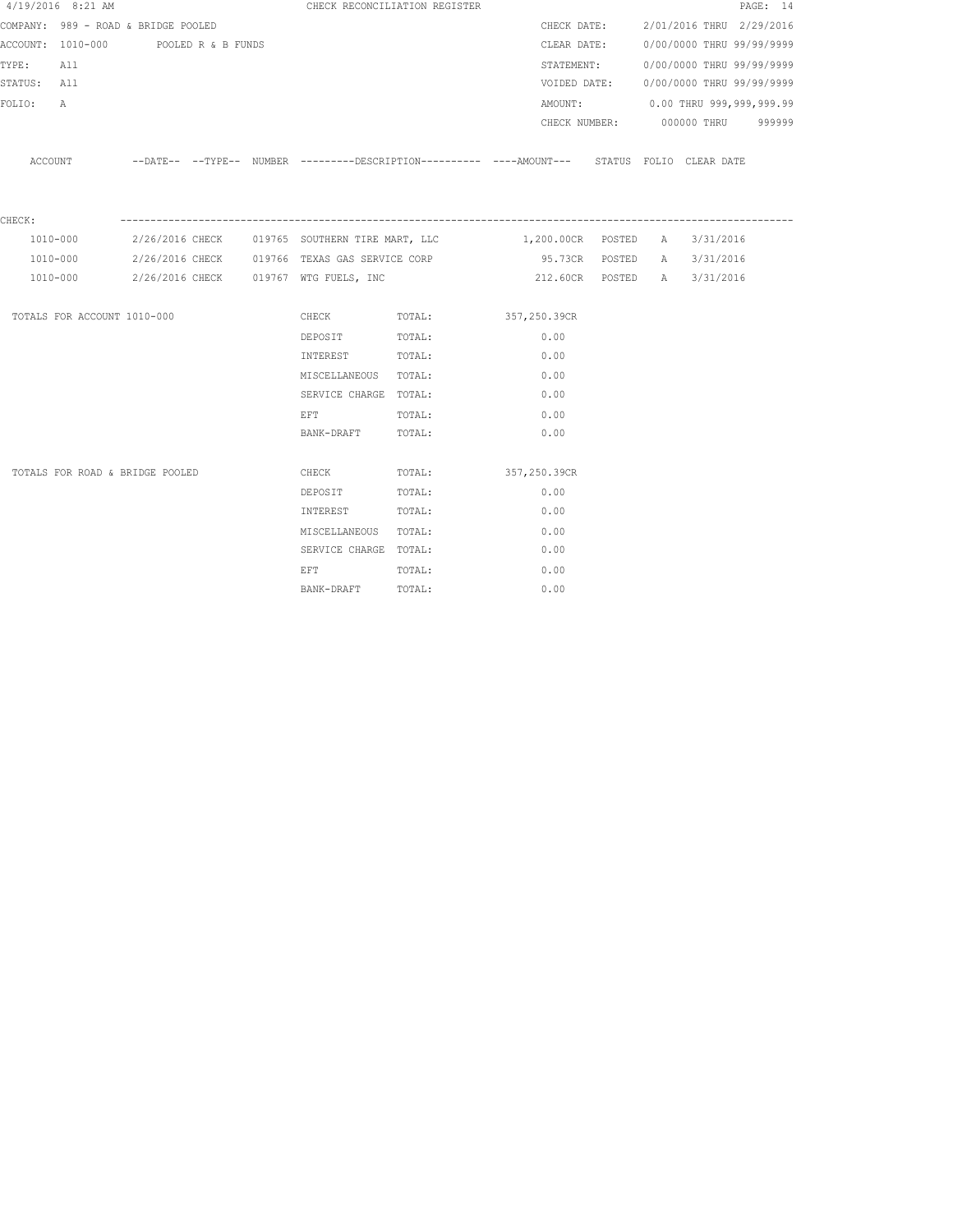|             | 4/19/2016 8:21 AM                    |  |                                                                                                                | CHECK RECONCILIATION REGISTER                                                                      |      |  |                                        | PAGE: 14 |
|-------------|--------------------------------------|--|----------------------------------------------------------------------------------------------------------------|----------------------------------------------------------------------------------------------------|------|--|----------------------------------------|----------|
|             | COMPANY: 989 - ROAD & BRIDGE POOLED  |  |                                                                                                                |                                                                                                    |      |  | CHECK DATE: 2/01/2016 THRU 2/29/2016   |          |
|             | ACCOUNT: 1010-000 POOLED R & B FUNDS |  |                                                                                                                |                                                                                                    |      |  | CLEAR DATE: 0/00/0000 THRU 99/99/9999  |          |
| TYPE: All   |                                      |  |                                                                                                                |                                                                                                    |      |  | STATEMENT: 0/00/0000 THRU 99/99/9999   |          |
| STATUS: All |                                      |  |                                                                                                                |                                                                                                    |      |  | VOIDED DATE: 0/00/0000 THRU 99/99/9999 |          |
| FOLIO:      | A                                    |  |                                                                                                                |                                                                                                    |      |  | AMOUNT: 0.00 THRU 999,999,999.99       |          |
|             |                                      |  |                                                                                                                |                                                                                                    |      |  | CHECK NUMBER: 000000 THRU 999999       |          |
|             |                                      |  |                                                                                                                | ACCOUNT -DATE-- --TYPE-- NUMBER --------DESCRIPTION--------- ----AMOUNT--- STATUS FOLIO CLEAR DATE |      |  |                                        |          |
| CHECK:      |                                      |  |                                                                                                                |                                                                                                    |      |  |                                        |          |
|             | 1010-000                             |  |                                                                                                                |                                                                                                    |      |  |                                        |          |
|             | 1010-000                             |  |                                                                                                                |                                                                                                    |      |  |                                        |          |
|             | 1010-000                             |  | 2/26/2016 CHECK 019767 WTG FUELS, INC                                                                          |                                                                                                    |      |  | 212.60CR POSTED A 3/31/2016            |          |
|             | TOTALS FOR ACCOUNT 1010-000          |  |                                                                                                                | CHECK TOTAL: 357, 250.39CR                                                                         |      |  |                                        |          |
|             |                                      |  | DEPOSIT TOTAL:                                                                                                 |                                                                                                    | 0.00 |  |                                        |          |
|             |                                      |  | INTEREST TOTAL:                                                                                                |                                                                                                    | 0.00 |  |                                        |          |
|             |                                      |  | MISCELLANEOUS TOTAL:                                                                                           |                                                                                                    | 0.00 |  |                                        |          |
|             |                                      |  | SERVICE CHARGE TOTAL:                                                                                          |                                                                                                    | 0.00 |  |                                        |          |
|             |                                      |  | EFT FOR THE STATE OF THE STATE OF THE STATE OF THE STATE OF THE STATE OF THE STATE OF THE STATE OF THE STATE O | TOTAL:                                                                                             | 0.00 |  |                                        |          |
|             |                                      |  | BANK-DRAFT TOTAL:                                                                                              |                                                                                                    | 0.00 |  |                                        |          |
|             | TOTALS FOR ROAD & BRIDGE POOLED      |  |                                                                                                                | CHECK TOTAL: 357,250.39CR                                                                          |      |  |                                        |          |
|             |                                      |  | DEPOSIT                                                                                                        | TOTAL:                                                                                             | 0.00 |  |                                        |          |
|             |                                      |  | INTEREST TOTAL:                                                                                                |                                                                                                    | 0.00 |  |                                        |          |
|             |                                      |  | MISCELLANEOUS TOTAL:                                                                                           |                                                                                                    | 0.00 |  |                                        |          |
|             |                                      |  | SERVICE CHARGE TOTAL:                                                                                          |                                                                                                    | 0.00 |  |                                        |          |
|             |                                      |  | EFT                                                                                                            | TOTAL:                                                                                             | 0.00 |  |                                        |          |
|             |                                      |  | BANK-DRAFT                                                                                                     | TOTAL:                                                                                             | 0.00 |  |                                        |          |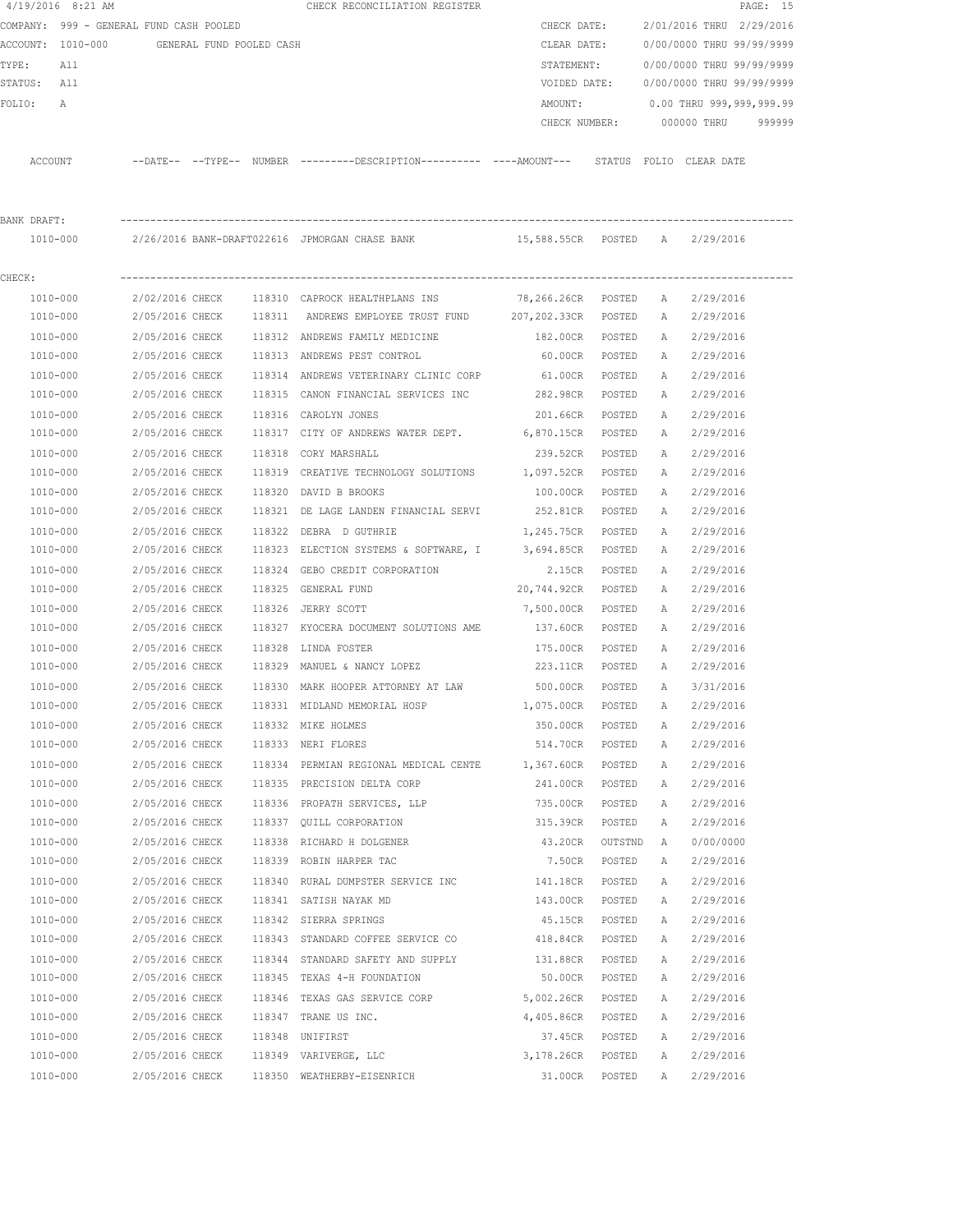|              | $4/19/2016$ 8:21 AM                        |                 |  | CHECK RECONCILIATION REGISTER                                                                |                    |                |   |                           | PAGE: 15 |
|--------------|--------------------------------------------|-----------------|--|----------------------------------------------------------------------------------------------|--------------------|----------------|---|---------------------------|----------|
|              | COMPANY: 999 - GENERAL FUND CASH POOLED    |                 |  |                                                                                              | CHECK DATE:        |                |   | 2/01/2016 THRU 2/29/2016  |          |
|              | ACCOUNT: 1010-000 GENERAL FUND POOLED CASH |                 |  |                                                                                              | CLEAR DATE:        |                |   | 0/00/0000 THRU 99/99/9999 |          |
| TYPE:        | All                                        |                 |  |                                                                                              | STATEMENT:         |                |   | 0/00/0000 THRU 99/99/9999 |          |
| STATUS: All  |                                            |                 |  |                                                                                              | VOIDED DATE:       |                |   | 0/00/0000 THRU 99/99/9999 |          |
| FOLIO:       | A                                          |                 |  |                                                                                              | AMOUNT:            |                |   | 0.00 THRU 999,999,999.99  |          |
|              |                                            |                 |  |                                                                                              | CHECK NUMBER:      |                |   | 000000 THRU               | 999999   |
| ACCOUNT      |                                            |                 |  | --DATE-- --TYPE-- NUMBER ---------DESCRIPTION---------- ----AMOUNT--- STATUS FOLIO CLEARDATE |                    |                |   |                           |          |
|              |                                            |                 |  |                                                                                              |                    |                |   |                           |          |
| BANK DRAFT:  |                                            |                 |  |                                                                                              |                    |                |   |                           |          |
|              |                                            |                 |  | 1010-000 2/26/2016 BANK-DRAFT022616 JPMORGAN CHASE BANK 15,588.55CR POSTED A 2/29/2016       |                    |                |   |                           |          |
| CHECK:       |                                            |                 |  |                                                                                              |                    |                |   |                           |          |
| 1010-000     |                                            | 2/02/2016 CHECK |  | 118310 CAPROCK HEALTHPLANS INS                                                               | 78,266.26CR POSTED |                | A | 2/29/2016                 |          |
| 1010-000     |                                            | 2/05/2016 CHECK |  | 118311 ANDREWS EMPLOYEE TRUST FUND                                                           | 207,202.33CR       | POSTED         | A | 2/29/2016                 |          |
| 1010-000     |                                            | 2/05/2016 CHECK |  | 118312 ANDREWS FAMILY MEDICINE                                                               | 182.00CR           | POSTED         | A | 2/29/2016                 |          |
| 1010-000     |                                            |                 |  | 2/05/2016 CHECK 118313 ANDREWS PEST CONTROL                                                  | 60.00CR            | POSTED         | A | 2/29/2016                 |          |
| 1010-000     |                                            | 2/05/2016 CHECK |  | 118314 ANDREWS VETERINARY CLINIC CORP                                                        | 61.00CR            | POSTED         | А | 2/29/2016                 |          |
| 1010-000     |                                            | 2/05/2016 CHECK |  | 118315 CANON FINANCIAL SERVICES INC                                                          | 282.98CR           | POSTED         | А | 2/29/2016                 |          |
| 1010-000     |                                            | 2/05/2016 CHECK |  | 118316 CAROLYN JONES                                                                         | 201.66CR           | POSTED         | A | 2/29/2016                 |          |
| 1010-000     |                                            | 2/05/2016 CHECK |  | 118317 CITY OF ANDREWS WATER DEPT. 6,870.15CR                                                |                    | POSTED         | A | 2/29/2016                 |          |
| 1010-000     |                                            | 2/05/2016 CHECK |  | 118318 CORY MARSHALL                                                                         | 239.52CR           | POSTED         | A | 2/29/2016                 |          |
| 1010-000     |                                            | 2/05/2016 CHECK |  | 118319 CREATIVE TECHNOLOGY SOLUTIONS 1,097.52CR                                              |                    | POSTED         | A | 2/29/2016                 |          |
| 1010-000     |                                            | 2/05/2016 CHECK |  | 118320 DAVID B BROOKS                                                                        | 100.00CR           | POSTED         | A | 2/29/2016                 |          |
| 1010-000     |                                            | 2/05/2016 CHECK |  | 118321 DE LAGE LANDEN FINANCIAL SERVI 252.81CR                                               |                    | POSTED         | A | 2/29/2016                 |          |
| 1010-000     |                                            | 2/05/2016 CHECK |  | 118322 DEBRA D GUTHRIE                                                                       | 1,245.75CR         | POSTED         | A | 2/29/2016                 |          |
| 1010-000     |                                            | 2/05/2016 CHECK |  | 118323 ELECTION SYSTEMS & SOFTWARE, I                                                        | 3,694.85CR         | POSTED         | A | 2/29/2016                 |          |
| 1010-000     |                                            | 2/05/2016 CHECK |  | 118324 GEBO CREDIT CORPORATION                                                               | 2.15CR             | POSTED         | A | 2/29/2016                 |          |
| 1010-000     |                                            | 2/05/2016 CHECK |  | 118325 GENERAL FUND                                                                          | 20,744.92CR        | POSTED         | A | 2/29/2016                 |          |
| 1010-000     |                                            | 2/05/2016 CHECK |  | 118326 JERRY SCOTT                                                                           | 7,500.00CR         | POSTED         | A | 2/29/2016                 |          |
| 1010-000     |                                            | 2/05/2016 CHECK |  | 118327 KYOCERA DOCUMENT SOLUTIONS AME                                                        | 137.60CR           | POSTED         | A | 2/29/2016                 |          |
| 1010-000     |                                            | 2/05/2016 CHECK |  | 118328 LINDA FOSTER                                                                          | 175.00CR           | POSTED         | A | 2/29/2016                 |          |
| 1010-000     |                                            |                 |  | 2/05/2016 CHECK 118329 MANUEL & NANCY LOPEZ                                                  | 223.11CR           | POSTED         | A | 2/29/2016                 |          |
| 1010-000     |                                            |                 |  | 2/05/2016 CHECK 118330 MARK HOOPER ATTORNEY AT LAW                                           | 500.00CR           | POSTED         | A | 3/31/2016                 |          |
| 1010-000     |                                            | 2/05/2016 CHECK |  | 118331 MIDLAND MEMORIAL HOSP                                                                 | 1,075.00CR         | POSTED         | A | 2/29/2016                 |          |
|              | 1010-000                                   |                 |  | 2/05/2016 CHECK 118332 MIKE HOLMES                                                           | 350.00CR           | POSTED         | Α | 2/29/2016                 |          |
| 1010-000     |                                            |                 |  | 2/05/2016 CHECK 118333 NERI FLORES                                                           | 514.70CR           | POSTED         | Α | 2/29/2016                 |          |
| 1010-000     |                                            |                 |  | 2/05/2016 CHECK 118334 PERMIAN REGIONAL MEDICAL CENTE 1,367.60CR                             |                    | POSTED         | A | 2/29/2016                 |          |
| 1010-000     |                                            |                 |  | 2/05/2016 CHECK 118335 PRECISION DELTA CORP                                                  | 241.00CR           | POSTED         | Α | 2/29/2016                 |          |
| $1010 - 000$ |                                            |                 |  | 2/05/2016 CHECK 118336 PROPATH SERVICES, LLP                                                 | 735.00CR           | POSTED         | Α | 2/29/2016                 |          |
| 1010-000     |                                            |                 |  | 2/05/2016 CHECK 118337 QUILL CORPORATION                                                     | 315.39CR           | POSTED         | Α | 2/29/2016                 |          |
| 1010-000     |                                            |                 |  | 2/05/2016 CHECK 118338 RICHARD H DOLGENER                                                    | 43.20CR            | OUTSTND        | A | 0/00/0000                 |          |
| 1010-000     |                                            |                 |  | 2/05/2016 CHECK 118339 ROBIN HARPER TAC                                                      | 7.50CR             | POSTED         | Α | 2/29/2016                 |          |
| $1010 - 000$ |                                            |                 |  | 2/05/2016 CHECK 118340 RURAL DUMPSTER SERVICE INC 141.18CR                                   |                    | POSTED         | Α | 2/29/2016                 |          |
| 1010-000     |                                            |                 |  | 2/05/2016 CHECK 118341 SATISH NAYAK MD                                                       | 143.00CR           | POSTED         | Α | 2/29/2016                 |          |
|              | 1010-000                                   |                 |  | 2/05/2016 CHECK 118342 SIERRA SPRINGS                                                        | 45.15CR            | POSTED         | Α | 2/29/2016                 |          |
|              | 1010-000                                   |                 |  | 2/05/2016 CHECK 118343 STANDARD COFFEE SERVICE CO                                            | 418.84CR           | POSTED         | Α | 2/29/2016                 |          |
| 1010-000     |                                            |                 |  | 2/05/2016 CHECK 118344 STANDARD SAFETY AND SUPPLY 131.88CR                                   |                    | POSTED         | Α | 2/29/2016                 |          |
| 1010-000     |                                            |                 |  | 2/05/2016 CHECK 118345 TEXAS 4-H FOUNDATION                                                  | 50.00CR            | POSTED         | Α | 2/29/2016                 |          |
|              | 1010-000                                   |                 |  | 2/05/2016 CHECK 118346 TEXAS GAS SERVICE CORP                                                | 5,002.26CR         | POSTED         | Α | 2/29/2016                 |          |
| 1010-000     |                                            |                 |  | 2/05/2016 CHECK 118347 TRANE US INC.                                                         | 4,405.86CR         | POSTED         | Α | 2/29/2016                 |          |
| 1010-000     |                                            |                 |  | 2/05/2016 CHECK 118348 UNIFIRST                                                              | 37.45CR            | POSTED         | A | 2/29/2016                 |          |
| 1010-000     |                                            |                 |  | 2/05/2016 CHECK 118349 VARIVERGE, LLC                                                        | 3,178.26CR POSTED  |                | A | 2/29/2016                 |          |
| 1010-000     |                                            |                 |  | 2/05/2016 CHECK 118350 WEATHERBY-EISENRICH                                                   |                    | 31.00CR POSTED | Α | 2/29/2016                 |          |
|              |                                            |                 |  |                                                                                              |                    |                |   |                           |          |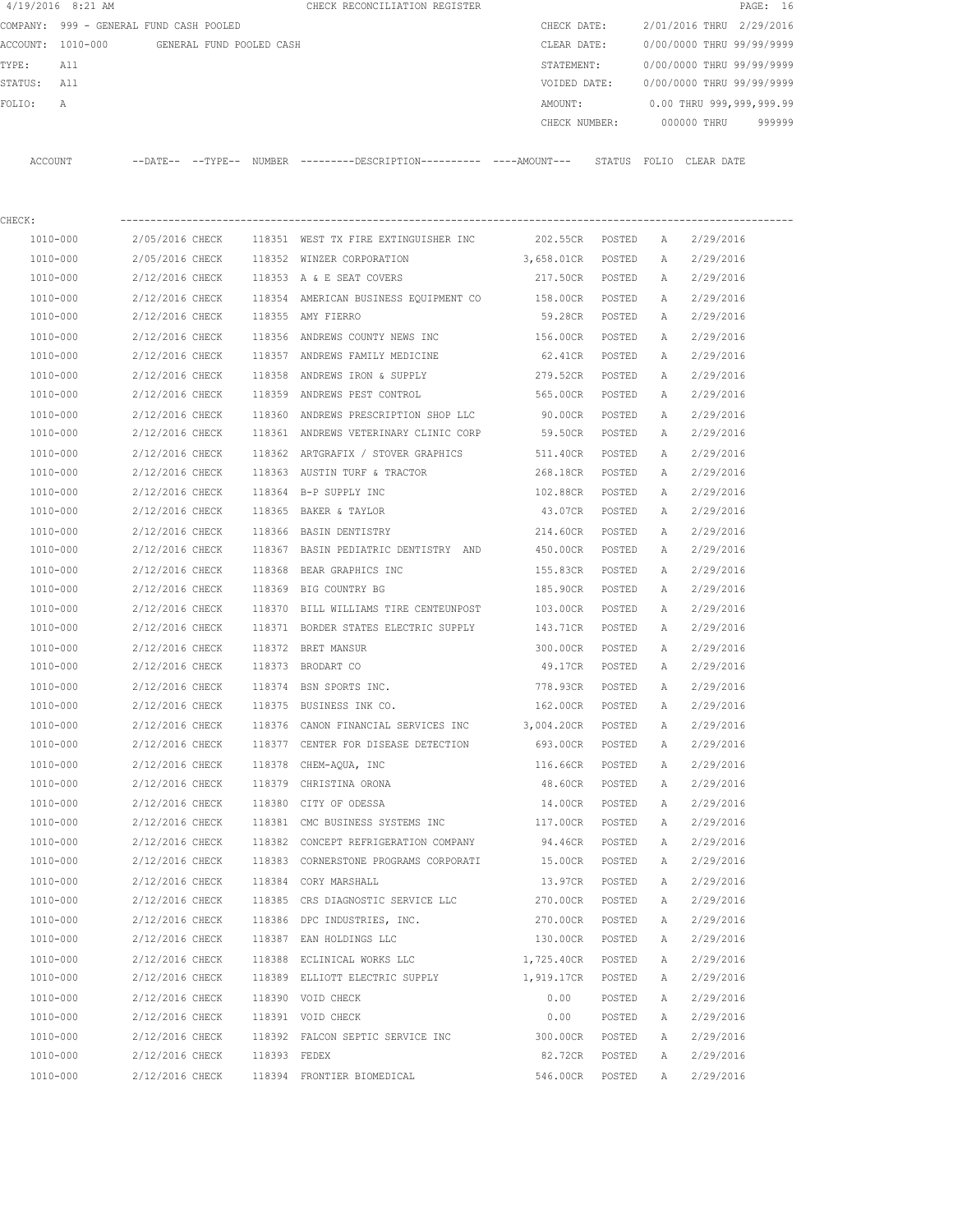| 4/19/2016 8:21 AM |                                            |              | CHECK RECONCILIATION REGISTER                                                                        |                             |        |               | PAGE: 16                               |
|-------------------|--------------------------------------------|--------------|------------------------------------------------------------------------------------------------------|-----------------------------|--------|---------------|----------------------------------------|
|                   | COMPANY: 999 - GENERAL FUND CASH POOLED    |              |                                                                                                      | CHECK DATE:                 |        |               | 2/01/2016 THRU 2/29/2016               |
|                   | ACCOUNT: 1010-000 GENERAL FUND POOLED CASH |              |                                                                                                      | CLEAR DATE:                 |        |               | 0/00/0000 THRU 99/99/9999              |
| TYPE:<br>All      |                                            |              |                                                                                                      | STATEMENT:                  |        |               | 0/00/0000 THRU 99/99/9999              |
| STATUS: All       |                                            |              |                                                                                                      |                             |        |               | VOIDED DATE: 0/00/0000 THRU 99/99/9999 |
| FOLIO:<br>А       |                                            |              |                                                                                                      | AMOUNT:                     |        |               | 0.00 THRU 999,999,999.99               |
|                   |                                            |              |                                                                                                      |                             |        |               | CHECK NUMBER: 000000 THRU 999999       |
|                   |                                            |              | ACCOUNT --DATE-- --TYPE-- NUMBER ---------DESCRIPTION--------- ----AMOUNT--- STATUS FOLIO CLEAR DATE |                             |        |               |                                        |
| CHECK:            |                                            |              |                                                                                                      |                             |        |               |                                        |
| 1010-000          |                                            |              | 2/05/2016 CHECK 118351 WEST TX FIRE EXTINGUISHER INC                                                 | 202.55CR POSTED A           |        |               | 2/29/2016                              |
| 1010-000          |                                            |              | 2/05/2016 CHECK 118352 WINZER CORPORATION                                                            | 3,658.01CR POSTED A         |        |               | 2/29/2016                              |
| 1010-000          |                                            |              | 2/12/2016 CHECK 118353 A & E SEAT COVERS                                                             | 217.50CR POSTED A 2/29/2016 |        |               |                                        |
| 1010-000          | 2/12/2016 CHECK                            |              |                                                                                                      |                             |        |               | 2/29/2016                              |
| 1010-000          | 2/12/2016 CHECK                            |              | 118354 AMERICAN BUSINESS EQUIPMENT CO  158.00CR  POSTED<br>118355 AMY FIERRO                         | 59.28CR POSTED              |        | A<br><b>A</b> | 2/29/2016                              |
|                   |                                            |              |                                                                                                      |                             |        |               |                                        |
| 1010-000          | 2/12/2016 CHECK                            |              | 118356 ANDREWS COUNTY NEWS INC 6 156.00CR POSTED<br>118357 ANDREWS FAMILY MEDICINE                   |                             |        | A             | 2/29/2016                              |
| 1010-000          | 2/12/2016 CHECK                            |              |                                                                                                      | 62.41CR POSTED              |        | A             | 2/29/2016                              |
| 1010-000          | 2/12/2016 CHECK                            |              | 118358 ANDREWS IRON & SUPPLY<br>118359 ANDREWS PEST CONTROL                                          | 279.52CR POSTED             |        | A             | 2/29/2016                              |
| 1010-000          | 2/12/2016 CHECK                            |              |                                                                                                      | 565.00CR POSTED             |        | A             | 2/29/2016                              |
| 1010-000          |                                            |              | 2/12/2016 CHECK 118360 ANDREWS PRESCRIPTION SHOP LLC                                                 | 90.00CR POSTED              |        | A             | 2/29/2016                              |
| 1010-000          |                                            |              | 2/12/2016 CHECK 118361 ANDREWS VETERINARY CLINIC CORP                                                | 59.50CR POSTED              |        | A             | 2/29/2016                              |
| 1010-000          | 2/12/2016 CHECK                            |              | 118362 ARTGRAFIX / STOVER GRAPHICS                                                                   | 511.40CR POSTED             |        | A             | 2/29/2016                              |
| 1010-000          | 2/12/2016 CHECK                            |              | 118363 AUSTIN TURF & TRACTOR                                                                         | 268.18CR POSTED             |        | A             | 2/29/2016                              |
| 1010-000          | 2/12/2016 CHECK                            |              | 118364 B-P SUPPLY INC                                                                                | 102.88CR POSTED             |        | A             | 2/29/2016                              |
| 1010-000          | 2/12/2016 CHECK                            |              | 118365 BAKER & TAYLOR                                                                                | 43.07CR POSTED              |        | A             | 2/29/2016                              |
| 1010-000          | 2/12/2016 CHECK                            |              | 118366 BASIN DENTISTRY                                                                               | 214.60CR POSTED             |        | A             | 2/29/2016                              |
| 1010-000          | 2/12/2016 CHECK                            |              | 118367 BASIN PEDIATRIC DENTISTRY AND                                                                 | 450.00CR POSTED             |        | A             | 2/29/2016                              |
| 1010-000          | 2/12/2016 CHECK                            |              | 118368 BEAR GRAPHICS INC                                                                             | 155.83CR POSTED             |        | A             | 2/29/2016                              |
| 1010-000          | 2/12/2016 CHECK                            |              | 118369 BIG COUNTRY BG                                                                                | 185.90CR                    | POSTED | A             | 2/29/2016                              |
| 1010-000          |                                            |              | 2/12/2016 CHECK 118370 BILL WILLIAMS TIRE CENTEUNPOST                                                | 103.00CR                    | POSTED | A             | 2/29/2016                              |
| 1010-000          |                                            |              | 2/12/2016 CHECK 118371 BORDER STATES ELECTRIC SUPPLY                                                 | 143.71CR                    | POSTED | A             | 2/29/2016                              |
| 1010-000          | 2/12/2016 CHECK                            |              | 118372 BRET MANSUR                                                                                   | 300.00CR                    | POSTED | A             | 2/29/2016                              |
| 1010-000          | 2/12/2016 CHECK 118373 BRODART CO          |              |                                                                                                      | 49.17CR                     | POSTED | A             | 2/29/2016                              |
| 1010-000          | 2/12/2016 CHECK                            |              | 118374 BSN SPORTS INC.                                                                               | 778.93CR                    | POSTED | A             | 2/29/2016                              |
| 1010-000          | 2/12/2016 CHECK                            |              | 118375 BUSINESS INK CO.                                                                              | 162.00CR                    | POSTED | Α             | 2/29/2016                              |
| 1010-000          | 2/12/2016 CHECK                            |              | 118376 CANON FINANCIAL SERVICES INC                                                                  | 3,004.20CR                  | POSTED | Α             | 2/29/2016                              |
| 1010-000          | 2/12/2016 CHECK                            |              | 118377 CENTER FOR DISEASE DETECTION                                                                  | 693.00CR                    | POSTED | Α             | 2/29/2016                              |
| 1010-000          | 2/12/2016 CHECK                            |              | 118378 CHEM-AQUA, INC                                                                                | 116.66CR                    | POSTED | Α             | 2/29/2016                              |
| 1010-000          | 2/12/2016 CHECK                            |              | 118379 CHRISTINA ORONA                                                                               | 48.60CR                     | POSTED | Α             | 2/29/2016                              |
| 1010-000          | 2/12/2016 CHECK                            |              | 118380 CITY OF ODESSA                                                                                | 14.00CR                     | POSTED | Α             | 2/29/2016                              |
| 1010-000          | 2/12/2016 CHECK                            |              | 118381 CMC BUSINESS SYSTEMS INC                                                                      | 117.00CR                    | POSTED | Α             | 2/29/2016                              |
| 1010-000          | 2/12/2016 CHECK                            |              | 118382 CONCEPT REFRIGERATION COMPANY                                                                 | 94.46CR                     | POSTED | Α             | 2/29/2016                              |
| 1010-000          | 2/12/2016 CHECK                            |              | 118383 CORNERSTONE PROGRAMS CORPORATI                                                                | 15.00CR                     | POSTED | Α             | 2/29/2016                              |
| 1010-000          | 2/12/2016 CHECK                            |              | 118384 CORY MARSHALL                                                                                 | 13.97CR                     | POSTED | Α             | 2/29/2016                              |
| 1010-000          | 2/12/2016 CHECK                            |              | 118385 CRS DIAGNOSTIC SERVICE LLC                                                                    | 270.00CR                    | POSTED | Α             | 2/29/2016                              |
| 1010-000          | 2/12/2016 CHECK                            |              | 118386 DPC INDUSTRIES, INC.                                                                          | 270.00CR                    | POSTED | Α             | 2/29/2016                              |
| 1010-000          | 2/12/2016 CHECK                            |              | 118387 EAN HOLDINGS LLC                                                                              | 130.00CR                    | POSTED | Α             | 2/29/2016                              |
| 1010-000          | 2/12/2016 CHECK                            |              | 118388 ECLINICAL WORKS LLC                                                                           | 1,725.40CR                  | POSTED | Α             | 2/29/2016                              |
| 1010-000          | 2/12/2016 CHECK                            |              | 118389 ELLIOTT ELECTRIC SUPPLY                                                                       | 1,919.17CR                  | POSTED | Α             | 2/29/2016                              |
| 1010-000          | 2/12/2016 CHECK                            |              | 118390 VOID CHECK                                                                                    | 0.00                        | POSTED | Α             | 2/29/2016                              |
| 1010-000          | 2/12/2016 CHECK                            |              | 118391 VOID CHECK                                                                                    | 0.00                        | POSTED | Α             | 2/29/2016                              |
| 1010-000          | 2/12/2016 CHECK                            |              | 118392 FALCON SEPTIC SERVICE INC                                                                     | 300.00CR                    | POSTED | Α             | 2/29/2016                              |
| 1010-000          | 2/12/2016 CHECK                            | 118393 FEDEX |                                                                                                      | 82.72CR                     | POSTED | Α             | 2/29/2016                              |
| 1010-000          | 2/12/2016 CHECK                            |              | 118394 FRONTIER BIOMEDICAL                                                                           | 546.00CR                    | POSTED | Α             | 2/29/2016                              |
|                   |                                            |              |                                                                                                      |                             |        |               |                                        |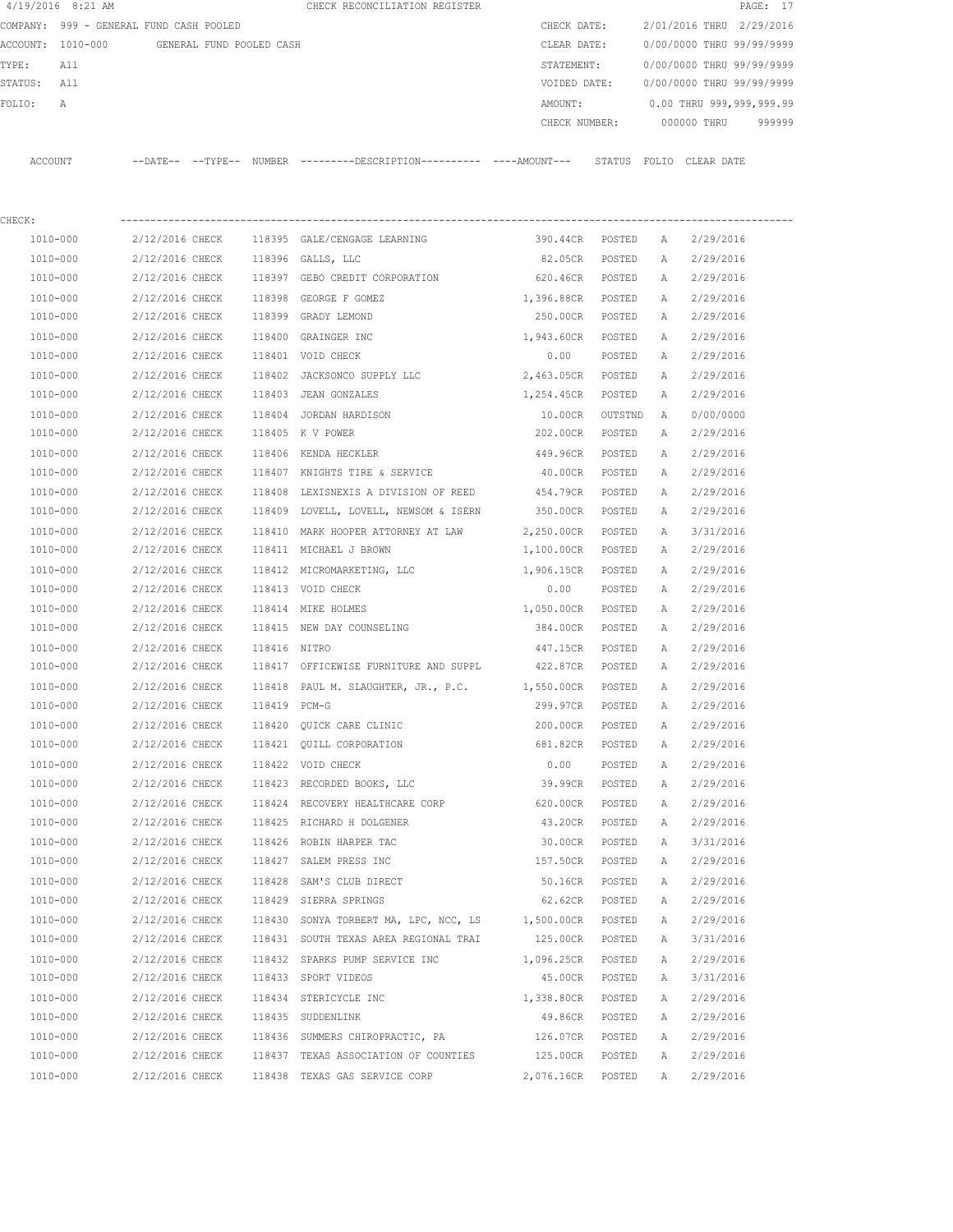|             | 4/19/2016 8:21 AM                          |                 |                 |              | CHECK RECONCILIATION REGISTER                                                              |                   |        |              | PAGE: 17                  |
|-------------|--------------------------------------------|-----------------|-----------------|--------------|--------------------------------------------------------------------------------------------|-------------------|--------|--------------|---------------------------|
|             | COMPANY: 999 - GENERAL FUND CASH POOLED    |                 |                 |              |                                                                                            | CHECK DATE:       |        |              | 2/01/2016 THRU 2/29/2016  |
|             | ACCOUNT: 1010-000 GENERAL FUND POOLED CASH |                 |                 |              |                                                                                            | CLEAR DATE:       |        |              | 0/00/0000 THRU 99/99/9999 |
| TYPE:       | All                                        |                 |                 |              |                                                                                            | STATEMENT:        |        |              | 0/00/0000 THRU 99/99/9999 |
| STATUS: All |                                            |                 |                 |              |                                                                                            | VOIDED DATE:      |        |              | 0/00/0000 THRU 99/99/9999 |
| FOLIO:      | A                                          |                 |                 |              |                                                                                            | AMOUNT:           |        |              | 0.00 THRU 999,999,999.99  |
|             |                                            |                 |                 |              |                                                                                            | CHECK NUMBER:     |        |              | 000000 THRU 999999        |
|             | ACCOUNT                                    |                 |                 |              | --DATE-- --TYPE-- NUMBER --------DESCRIPTION--------- ----AMOUNT--- STATUS FOLIO CLEARDATE |                   |        |              |                           |
|             |                                            |                 |                 |              |                                                                                            |                   |        |              |                           |
| CHECK:      |                                            |                 |                 |              |                                                                                            |                   |        |              |                           |
|             | 1010-000 2/12/2016 CHECK                   |                 |                 |              | 118395 GALE/CENGAGE LEARNING                                                               | 390.44CR POSTED   |        | A            | 2/29/2016                 |
|             | 1010-000                                   |                 |                 |              | 2/12/2016 CHECK 118396 GALLS, LLC                                                          | 82.05CR POSTED    |        | A            | 2/29/2016                 |
|             | 1010-000                                   |                 |                 |              | 2/12/2016 CHECK 118397 GEBO CREDIT CORPORATION                                             | 620.46CR POSTED   |        | A            | 2/29/2016                 |
|             | 1010-000                                   | 2/12/2016 CHECK |                 |              | 118398 GEORGE F GOMEZ                                                                      | 1,396.88CR POSTED |        | A            | 2/29/2016                 |
|             | 1010-000                                   | 2/12/2016 CHECK |                 |              | 118399 GRADY LEMOND                                                                        | 250.00CR POSTED   |        | A            | 2/29/2016                 |
|             | 1010-000                                   | 2/12/2016 CHECK |                 |              | 118400 GRAINGER INC                                                                        | 1,943.60CR POSTED |        | A            | 2/29/2016                 |
|             | 1010-000                                   | 2/12/2016 CHECK |                 |              | 118401 VOID CHECK                                                                          | 0.00              | POSTED | A            | 2/29/2016                 |
|             | 1010-000                                   | 2/12/2016 CHECK |                 |              | 118402 JACKSONCO SUPPLY LLC                                                                | 2,463.05CR POSTED |        | A            | 2/29/2016                 |
|             | 1010-000                                   | 2/12/2016 CHECK |                 |              | 118403 JEAN GONZALES                                                                       | 1,254.45CR POSTED |        | А            | 2/29/2016                 |
|             | 1010-000                                   |                 |                 |              | 2/12/2016 CHECK 118404 JORDAN HARDISON                                                     | 10.00CR OUTSTND A |        |              | 0/00/0000                 |
|             | 1010-000                                   |                 |                 |              | 2/12/2016 CHECK 118405 K V POWER                                                           | 202.00CR POSTED   |        | A            | 2/29/2016                 |
|             | 1010-000                                   |                 |                 |              | 2/12/2016 CHECK 118406 KENDA HECKLER                                                       | 449.96CR POSTED   |        | A            | 2/29/2016                 |
|             | 1010-000                                   |                 |                 |              | $2/12/2016$ CHECK 118407 KNIGHTS TIRE & SERVICE                                            | 40.00CR POSTED    |        | A            | 2/29/2016                 |
|             | 1010-000                                   |                 |                 |              | 2/12/2016 CHECK 118408 LEXISNEXIS A DIVISION OF REED 454.79CR POSTED                       |                   |        | A            | 2/29/2016                 |
|             | 1010-000                                   |                 |                 |              | 2/12/2016 CHECK 118409 LOVELL, LOVELL, NEWSOM & ISERN 350.00CR POSTED                      |                   |        | A            | 2/29/2016                 |
|             | 1010-000                                   | 2/12/2016 CHECK |                 |              | 118410 MARK HOOPER ATTORNEY AT LAW                                                         | 2,250.00CR POSTED |        | A            | 3/31/2016                 |
|             | 1010-000                                   | 2/12/2016 CHECK |                 |              | 118411 MICHAEL J BROWN                                                                     | 1,100.00CR POSTED |        |              | A 2/29/2016               |
|             | 1010-000                                   | 2/12/2016 CHECK |                 |              | 118412 MICROMARKETING, LLC                                                                 | 1,906.15CR POSTED |        | A            | 2/29/2016                 |
|             | 1010-000                                   | 2/12/2016 CHECK |                 |              | 118413 VOID CHECK                                                                          | 0.00              | POSTED |              | A 2/29/2016               |
|             | 1010-000                                   | 2/12/2016 CHECK |                 |              | 118414 MIKE HOLMES                                                                         | 1,050.00CR POSTED |        | A            | 2/29/2016                 |
|             | 1010-000                                   | 2/12/2016 CHECK |                 |              | 118415 NEW DAY COUNSELING                                                                  | 384.00CR POSTED   |        |              | A 2/29/2016               |
|             | 1010-000                                   | 2/12/2016 CHECK |                 | 118416 NITRO |                                                                                            | 447.15CR POSTED   |        | A            | 2/29/2016                 |
|             | 1010-000                                   | 2/12/2016 CHECK |                 |              | 118417 OFFICEWISE FURNITURE AND SUPPL 422.87CR POSTED                                      |                   |        | A            | 2/29/2016                 |
|             | 1010-000                                   |                 |                 |              | 2/12/2016 CHECK 118418 PAUL M. SLAUGHTER, JR., P.C. 1,550.00CR POSTED A 2/29/2016          |                   |        |              |                           |
|             | 1010-000                                   | 2/12/2016 CHECK |                 | 118419 PCM-G |                                                                                            | 299.97CR          | POSTED | А            | 2/29/2016                 |
|             |                                            |                 |                 |              |                                                                                            |                   | POSTED |              |                           |
|             | 1010-000                                   |                 |                 |              | 2/12/2016 CHECK 118420 QUICK CARE CLINIC                                                   | 200.00CR          |        | Α            | 2/29/2016                 |
|             | 1010-000                                   |                 |                 |              | 2/12/2016 CHECK 118421 QUILL CORPORATION                                                   | 681.82CR          | POSTED | Α            | 2/29/2016                 |
|             | 1010-000                                   |                 |                 |              | 2/12/2016 CHECK 118422 VOID CHECK                                                          | 0.00              | POSTED | Α            | 2/29/2016                 |
|             | 1010-000                                   |                 |                 |              | 2/12/2016 CHECK 118423 RECORDED BOOKS, LLC                                                 | 39.99CR           | POSTED | Α            | 2/29/2016                 |
|             | 1010-000                                   |                 |                 |              | 2/12/2016 CHECK 118424 RECOVERY HEALTHCARE CORP                                            | 620.00CR          | POSTED | Α            | 2/29/2016                 |
|             | 1010-000                                   |                 |                 |              | 2/12/2016 CHECK 118425 RICHARD H DOLGENER                                                  | 43.20CR           | POSTED | A            | 2/29/2016                 |
|             | 1010-000                                   |                 |                 |              | 2/12/2016 CHECK 118426 ROBIN HARPER TAC                                                    | 30.00CR           | POSTED | Α            | 3/31/2016                 |
|             | 1010-000                                   |                 |                 |              | 2/12/2016 CHECK 118427 SALEM PRESS INC                                                     | 157.50CR          | POSTED | Α            | 2/29/2016                 |
|             | $1010 - 000$                               | 2/12/2016 CHECK |                 |              | 118428 SAM'S CLUB DIRECT                                                                   | 50.16CR           | POSTED | Α            | 2/29/2016                 |
|             | 1010-000                                   |                 |                 |              | 2/12/2016 CHECK 118429 SIERRA SPRINGS                                                      | 62.62CR POSTED    |        | A            | 2/29/2016                 |
|             | 1010-000                                   | 2/12/2016 CHECK |                 |              | 118430 SONYA TORBERT MA, LPC, NCC, LS 1,500.00CR                                           |                   | POSTED | Α            | 2/29/2016                 |
|             | 1010-000                                   |                 | 2/12/2016 CHECK |              | 118431 SOUTH TEXAS AREA REGIONAL TRAI 125.00CR POSTED                                      |                   |        | Α            | 3/31/2016                 |
|             | 1010-000                                   |                 | 2/12/2016 CHECK |              | 118432 SPARKS PUMP SERVICE INC                                                             | 1,096.25CR        | POSTED | Α            | 2/29/2016                 |
|             | 1010-000                                   |                 | 2/12/2016 CHECK |              | 118433 SPORT VIDEOS                                                                        | 45.00CR           | POSTED | Α            | 3/31/2016                 |
|             | 1010-000                                   | 2/12/2016 CHECK |                 |              | 118434 STERICYCLE INC                                                                      | 1,338.80CR        | POSTED | Α            | 2/29/2016                 |
|             | 1010-000                                   | 2/12/2016 CHECK |                 |              | 118435 SUDDENLINK                                                                          | 49.86CR           | POSTED | Α            | 2/29/2016                 |
|             | 1010-000                                   |                 | 2/12/2016 CHECK |              | 118436 SUMMERS CHIROPRACTIC, PA                                                            | 126.07CR          | POSTED | $\mathbb{A}$ | 2/29/2016                 |

 1010-000 2/12/2016 CHECK 118437 TEXAS ASSOCIATION OF COUNTIES 125.00CR POSTED A 2/29/2016 1010-000 2/12/2016 CHECK 118438 TEXAS GAS SERVICE CORP 2,076.16CR POSTED A 2/29/2016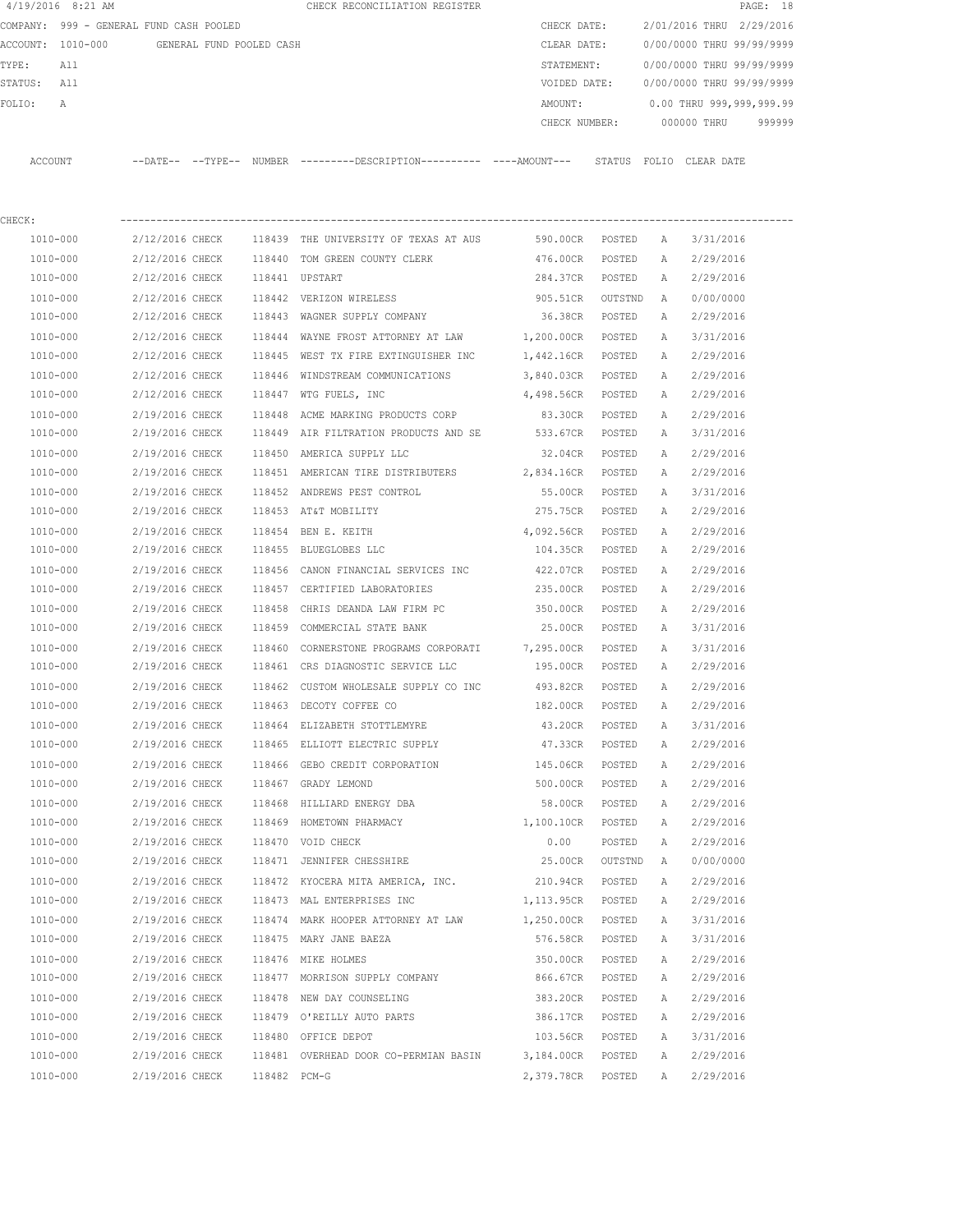|             | $4/19/2016$ 8:21 AM                     |                 |                          |              | CHECK RECONCILIATION REGISTER                                                                |                   |         |              |                           | PAGE: 18 |
|-------------|-----------------------------------------|-----------------|--------------------------|--------------|----------------------------------------------------------------------------------------------|-------------------|---------|--------------|---------------------------|----------|
|             | COMPANY: 999 - GENERAL FUND CASH POOLED |                 |                          |              |                                                                                              | CHECK DATE:       |         |              | 2/01/2016 THRU 2/29/2016  |          |
|             | ACCOUNT: 1010-000                       |                 | GENERAL FUND POOLED CASH |              |                                                                                              | CLEAR DATE:       |         |              | 0/00/0000 THRU 99/99/9999 |          |
| TYPE:       | All                                     |                 |                          |              |                                                                                              | STATEMENT:        |         |              | 0/00/0000 THRU 99/99/9999 |          |
| STATUS: All |                                         |                 |                          |              |                                                                                              | VOIDED DATE:      |         |              | 0/00/0000 THRU 99/99/9999 |          |
| FOLIO:      | Α                                       |                 |                          |              |                                                                                              | AMOUNT:           |         |              | 0.00 THRU 999,999,999.99  |          |
|             |                                         |                 |                          |              |                                                                                              | CHECK NUMBER:     |         |              | 000000 THRU               | 999999   |
|             | ACCOUNT                                 |                 |                          |              | --DATE-- --TYPE-- NUMBER ---------DESCRIPTION---------- ----AMOUNT--- STATUS FOLIO CLEARDATE |                   |         |              |                           |          |
| CHECK:      |                                         |                 |                          |              |                                                                                              |                   |         |              |                           |          |
|             | 1010-000                                | 2/12/2016 CHECK |                          |              | 118439 THE UNIVERSITY OF TEXAS AT AUS 590.00CR POSTED                                        |                   |         | A            | 3/31/2016                 |          |
|             | 1010-000                                | 2/12/2016 CHECK |                          |              | 118440 TOM GREEN COUNTY CLERK                                                                | 476.00CR          | POSTED  | A            | 2/29/2016                 |          |
|             | 1010-000                                | 2/12/2016 CHECK |                          |              | 118441 UPSTART                                                                               | 284.37CR POSTED   |         | А            | 2/29/2016                 |          |
|             | 1010-000                                | 2/12/2016 CHECK |                          |              | 118442 VERIZON WIRELESS                                                                      | 905.51CR OUTSTND  |         | A            | 0/00/0000                 |          |
|             | 1010-000                                | 2/12/2016 CHECK |                          |              | 118443 WAGNER SUPPLY COMPANY                                                                 | 36.38CR POSTED    |         | A            | 2/29/2016                 |          |
|             | 1010-000                                | 2/12/2016 CHECK |                          |              | 118444 WAYNE FROST ATTORNEY AT LAW                                                           | 1,200.00CR POSTED |         | A            | 3/31/2016                 |          |
|             | 1010-000                                | 2/12/2016 CHECK |                          |              | 118445 WEST TX FIRE EXTINGUISHER INC                                                         | 1,442.16CR POSTED |         | A            | 2/29/2016                 |          |
|             | 1010-000                                | 2/12/2016 CHECK |                          |              | 118446 WINDSTREAM COMMUNICATIONS                                                             | 3,840.03CR POSTED |         | A            | 2/29/2016                 |          |
|             | 1010-000                                | 2/12/2016 CHECK |                          |              | 118447 WTG FUELS, INC                                                                        | 4,498.56CR POSTED |         | A            | 2/29/2016                 |          |
|             | 1010-000                                | 2/19/2016 CHECK |                          | 118448       | ACME MARKING PRODUCTS CORP                                                                   | 83.30CR           | POSTED  | A            | 2/29/2016                 |          |
|             | 1010-000                                | 2/19/2016 CHECK |                          |              | 118449 AIR FILTRATION PRODUCTS AND SE 533.67CR                                               |                   | POSTED  | A            | 3/31/2016                 |          |
|             | 1010-000                                | 2/19/2016 CHECK |                          |              | 118450 AMERICA SUPPLY LLC                                                                    | 32.04CR POSTED    |         | A            | 2/29/2016                 |          |
|             | 1010-000                                | 2/19/2016 CHECK |                          |              | 118451 AMERICAN TIRE DISTRIBUTERS 2,834.16CR POSTED                                          |                   |         | A            | 2/29/2016                 |          |
|             | 1010-000                                | 2/19/2016 CHECK |                          |              | 118452 ANDREWS PEST CONTROL                                                                  | 55.00CR POSTED    |         | A            | 3/31/2016                 |          |
|             | 1010-000                                | 2/19/2016 CHECK |                          |              | 118453 AT&T MOBILITY                                                                         | 275.75CR POSTED   |         | A            | 2/29/2016                 |          |
|             | 1010-000                                | 2/19/2016 CHECK |                          |              | 118454 BEN E. KEITH                                                                          | 4,092.56CR POSTED |         | Α            | 2/29/2016                 |          |
|             | 1010-000                                | 2/19/2016 CHECK |                          |              | 118455 BLUEGLOBES LLC                                                                        | 104.35CR POSTED   |         | Α            | 2/29/2016                 |          |
|             | 1010-000                                | 2/19/2016 CHECK |                          |              | 118456 CANON FINANCIAL SERVICES INC                                                          | 422.07CR          | POSTED  | $\mathbb{A}$ | 2/29/2016                 |          |
|             | 1010-000                                | 2/19/2016 CHECK |                          |              | 118457 CERTIFIED LABORATORIES                                                                | 235.00CR          | POSTED  | $\mathbb{A}$ | 2/29/2016                 |          |
|             | 1010-000                                | 2/19/2016 CHECK |                          | 118458       | CHRIS DEANDA LAW FIRM PC                                                                     | 350.00CR          | POSTED  | A            | 2/29/2016                 |          |
|             | 1010-000                                | 2/19/2016 CHECK |                          |              | 118459 COMMERCIAL STATE BANK                                                                 | 25.00CR           | POSTED  | A            | 3/31/2016                 |          |
|             | 1010-000                                | 2/19/2016 CHECK |                          | 118460       | CORNERSTONE PROGRAMS CORPORATI 7,295.00CR                                                    |                   | POSTED  | A            | 3/31/2016                 |          |
|             | 1010-000                                | 2/19/2016 CHECK |                          |              | 118461 CRS DIAGNOSTIC SERVICE LLC                                                            | 195.00CR          | POSTED  | A            | 2/29/2016                 |          |
|             | 1010-000                                | 2/19/2016 CHECK |                          |              | 118462 CUSTOM WHOLESALE SUPPLY CO INC 493.82CR                                               |                   | POSTED  | $\mathbb{A}$ | 2/29/2016                 |          |
|             | 1010-000                                | 2/19/2016 CHECK |                          |              | 118463 DECOTY COFFEE CO                                                                      | 182.00CR          | POSTED  | А            | 2/29/2016                 |          |
|             | 1010-000                                | 2/19/2016 CHECK |                          |              | 118464 ELIZABETH STOTTLEMYRE                                                                 | 43.20CR           | POSTED  | Α            | 3/31/2016                 |          |
|             | 1010-000                                | 2/19/2016 CHECK |                          |              | 118465 ELLIOTT ELECTRIC SUPPLY                                                               | 47.33CR           | POSTED  | Α            | 2/29/2016                 |          |
|             | 1010-000                                | 2/19/2016 CHECK |                          |              | 118466 GEBO CREDIT CORPORATION                                                               | 145.06CR          | POSTED  | Α            | 2/29/2016                 |          |
|             | 1010-000                                | 2/19/2016 CHECK |                          |              | 118467 GRADY LEMOND                                                                          | 500.00CR          | POSTED  | Α            | 2/29/2016                 |          |
|             | 1010-000                                | 2/19/2016 CHECK |                          |              | 118468 HILLIARD ENERGY DBA                                                                   | 58.00CR           | POSTED  | Α            | 2/29/2016                 |          |
|             | 1010-000                                | 2/19/2016 CHECK |                          |              | 118469 HOMETOWN PHARMACY                                                                     | 1,100.10CR        | POSTED  | Α            | 2/29/2016                 |          |
|             | 1010-000                                | 2/19/2016 CHECK |                          |              | 118470 VOID CHECK                                                                            | 0.00              | POSTED  | Α            | 2/29/2016                 |          |
|             | 1010-000                                | 2/19/2016 CHECK |                          |              | 118471 JENNIFER CHESSHIRE                                                                    | 25.00CR           | OUTSTND | А            | 0/00/0000                 |          |
|             | 1010-000                                | 2/19/2016 CHECK |                          |              | 118472 KYOCERA MITA AMERICA, INC.                                                            | 210.94CR          | POSTED  | Α            | 2/29/2016                 |          |
|             | 1010-000                                | 2/19/2016 CHECK |                          |              | 118473 MAL ENTERPRISES INC                                                                   | 1,113.95CR        | POSTED  | Α            | 2/29/2016                 |          |
|             | 1010-000                                | 2/19/2016 CHECK |                          |              | 118474 MARK HOOPER ATTORNEY AT LAW 1,250.00CR                                                |                   | POSTED  | Α            | 3/31/2016                 |          |
|             | 1010-000                                | 2/19/2016 CHECK |                          |              | 118475 MARY JANE BAEZA                                                                       | 576.58CR          | POSTED  | Α            | 3/31/2016                 |          |
|             | 1010-000                                | 2/19/2016 CHECK |                          |              | 118476 MIKE HOLMES                                                                           | 350.00CR          | POSTED  | Α            | 2/29/2016                 |          |
|             | 1010-000                                | 2/19/2016 CHECK |                          |              | 118477 MORRISON SUPPLY COMPANY                                                               | 866.67CR          | POSTED  | Α            | 2/29/2016                 |          |
|             | 1010-000                                | 2/19/2016 CHECK |                          |              | 118478 NEW DAY COUNSELING                                                                    | 383.20CR          | POSTED  | Α            | 2/29/2016                 |          |
|             | 1010-000                                | 2/19/2016 CHECK |                          |              | 118479 O'REILLY AUTO PARTS                                                                   | 386.17CR          | POSTED  | Α            | 2/29/2016                 |          |
|             | 1010-000                                | 2/19/2016 CHECK |                          |              | 118480 OFFICE DEPOT                                                                          | 103.56CR          | POSTED  | Α            | 3/31/2016                 |          |
|             | 1010-000                                | 2/19/2016 CHECK |                          |              | 118481 OVERHEAD DOOR CO-PERMIAN BASIN                                                        | 3,184.00CR POSTED |         | Α            | 2/29/2016                 |          |
|             | 1010-000                                | 2/19/2016 CHECK |                          | 118482 PCM-G |                                                                                              | 2,379.78CR POSTED |         | A            | 2/29/2016                 |          |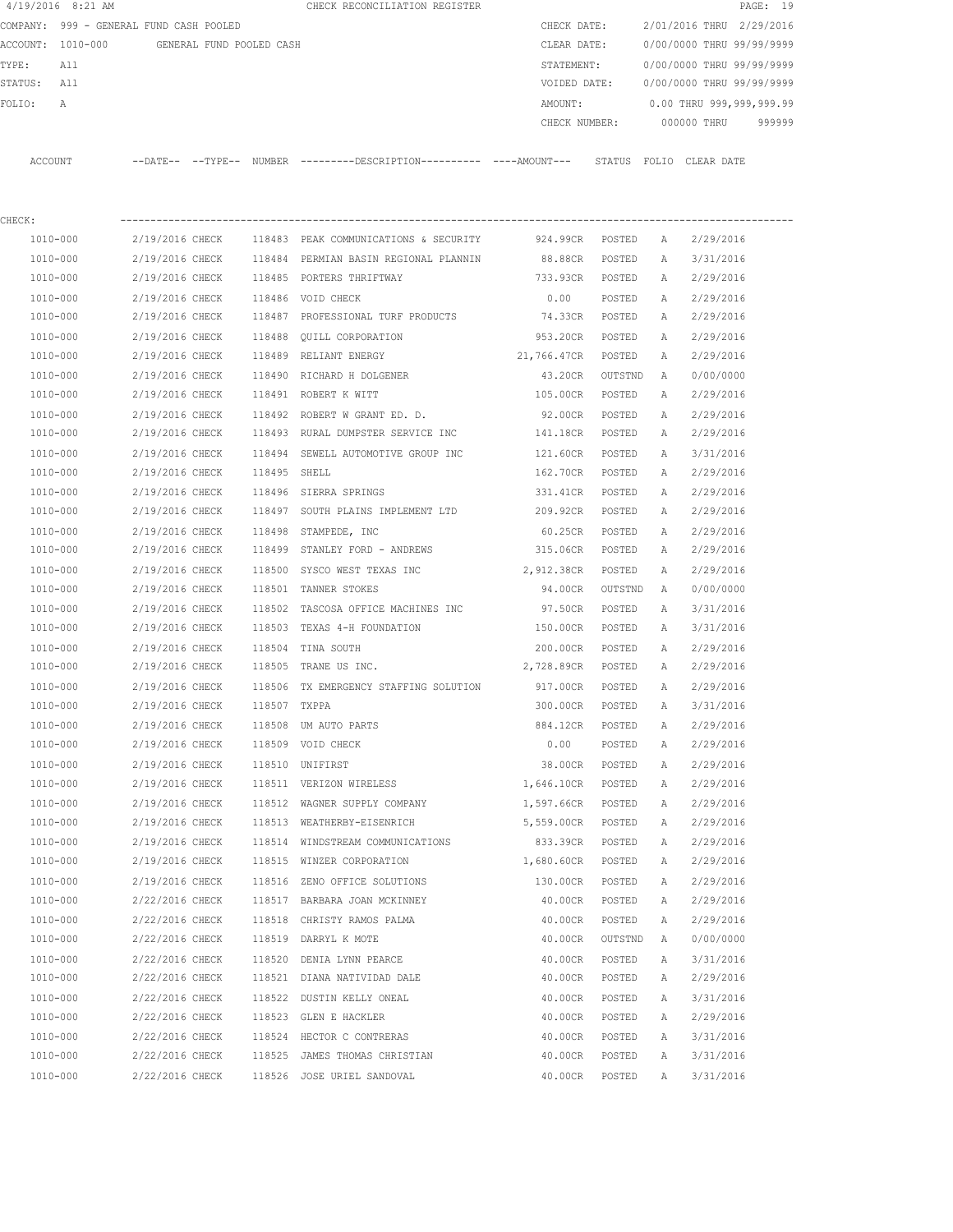| $4/19/2016$ 8:21 AM                        |                                    |              | CHECK RECONCILIATION REGISTER                                                              |                    |                  |              |                           | PAGE: 19 |
|--------------------------------------------|------------------------------------|--------------|--------------------------------------------------------------------------------------------|--------------------|------------------|--------------|---------------------------|----------|
| COMPANY: 999 - GENERAL FUND CASH POOLED    |                                    |              |                                                                                            | CHECK DATE:        |                  |              | 2/01/2016 THRU 2/29/2016  |          |
| ACCOUNT: 1010-000 GENERAL FUND POOLED CASH |                                    |              |                                                                                            | CLEAR DATE:        |                  |              | 0/00/0000 THRU 99/99/9999 |          |
| TYPE:<br>All                               |                                    |              |                                                                                            | STATEMENT:         |                  |              | 0/00/0000 THRU 99/99/9999 |          |
| STATUS: All                                |                                    |              |                                                                                            | VOIDED DATE:       |                  |              | 0/00/0000 THRU 99/99/9999 |          |
| FOLIO:<br>Α                                |                                    |              |                                                                                            | AMOUNT:            |                  |              | 0.00 THRU 999,999,999.99  |          |
|                                            |                                    |              |                                                                                            | CHECK NUMBER:      |                  |              | 000000 THRU               | 999999   |
| ACCOUNT                                    |                                    |              | --DATE-- --TYPE-- NUMBER --------DESCRIPTION---------- ---AMOUNT--- STATUS FOLIO CLEARDATE |                    |                  |              |                           |          |
| CHECK:                                     |                                    |              |                                                                                            |                    |                  |              |                           |          |
| 1010-000                                   | 2/19/2016 CHECK                    |              | 118483 PEAK COMMUNICATIONS & SECURITY                                                      | 924.99CR POSTED    |                  | A            | 2/29/2016                 |          |
| 1010-000                                   | 2/19/2016 CHECK                    |              | 118484 PERMIAN BASIN REGIONAL PLANNIN                                                      | 88.88CR            | POSTED           | A            | 3/31/2016                 |          |
| 1010-000                                   | 2/19/2016 CHECK                    |              | 118485 PORTERS THRIFTWAY                                                                   | 733.93CR POSTED    |                  | A            | 2/29/2016                 |          |
| 1010-000                                   | 2/19/2016 CHECK                    |              | 118486 VOID CHECK                                                                          | 0.00               | POSTED           | A            | 2/29/2016                 |          |
| 1010-000                                   | 2/19/2016 CHECK                    |              | 118487 PROFESSIONAL TURF PRODUCTS                                                          | 74.33CR POSTED     |                  | A            | 2/29/2016                 |          |
| 1010-000                                   | 2/19/2016 CHECK                    | 118488       | OUILL CORPORATION                                                                          | 953.20CR           | POSTED           | Α            | 2/29/2016                 |          |
| 1010-000                                   | 2/19/2016 CHECK                    |              | 118489 RELIANT ENERGY                                                                      | 21,766.47CR POSTED |                  | A            | 2/29/2016                 |          |
| 1010-000                                   | 2/19/2016 CHECK                    |              | 118490 RICHARD H DOLGENER                                                                  | 43.20CR            | OUTSTND          | A            | 0/00/0000                 |          |
| 1010-000                                   | 2/19/2016 CHECK                    |              | 118491 ROBERT K WITT                                                                       | 105.00CR           | POSTED           | A            | 2/29/2016                 |          |
| 1010-000                                   | 2/19/2016 CHECK                    |              | 118492 ROBERT W GRANT ED. D.                                                               | 92.00CR            | POSTED           | A            | 2/29/2016                 |          |
| 1010-000                                   |                                    |              | 2/19/2016 CHECK 118493 RURAL DUMPSTER SERVICE INC                                          | 141.18CR           | POSTED           | A            | 2/29/2016                 |          |
| 1010-000                                   | 2/19/2016 CHECK                    |              | 118494 SEWELL AUTOMOTIVE GROUP INC                                                         | 121.60CR           | POSTED           | Α            | 3/31/2016                 |          |
| 1010-000                                   | 2/19/2016 CHECK                    | 118495 SHELL |                                                                                            | 162.70CR           | POSTED           | A            | 2/29/2016                 |          |
| 1010-000                                   | 2/19/2016 CHECK                    |              | 118496 SIERRA SPRINGS                                                                      | 331.41CR           | POSTED           | Α            | 2/29/2016                 |          |
| 1010-000                                   | 2/19/2016 CHECK                    |              | 118497 SOUTH PLAINS IMPLEMENT LTD                                                          | 209.92CR           | POSTED           | A            | 2/29/2016                 |          |
| 1010-000                                   | 2/19/2016 CHECK                    | 118498       | STAMPEDE, INC                                                                              | 60.25CR            | POSTED           | Α            | 2/29/2016                 |          |
| 1010-000                                   | 2/19/2016 CHECK                    | 118499       | STANLEY FORD - ANDREWS                                                                     | 315.06CR           | POSTED           | A            | 2/29/2016                 |          |
| 1010-000                                   | 2/19/2016 CHECK                    | 118500       | SYSCO WEST TEXAS INC                                                                       | 2,912.38CR         | POSTED           | Α            | 2/29/2016                 |          |
| 1010-000                                   | 2/19/2016 CHECK                    |              | 118501 TANNER STOKES                                                                       | 94.00CR            | OUTSTND          | A            | 0/00/0000                 |          |
| 1010-000                                   | 2/19/2016 CHECK                    | 118502       | TASCOSA OFFICE MACHINES INC                                                                | 97.50CR            | POSTED           | A            | 3/31/2016                 |          |
| 1010-000                                   | 2/19/2016 CHECK                    |              | 118503 TEXAS 4-H FOUNDATION                                                                | 150.00CR           | POSTED           | A            | 3/31/2016                 |          |
| 1010-000                                   | 2/19/2016 CHECK                    |              | 118504 TINA SOUTH                                                                          | 200.00CR           | POSTED           | A            | 2/29/2016                 |          |
| 1010-000                                   |                                    |              | 2/19/2016 CHECK 118505 TRANE US INC.                                                       | 2,728.89CR         | POSTED           | A            | 2/29/2016                 |          |
| 1010-000                                   | 2/19/2016 CHECK                    |              | 118506 TX EMERGENCY STAFFING SOLUTION                                                      | 917.00CR           | POSTED           | $\mathbb{A}$ | 2/29/2016                 |          |
| 1010-000                                   | 2/19/2016 CHECK                    | 118507 TXPPA |                                                                                            | 300.00CR           | POSTED           | Α            | 3/31/2016                 |          |
| 1010-000                                   | 2/19/2016 CHECK                    |              | 118508 UM AUTO PARTS                                                                       | 884.12CR           | POSTED           | Α            | 2/29/2016                 |          |
| 1010-000                                   | 2/19/2016 CHECK                    |              | 118509 VOID CHECK                                                                          | 0.00               | POSTED           | Α            | 2/29/2016                 |          |
| 1010-000                                   | 2/19/2016 CHECK                    |              | 118510 UNIFIRST                                                                            | 38.00CR            | POSTED           | Α            | 2/29/2016                 |          |
| 1010-000                                   | 2/19/2016 CHECK                    |              | 118511 VERIZON WIRELESS                                                                    | 1,646.10CR         | POSTED           | Α            | 2/29/2016                 |          |
| 1010-000                                   | 2/19/2016 CHECK                    |              | 118512 WAGNER SUPPLY COMPANY                                                               | 1,597.66CR         | POSTED           | Α            | 2/29/2016                 |          |
| 1010-000                                   | 2/19/2016 CHECK                    |              | 118513 WEATHERBY-EISENRICH                                                                 | 5,559.00CR         | POSTED           | Α            | 2/29/2016                 |          |
| 1010-000                                   | 2/19/2016 CHECK                    |              | 118514 WINDSTREAM COMMUNICATIONS                                                           | 833.39CR           | POSTED           | Α            | 2/29/2016                 |          |
| 1010-000                                   | 2/19/2016 CHECK                    |              | 118515 WINZER CORPORATION                                                                  | 1,680.60CR         | POSTED           | Α            | 2/29/2016                 |          |
| 1010-000                                   | 2/19/2016 CHECK                    |              | 118516 ZENO OFFICE SOLUTIONS                                                               | 130.00CR           | POSTED           | Α            | 2/29/2016                 |          |
| 1010-000                                   | 2/22/2016 CHECK                    |              | 118517 BARBARA JOAN MCKINNEY                                                               | 40.00CR            | POSTED           | Α            | 2/29/2016                 |          |
| 1010-000                                   | 2/22/2016 CHECK                    |              | 118518 CHRISTY RAMOS PALMA                                                                 | 40.00CR            | POSTED           | Α            | 2/29/2016                 |          |
| 1010-000                                   | 2/22/2016 CHECK                    |              | 118519 DARRYL K MOTE                                                                       | 40.00CR            | OUTSTND          | Α            | 0/00/0000                 |          |
| 1010-000                                   | 2/22/2016 CHECK                    |              | 118520 DENIA LYNN PEARCE                                                                   | 40.00CR<br>40.00CR | POSTED           | Α            | 3/31/2016                 |          |
| 1010-000                                   | 2/22/2016 CHECK                    |              | 118521 DIANA NATIVIDAD DALE                                                                |                    | POSTED           | Α            | 2/29/2016                 |          |
| 1010-000<br>1010-000                       | 2/22/2016 CHECK<br>2/22/2016 CHECK |              | 118522 DUSTIN KELLY ONEAL<br>118523 GLEN E HACKLER                                         | 40.00CR<br>40.00CR | POSTED<br>POSTED | Α<br>Α       | 3/31/2016<br>2/29/2016    |          |
| 1010-000                                   | 2/22/2016 CHECK                    |              | 118524 HECTOR C CONTRERAS                                                                  | 40.00CR            | POSTED           | Α            |                           |          |
| 1010-000                                   | 2/22/2016 CHECK                    |              | 118525 JAMES THOMAS CHRISTIAN                                                              | 40.00CR            | POSTED           | Α            | 3/31/2016<br>3/31/2016    |          |
| 1010-000                                   | 2/22/2016 CHECK                    |              | 118526 JOSE URIEL SANDOVAL                                                                 | 40.00CR            | POSTED           | Α            | 3/31/2016                 |          |
|                                            |                                    |              |                                                                                            |                    |                  |              |                           |          |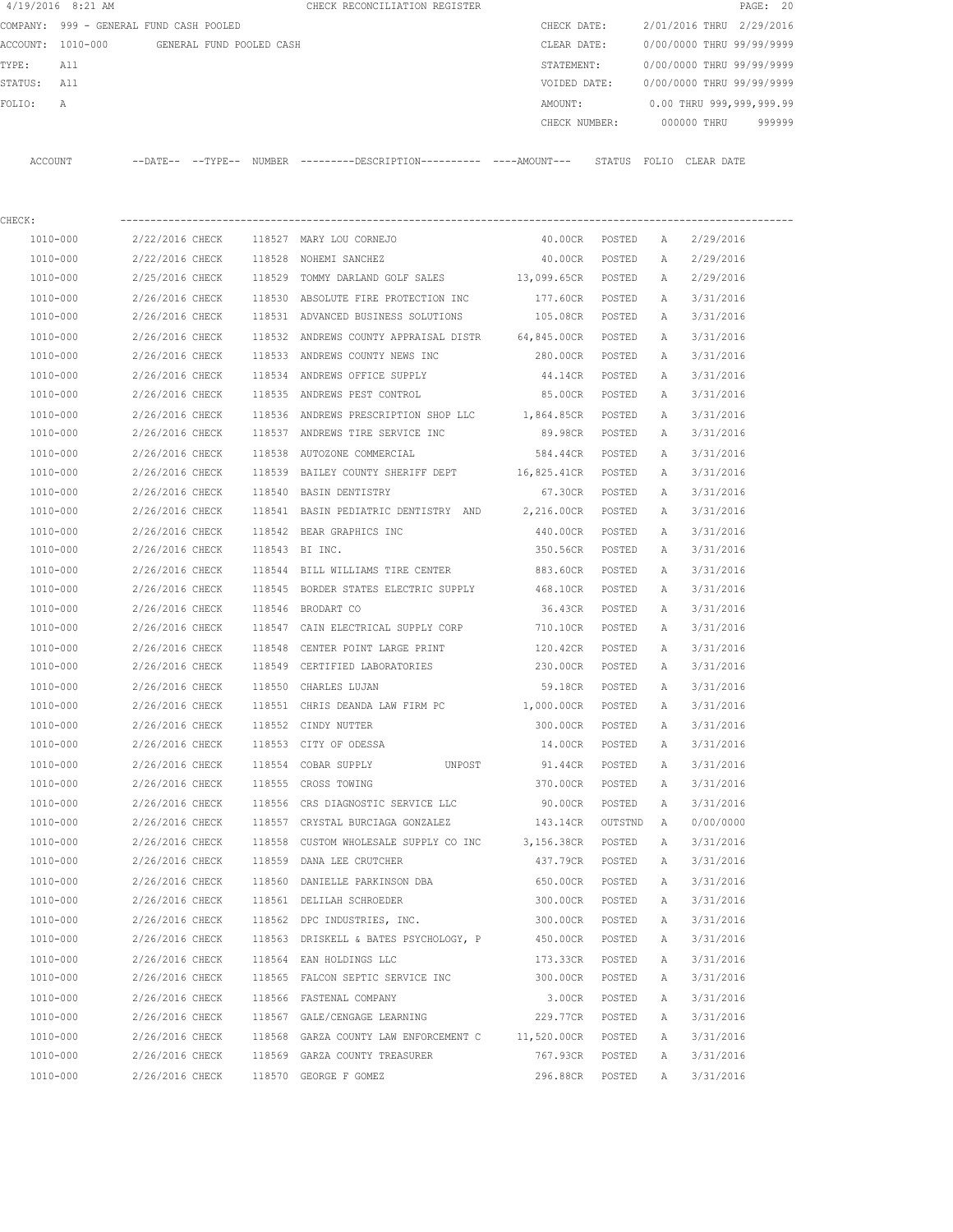|         | 4/19/2016 8:21 AM                       |                   |                          | CHECK RECONCILIATION REGISTER |  |               |        |                           |             | PAGE: 20  |        |  |
|---------|-----------------------------------------|-------------------|--------------------------|-------------------------------|--|---------------|--------|---------------------------|-------------|-----------|--------|--|
|         | COMPANY: 999 - GENERAL FUND CASH POOLED |                   |                          |                               |  | CHECK DATE:   |        | 2/01/2016 THRU            |             | 2/29/2016 |        |  |
|         | ACCOUNT: 1010-000                       |                   | GENERAL FUND POOLED CASH |                               |  | CLEAR DATE:   |        | 0/00/0000 THRU 99/99/9999 |             |           |        |  |
| TYPE:   | All                                     |                   |                          |                               |  | STATEMENT:    |        | 0/00/0000 THRU 99/99/9999 |             |           |        |  |
| STATUS: | All                                     |                   |                          |                               |  | VOIDED DATE:  |        | 0/00/0000 THRU 99/99/9999 |             |           |        |  |
| FOLTO:  | $\mathbb{A}$                            |                   |                          |                               |  | AMOUNT:       |        | 0.00 THRU 999,999,999.99  |             |           |        |  |
|         |                                         |                   |                          |                               |  | CHECK NUMBER: |        |                           | 000000 THRU |           | 999999 |  |
|         |                                         |                   |                          |                               |  |               |        |                           |             |           |        |  |
| ACCOUNT |                                         | --DATE-- --TYPE-- | NUMBER                   |                               |  |               | STATUS | FOLTO                     | CLEAR DATE  |           |        |  |

| CHECK:   |                                     |        |                                                                          |                    |         |   |           |
|----------|-------------------------------------|--------|--------------------------------------------------------------------------|--------------------|---------|---|-----------|
| 1010-000 | 2/22/2016 CHECK                     |        | 118527 MARY LOU CORNEJO                                                  | 40.00CR POSTED     |         | A | 2/29/2016 |
| 1010-000 | 2/22/2016 CHECK                     | 118528 | NOHEMI SANCHEZ                                                           | 40.00CR            | POSTED  | A | 2/29/2016 |
| 1010-000 | 2/25/2016 CHECK                     | 118529 | TOMMY DARLAND GOLF SALES 13,099.65CR                                     |                    | POSTED  | А | 2/29/2016 |
| 1010-000 | 2/26/2016 CHECK                     |        | 118530 ABSOLUTE FIRE PROTECTION INC 177.60CR                             |                    | POSTED  | A | 3/31/2016 |
| 1010-000 | 2/26/2016 CHECK                     |        | 118531 ADVANCED BUSINESS SOLUTIONS                                       | 105.08CR           | POSTED  | A | 3/31/2016 |
| 1010-000 |                                     |        | 2/26/2016 CHECK 118532 ANDREWS COUNTY APPRAISAL DISTR 64,845.00CR POSTED |                    |         | A | 3/31/2016 |
| 1010-000 |                                     |        | 2/26/2016 CHECK 118533 ANDREWS COUNTY NEWS INC                           | 280.00CR           | POSTED  | A | 3/31/2016 |
| 1010-000 |                                     |        | 2/26/2016 CHECK 118534 ANDREWS OFFICE SUPPLY                             | 44.14CR            | POSTED  | A | 3/31/2016 |
| 1010-000 |                                     |        | 2/26/2016 CHECK 118535 ANDREWS PEST CONTROL                              | 85.00CR            | POSTED  | Α | 3/31/2016 |
| 1010-000 |                                     |        | 2/26/2016 CHECK 118536 ANDREWS PRESCRIPTION SHOP LLC                     | 1,864.85CR POSTED  |         | Α | 3/31/2016 |
| 1010-000 |                                     |        | 2/26/2016 CHECK 118537 ANDREWS TIRE SERVICE INC                          | 89.98CR POSTED     |         | A | 3/31/2016 |
| 1010-000 |                                     |        | 2/26/2016 CHECK 118538 AUTOZONE COMMERCIAL                               | 584.44CR POSTED    |         | A | 3/31/2016 |
| 1010-000 | 2/26/2016 CHECK                     |        | 118539 BAILEY COUNTY SHERIFF DEPT                                        | 16,825.41CR POSTED |         | A | 3/31/2016 |
| 1010-000 | 2/26/2016 CHECK                     |        | 118540 BASIN DENTISTRY                                                   | 67.30CR POSTED     |         | A | 3/31/2016 |
| 1010-000 | 2/26/2016 CHECK                     |        | 118541 BASIN PEDIATRIC DENTISTRY AND 2,216.00CR POSTED                   |                    |         | A | 3/31/2016 |
| 1010-000 | 2/26/2016 CHECK                     |        | 118542 BEAR GRAPHICS INC                                                 | 440.00CR POSTED    |         | A | 3/31/2016 |
| 1010-000 | 2/26/2016 CHECK 118543 BI INC.      |        |                                                                          | 350.56CR POSTED    |         | A | 3/31/2016 |
| 1010-000 |                                     |        | 2/26/2016 CHECK 118544 BILL WILLIAMS TIRE CENTER 883.60CR                |                    | POSTED  | A | 3/31/2016 |
| 1010-000 |                                     |        | 2/26/2016 CHECK 118545 BORDER STATES ELECTRIC SUPPLY 468.10CR            |                    | POSTED  | A | 3/31/2016 |
| 1010-000 | 2/26/2016 CHECK                     |        | 118546 BRODART CO                                                        | 36.43CR            | POSTED  | А | 3/31/2016 |
| 1010-000 | 2/26/2016 CHECK                     |        | 118547 CAIN ELECTRICAL SUPPLY CORP                                       | 710.10CR           | POSTED  | A | 3/31/2016 |
| 1010-000 | 2/26/2016 CHECK                     |        | 118548 CENTER POINT LARGE PRINT                                          | 120.42CR POSTED    |         | Α | 3/31/2016 |
| 1010-000 | 2/26/2016 CHECK                     |        | 118549 CERTIFIED LABORATORIES                                            | 230.00CR POSTED    |         | A | 3/31/2016 |
| 1010-000 | 2/26/2016 CHECK                     |        | 118550 CHARLES LUJAN                                                     | 59.18CR POSTED     |         | A | 3/31/2016 |
| 1010-000 | 2/26/2016 CHECK                     |        | 118551 CHRIS DEANDA LAW FIRM PC                                          | 1,000.00CR POSTED  |         | Α | 3/31/2016 |
| 1010-000 | 2/26/2016 CHECK                     |        | 118552 CINDY NUTTER                                                      | 300.00CR           | POSTED  | Α | 3/31/2016 |
| 1010-000 | 2/26/2016 CHECK                     | 118553 | CITY OF ODESSA                                                           | 14.00CR            | POSTED  | Α | 3/31/2016 |
| 1010-000 | 2/26/2016 CHECK                     |        | 118554 COBAR SUPPLY                                                      | UNPOST 91.44CR     | POSTED  | Α | 3/31/2016 |
| 1010-000 | 2/26/2016 CHECK 118555 CROSS TOWING |        |                                                                          | 370.00CR           | POSTED  | Α | 3/31/2016 |
| 1010-000 |                                     |        | 2/26/2016 CHECK 118556 CRS DIAGNOSTIC SERVICE LLC                        | 90.00CR            | POSTED  | Α | 3/31/2016 |
| 1010-000 |                                     |        | 2/26/2016 CHECK 118557 CRYSTAL BURCIAGA GONZALEZ 143.14CR                |                    | OUTSTND | Α | 0/00/0000 |
| 1010-000 | 2/26/2016 CHECK                     | 118558 | CUSTOM WHOLESALE SUPPLY CO INC 3,156.38CR                                |                    | POSTED  | A | 3/31/2016 |
| 1010-000 | 2/26/2016 CHECK                     |        | 118559 DANA LEE CRUTCHER                                                 | 437.79CR POSTED    |         | A | 3/31/2016 |
| 1010-000 |                                     |        | 2/26/2016 CHECK 118560 DANIELLE PARKINSON DBA                            | 650.00CR           | POSTED  | A | 3/31/2016 |
| 1010-000 | 2/26/2016 CHECK                     |        | 118561 DELILAH SCHROEDER                                                 | 300.00CR           | POSTED  | A | 3/31/2016 |
| 1010-000 | 2/26/2016 CHECK                     |        | 118562 DPC INDUSTRIES, INC.                                              | 300.00CR           | POSTED  | А | 3/31/2016 |
| 1010-000 | 2/26/2016 CHECK                     |        | 118563 DRISKELL & BATES PSYCHOLOGY, P                                    | 450.00CR           | POSTED  | Α | 3/31/2016 |
| 1010-000 | 2/26/2016 CHECK                     |        | 118564 EAN HOLDINGS LLC                                                  | 173.33CR           | POSTED  | Α | 3/31/2016 |
| 1010-000 | 2/26/2016 CHECK                     |        | 118565 FALCON SEPTIC SERVICE INC                                         | 300.00CR           | POSTED  | Α | 3/31/2016 |
| 1010-000 | 2/26/2016 CHECK                     |        | 118566 FASTENAL COMPANY                                                  | 3.00CR             | POSTED  | Α | 3/31/2016 |
| 1010-000 | 2/26/2016 CHECK                     |        | 118567 GALE/CENGAGE LEARNING                                             | 229.77CR           | POSTED  | Α | 3/31/2016 |
| 1010-000 | 2/26/2016 CHECK                     | 118568 | GARZA COUNTY LAW ENFORCEMENT C                                           | 11,520.00CR        | POSTED  | Α | 3/31/2016 |
| 1010-000 | 2/26/2016 CHECK                     |        | 118569 GARZA COUNTY TREASURER                                            | 767.93CR           | POSTED  | Α | 3/31/2016 |
| 1010-000 | 2/26/2016 CHECK                     |        | 118570 GEORGE F GOMEZ                                                    | 296.88CR           | POSTED  | Α | 3/31/2016 |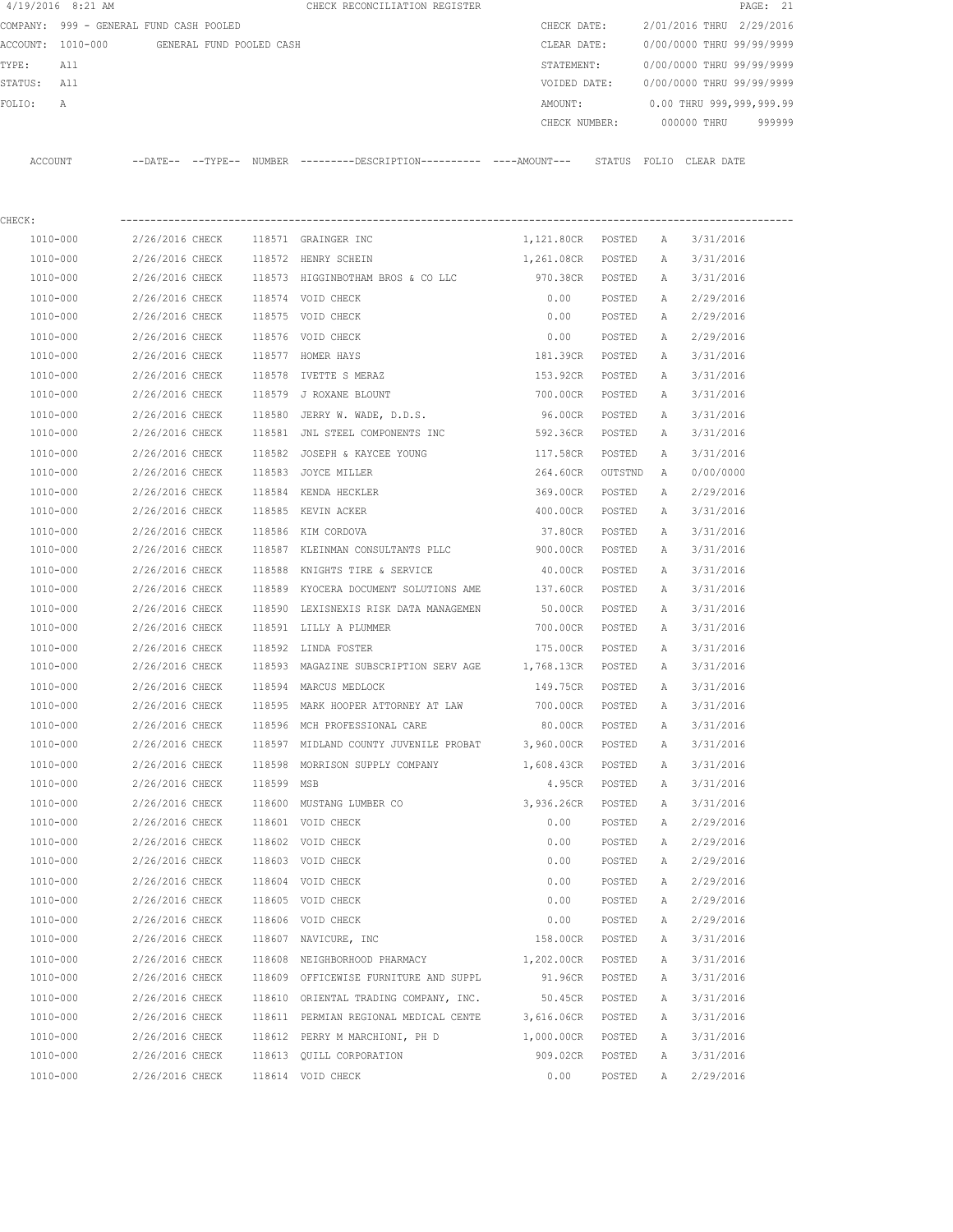| $4/19/2016$ 8:21 AM                     |                          |            | CHECK RECONCILIATION REGISTER                                                               |                   |         |              |                           | PAGE: 21 |
|-----------------------------------------|--------------------------|------------|---------------------------------------------------------------------------------------------|-------------------|---------|--------------|---------------------------|----------|
| COMPANY: 999 - GENERAL FUND CASH POOLED |                          |            |                                                                                             | CHECK DATE:       |         |              | 2/01/2016 THRU 2/29/2016  |          |
| ACCOUNT: 1010-000                       | GENERAL FUND POOLED CASH |            |                                                                                             | CLEAR DATE:       |         |              | 0/00/0000 THRU 99/99/9999 |          |
| TYPE:<br>All                            |                          |            |                                                                                             | STATEMENT:        |         |              | 0/00/0000 THRU 99/99/9999 |          |
| All<br>STATUS:                          |                          |            |                                                                                             | VOIDED DATE:      |         |              | 0/00/0000 THRU 99/99/9999 |          |
| FOLIO:<br>А                             |                          |            |                                                                                             | AMOUNT:           |         |              | 0.00 THRU 999,999,999.99  |          |
|                                         |                          |            |                                                                                             | CHECK NUMBER:     |         |              | 000000 THRU               | 999999   |
| ACCOUNT                                 |                          |            | --DATE-- --TYPE-- NUMBER --------DESCRIPTION---------- ----AMOUNT--- STATUS FOLIO CLEARDATE |                   |         |              |                           |          |
|                                         |                          |            |                                                                                             |                   |         |              |                           |          |
| CHECK:                                  |                          |            |                                                                                             |                   |         |              |                           |          |
| 1010-000                                | 2/26/2016 CHECK          |            | 118571 GRAINGER INC                                                                         | 1,121.80CR POSTED |         | A            | 3/31/2016                 |          |
| 1010-000                                | 2/26/2016 CHECK          |            | 118572 HENRY SCHEIN                                                                         | 1,261.08CR        | POSTED  | А            | 3/31/2016                 |          |
| 1010-000                                | 2/26/2016 CHECK          |            | 118573 HIGGINBOTHAM BROS & CO LLC                                                           | 970.38CR          | POSTED  | Α            | 3/31/2016                 |          |
| 1010-000                                | 2/26/2016 CHECK          |            | 118574 VOID CHECK                                                                           | 0.00              | POSTED  | Α            | 2/29/2016                 |          |
| 1010-000                                | 2/26/2016 CHECK          |            | 118575 VOID CHECK                                                                           | 0.00              | POSTED  | A            | 2/29/2016                 |          |
| 1010-000                                | 2/26/2016 CHECK          | 118576     | VOID CHECK                                                                                  | 0.00              | POSTED  | Α            | 2/29/2016                 |          |
| 1010-000                                | 2/26/2016 CHECK          |            | 118577 HOMER HAYS                                                                           | 181.39CR          | POSTED  | Α            | 3/31/2016                 |          |
| 1010-000                                | 2/26/2016 CHECK          | 118578     | IVETTE S MERAZ                                                                              | 153.92CR          | POSTED  | Α            | 3/31/2016                 |          |
| 1010-000                                | 2/26/2016 CHECK          |            | 118579 J ROXANE BLOUNT                                                                      | 700.00CR          | POSTED  | Α            | 3/31/2016                 |          |
| 1010-000                                | 2/26/2016 CHECK          |            | 118580 JERRY W. WADE, D.D.S.                                                                | 96.00CR           | POSTED  | Α            | 3/31/2016                 |          |
| 1010-000                                | 2/26/2016 CHECK          |            | 118581 JNL STEEL COMPONENTS INC                                                             | 592.36CR          | POSTED  | Α            | 3/31/2016                 |          |
| 1010-000                                | 2/26/2016 CHECK          | 118582     | JOSEPH & KAYCEE YOUNG                                                                       | 117.58CR          | POSTED  | Α            | 3/31/2016                 |          |
| 1010-000                                | 2/26/2016 CHECK          |            | 118583 JOYCE MILLER                                                                         | 264.60CR          | OUTSTND | A            | 0/00/0000                 |          |
| 1010-000                                | 2/26/2016 CHECK          |            | 118584 KENDA HECKLER                                                                        | 369.00CR          | POSTED  | Α            | 2/29/2016                 |          |
| 1010-000                                | 2/26/2016 CHECK          |            | 118585 KEVIN ACKER                                                                          | 400.00CR          | POSTED  | А            | 3/31/2016                 |          |
| 1010-000                                | 2/26/2016 CHECK          | 118586     | KIM CORDOVA                                                                                 | 37.80CR           | POSTED  | Α            | 3/31/2016                 |          |
| 1010-000                                | 2/26/2016 CHECK          |            | 118587 KLEINMAN CONSULTANTS PLLC                                                            | 900.00CR          | POSTED  | Α            | 3/31/2016                 |          |
| 1010-000                                | 2/26/2016 CHECK          | 118588     | KNIGHTS TIRE & SERVICE                                                                      | 40.00CR           | POSTED  | Α            | 3/31/2016                 |          |
| 1010-000                                | 2/26/2016 CHECK          | 118589     | KYOCERA DOCUMENT SOLUTIONS AME                                                              | 137.60CR          | POSTED  | Α            | 3/31/2016                 |          |
| 1010-000                                | 2/26/2016 CHECK          | 118590     | LEXISNEXIS RISK DATA MANAGEMEN                                                              | 50.00CR           | POSTED  | Α            | 3/31/2016                 |          |
| 1010-000                                | 2/26/2016 CHECK          |            | 118591 LILLY A PLUMMER                                                                      | 700.00CR          | POSTED  | А            | 3/31/2016                 |          |
| 1010-000                                | 2/26/2016 CHECK          |            | 118592 LINDA FOSTER                                                                         | 175.00CR          | POSTED  | А            | 3/31/2016                 |          |
| 1010-000                                | 2/26/2016 CHECK          |            | 118593 MAGAZINE SUBSCRIPTION SERV AGE 1,768.13CR                                            |                   | POSTED  | Α            | 3/31/2016                 |          |
| 1010-000                                | 2/26/2016 CHECK          |            | 118594 MARCUS MEDLOCK                                                                       | 149.75CR          | POSTED  | Α            | 3/31/2016                 |          |
| 1010-000                                | 2/26/2016 CHECK          |            | 118595 MARK HOOPER ATTORNEY AT LAW                                                          | 700.00CR          | POSTED  | А            | 3/31/2016                 |          |
| 1010-000                                | 2/26/2016 CHECK          |            | 118596 MCH PROFESSIONAL CARE                                                                | 80.00CR           | POSTED  | Α            | 3/31/2016                 |          |
| 1010-000                                | 2/26/2016 CHECK          |            | 118597 MIDLAND COUNTY JUVENILE PROBAT                                                       | 3,960.00CR        | POSTED  | Α            | 3/31/2016                 |          |
| 1010-000                                | 2/26/2016 CHECK          |            | 118598 MORRISON SUPPLY COMPANY                                                              | 1,608.43CR        | POSTED  | Α            | 3/31/2016                 |          |
| 1010-000                                | 2/26/2016 CHECK          | 118599 MSB |                                                                                             | 4.95CR            | POSTED  | Α            | 3/31/2016                 |          |
| 1010-000                                | 2/26/2016 CHECK          |            | 118600 MUSTANG LUMBER CO                                                                    | 3,936.26CR        | POSTED  | Α            | 3/31/2016                 |          |
| 1010-000                                | 2/26/2016 CHECK          |            | 118601 VOID CHECK                                                                           | 0.00              | POSTED  | Α            | 2/29/2016                 |          |
| 1010-000                                | 2/26/2016 CHECK          |            | 118602 VOID CHECK                                                                           | 0.00              | POSTED  | Α            | 2/29/2016                 |          |
| 1010-000                                | 2/26/2016 CHECK          |            | 118603 VOID CHECK                                                                           | 0.00              | POSTED  | Α            | 2/29/2016                 |          |
| 1010-000                                | 2/26/2016 CHECK          |            | 118604 VOID CHECK                                                                           | 0.00              | POSTED  | Α            | 2/29/2016                 |          |
| 1010-000                                | 2/26/2016 CHECK          |            | 118605 VOID CHECK                                                                           | 0.00              | POSTED  | Α            | 2/29/2016                 |          |
| 1010-000                                | 2/26/2016 CHECK          |            | 118606 VOID CHECK                                                                           | 0.00              | POSTED  | Α            | 2/29/2016                 |          |
| 1010-000                                | 2/26/2016 CHECK          |            | 118607 NAVICURE, INC                                                                        | 158.00CR          | POSTED  | Α            | 3/31/2016                 |          |
| 1010-000                                | 2/26/2016 CHECK          |            | 118608 NEIGHBORHOOD PHARMACY                                                                | 1,202.00CR        | POSTED  | Α            | 3/31/2016                 |          |
| 1010-000                                | 2/26/2016 CHECK          |            | 118609 OFFICEWISE FURNITURE AND SUPPL                                                       | 91.96CR           | POSTED  | Α            | 3/31/2016                 |          |
| 1010-000                                | 2/26/2016 CHECK          |            | 118610 ORIENTAL TRADING COMPANY, INC.                                                       | 50.45CR           | POSTED  | Α            | 3/31/2016                 |          |
| 1010-000                                | 2/26/2016 CHECK          |            | 118611 PERMIAN REGIONAL MEDICAL CENTE                                                       | 3,616.06CR POSTED |         | Α            | 3/31/2016                 |          |
| 1010-000                                | 2/26/2016 CHECK          |            | 118612 PERRY M MARCHIONI, PH D                                                              | 1,000.00CR        | POSTED  | Α            | 3/31/2016                 |          |
| 1010-000                                | 2/26/2016 CHECK          |            | 118613 QUILL CORPORATION                                                                    | 909.02CR          | POSTED  | $\mathbb{A}$ | 3/31/2016                 |          |

1010-000 2/26/2016 CHECK 118614 VOID CHECK 0.00 POSTED A 2/29/2016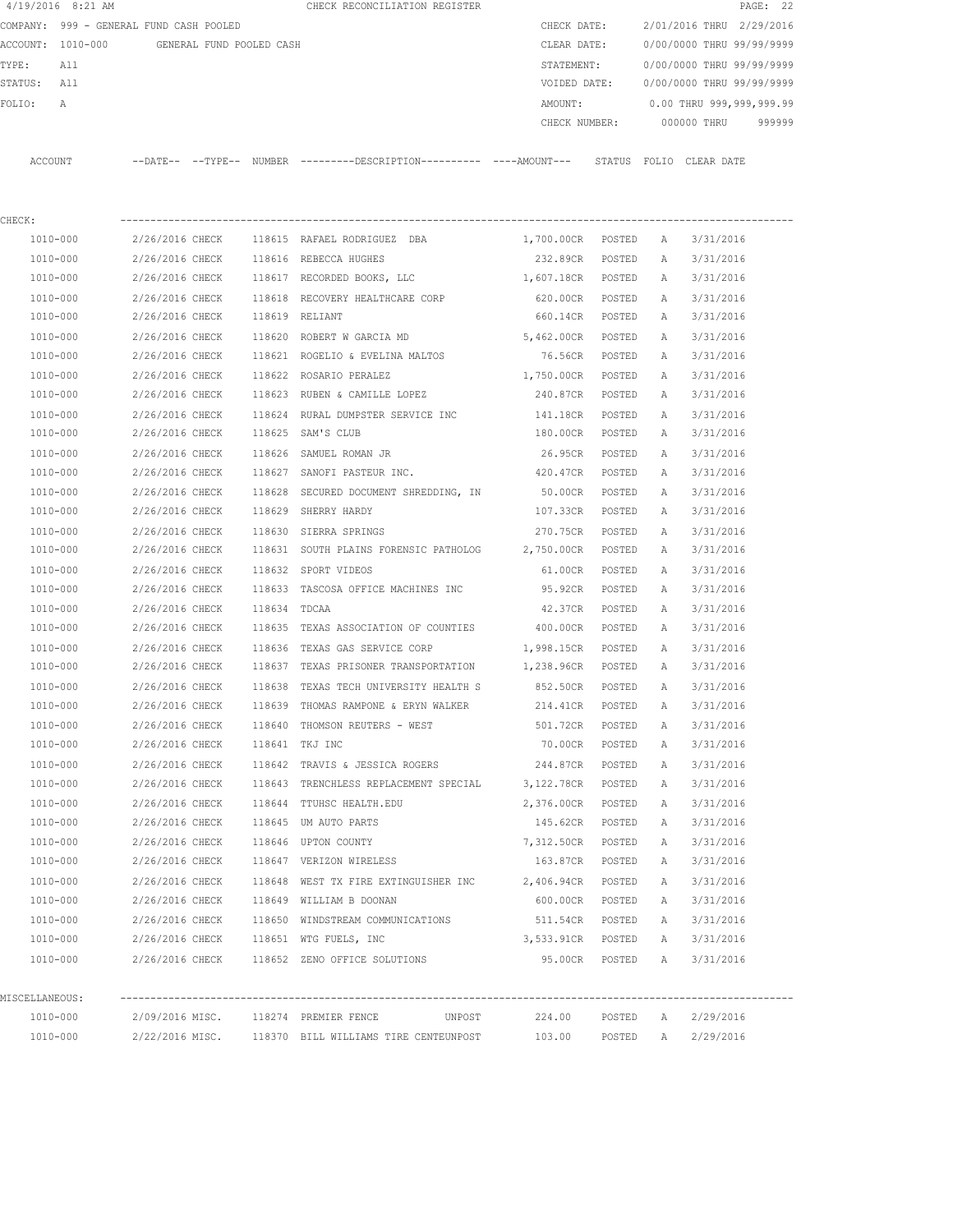|                                         | 4/19/2016 8:21 AM |                                            |  |  | CHECK RECONCILIATION REGISTER                                                                         |             |                   |                           | PAGE: 22                               |  |
|-----------------------------------------|-------------------|--------------------------------------------|--|--|-------------------------------------------------------------------------------------------------------|-------------|-------------------|---------------------------|----------------------------------------|--|
| COMPANY: 999 - GENERAL FUND CASH POOLED |                   |                                            |  |  |                                                                                                       | CHECK DATE: |                   |                           | 2/01/2016 THRU 2/29/2016               |  |
|                                         |                   | ACCOUNT: 1010-000 GENERAL FUND POOLED CASH |  |  |                                                                                                       | CLEAR DATE: |                   | 0/00/0000 THRU 99/99/9999 |                                        |  |
| TYPE: All                               |                   |                                            |  |  |                                                                                                       |             |                   |                           | STATEMENT: 0/00/0000 THRU 99/99/9999   |  |
| STATUS: All                             |                   |                                            |  |  |                                                                                                       |             |                   |                           | VOIDED DATE: 0/00/0000 THRU 99/99/9999 |  |
| FOLIO:                                  | A                 |                                            |  |  |                                                                                                       |             |                   |                           | AMOUNT: 0.00 THRU 999,999,999.99       |  |
|                                         |                   |                                            |  |  |                                                                                                       |             |                   |                           | CHECK NUMBER: 000000 THRU 999999       |  |
|                                         |                   |                                            |  |  | ACCOUNT --DATE-- --TYPE-- NUMBER ---------DESCRIPTION---------- ----AMOUNT--- STATUS FOLIO CLEAR DATE |             |                   |                           |                                        |  |
| CHECK:                                  |                   |                                            |  |  |                                                                                                       |             |                   |                           |                                        |  |
|                                         | 1010-000          |                                            |  |  | 2/26/2016 CHECK 118615 RAFAEL RODRIGUEZ DBA                                                           |             |                   |                           | 1,700.00CR POSTED A 3/31/2016          |  |
|                                         | 1010-000          |                                            |  |  | 2/26/2016 CHECK 118616 REBECCA HUGHES                                                                 |             |                   |                           | 232.89CR POSTED A 3/31/2016            |  |
|                                         | 1010-000          |                                            |  |  | 2/26/2016 CHECK 118617 RECORDED BOOKS, LLC                                                            |             |                   |                           | 1,607.18CR POSTED A 3/31/2016          |  |
|                                         | 1010-000          |                                            |  |  | 2/26/2016 CHECK 118618 RECOVERY HEALTHCARE CORP                                                       |             | 620.00CR POSTED   |                           | A 3/31/2016                            |  |
|                                         | 1010-000          |                                            |  |  | 2/26/2016 CHECK 118619 RELIANT                                                                        |             | 660.14CR POSTED   |                           | A 3/31/2016                            |  |
|                                         |                   |                                            |  |  | 1010-000  2/26/2016 CHECK  118620 ROBERT W GARCIA MD  5,462.00CR POSTED                               |             |                   |                           | A 3/31/2016                            |  |
|                                         |                   |                                            |  |  | 1010-000  2/26/2016 CHECK  118621  ROGELIO & EVELINA MALTOS     76.56CR  POSTED                       |             |                   |                           | A 3/31/2016                            |  |
|                                         | 1010-000          |                                            |  |  | 2/26/2016 CHECK 118622 ROSARIO PERALEZ                                                                |             | 1,750.00CR POSTED | A                         | 3/31/2016                              |  |
|                                         | 1010-000          |                                            |  |  | 2/26/2016 CHECK 118623 RUBEN & CAMILLE LOPEZ                                                          |             | 240.87CR POSTED   | A                         | 3/31/2016                              |  |
|                                         | 1010-000          |                                            |  |  | 2/26/2016 CHECK 118624 RURAL DUMPSTER SERVICE INC                                                     |             | 141.18CR POSTED   | A                         | 3/31/2016                              |  |
|                                         | 1010-000          |                                            |  |  | 2/26/2016 CHECK 118625 SAM'S CLUB                                                                     |             | 180.00CR POSTED   | A                         | 3/31/2016                              |  |
|                                         | 1010-000          |                                            |  |  | 2/26/2016 CHECK 118626 SAMUEL ROMAN JR                                                                |             | 26.95CR POSTED    |                           | A 3/31/2016                            |  |
|                                         | 1010-000          |                                            |  |  | 2/26/2016 CHECK 118627 SANOFI PASTEUR INC.                                                            |             | 420.47CR POSTED   | A                         | 3/31/2016                              |  |
|                                         | 1010-000          |                                            |  |  | 2/26/2016 CHECK 118628 SECURED DOCUMENT SHREDDING, IN                                                 |             | 50.00CR POSTED    | A                         | 3/31/2016                              |  |
|                                         | 1010-000          |                                            |  |  | 2/26/2016 CHECK 118629 SHERRY HARDY                                                                   |             | 107.33CR POSTED   |                           | A 3/31/2016                            |  |
|                                         | 1010-000          |                                            |  |  | 2/26/2016 CHECK 118630 SIERRA SPRINGS                                                                 |             | 270.75CR POSTED   | A                         | 3/31/2016                              |  |
|                                         | 1010-000          |                                            |  |  | 2/26/2016 CHECK 118631 SOUTH PLAINS FORENSIC PATHOLOG 2,750.00CR POSTED                               |             |                   | A                         | 3/31/2016                              |  |
|                                         | 1010-000          |                                            |  |  | 2/26/2016 CHECK 118632 SPORT VIDEOS                                                                   |             | 61.00CR POSTED    |                           | A 3/31/2016                            |  |
|                                         | 1010-000          |                                            |  |  | 2/26/2016 CHECK 118633 TASCOSA OFFICE MACHINES INC 95.92CR POSTED                                     |             |                   |                           | A 3/31/2016                            |  |
|                                         | 1010-000          | 2/26/2016 CHECK 118634 TDCAA               |  |  |                                                                                                       |             | 42.37CR POSTED    | A                         | 3/31/2016                              |  |
|                                         | 1010-000          |                                            |  |  | 2/26/2016 CHECK 118635 TEXAS ASSOCIATION OF COUNTIES 400.00CR POSTED                                  |             |                   |                           | A 3/31/2016                            |  |
|                                         | 1010-000          |                                            |  |  | 2/26/2016 CHECK 118636 TEXAS GAS SERVICE CORP                                                         |             | 1,998.15CR POSTED |                           | A 3/31/2016                            |  |
|                                         | 1010-000          |                                            |  |  | 2/26/2016 CHECK 118637 TEXAS PRISONER TRANSPORTATION                                                  |             |                   |                           | 1,238.96CR POSTED A 3/31/2016          |  |
|                                         | 1010-000          |                                            |  |  | 2/26/2016 CHECK 118638 TEXAS TECH UNIVERSITY HEALTH S                                                 |             | 852.50CR POSTED A |                           | 3/31/2016                              |  |
|                                         | 1010-000          | 2/26/2016 CHECK                            |  |  | 118639 THOMAS RAMPONE & ERYN WALKER                                                                   |             | 214.41CR POSTED   | A                         | 3/31/2016                              |  |
|                                         | 1010-000          |                                            |  |  | 2/26/2016 CHECK 118640 THOMSON REUTERS - WEST                                                         |             | 501.72CR POSTED   | A                         | 3/31/2016                              |  |
|                                         | 1010-000          | 2/26/2016 CHECK 118641 TKJ INC             |  |  |                                                                                                       | 70.00CR     | POSTED            | Α                         | 3/31/2016                              |  |
|                                         | 1010-000          |                                            |  |  | 2/26/2016 CHECK 118642 TRAVIS & JESSICA ROGERS 244.87CR POSTED                                        |             |                   | A                         | 3/31/2016                              |  |
|                                         | 1010-000          |                                            |  |  | 2/26/2016 CHECK 118643 TRENCHLESS REPLACEMENT SPECIAL 3,122.78CR                                      |             | POSTED            | A                         | 3/31/2016                              |  |
|                                         | 1010-000          |                                            |  |  | 2/26/2016 CHECK 118644 TTUHSC HEALTH.EDU                                                              |             | 2,376.00CR POSTED | A                         | 3/31/2016                              |  |
|                                         | 1010-000          |                                            |  |  | 2/26/2016 CHECK 118645 UM AUTO PARTS                                                                  | 145.62CR    | POSTED            | Α                         | 3/31/2016                              |  |
|                                         | 1010-000          |                                            |  |  | 2/26/2016 CHECK 118646 UPTON COUNTY                                                                   | 7,312.50CR  | POSTED            | A                         | 3/31/2016                              |  |
|                                         | 1010-000          |                                            |  |  | 2/26/2016 CHECK 118647 VERIZON WIRELESS                                                               | 163.87CR    | POSTED            | A                         | 3/31/2016                              |  |
|                                         | 1010-000          |                                            |  |  | 2/26/2016 CHECK 118648 WEST TX FIRE EXTINGUISHER INC 2,406.94CR                                       |             | POSTED            | A                         | 3/31/2016                              |  |
|                                         | 1010-000          |                                            |  |  | 2/26/2016 CHECK 118649 WILLIAM B DOONAN                                                               | 600.00CR    | POSTED            | A                         | 3/31/2016                              |  |
|                                         | 1010-000          |                                            |  |  | 2/26/2016 CHECK 118650 WINDSTREAM COMMUNICATIONS                                                      |             | 511.54CR POSTED   |                           | A 3/31/2016                            |  |
|                                         | 1010-000          |                                            |  |  | 2/26/2016 CHECK 118651 WTG FUELS, INC                                                                 |             |                   |                           | 3,533.91CR POSTED A 3/31/2016          |  |
|                                         | 1010-000          |                                            |  |  | 2/26/2016 CHECK 118652 ZENO OFFICE SOLUTIONS                                                          |             |                   |                           | 95.00CR POSTED A 3/31/2016             |  |
| MISCELLANEOUS:                          |                   |                                            |  |  |                                                                                                       |             |                   |                           |                                        |  |
|                                         | 1010-000          |                                            |  |  | 2/09/2016 MISC.      118274 PREMIER FENCE        UNPOST       224.00                                  |             | POSTED A          |                           | 2/29/2016                              |  |
|                                         | 1010-000          |                                            |  |  | $2/22/2016$ MISC. $118370$ BILL WILLIAMS TIRE CENTEUNPOST $103.00$                                    |             |                   |                           | POSTED A 2/29/2016                     |  |